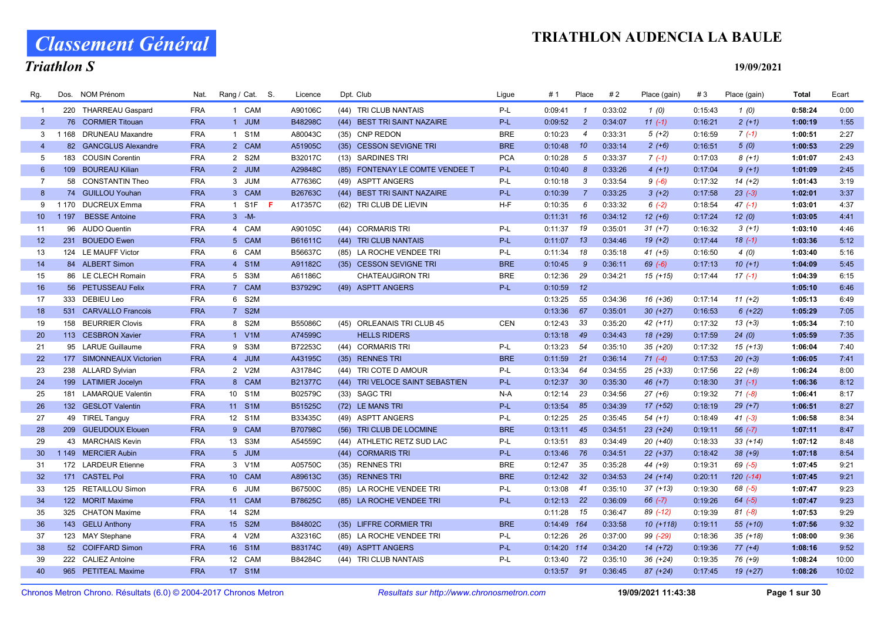# Classement Général

### TRIATHLON AUDENCIA LA BAULE

### Triathlon S

19/09/2021

| Rg.             | Dos.    | <b>NOM Prénom</b>        | Nat.       | Rang / Cat. S. | Licence        | Dpt. Club     |                                 | Ligue      | # 1          | Place          | #2      | Place (gain) | #3      | Place (gain) | <b>Total</b> | Ecart |
|-----------------|---------|--------------------------|------------|----------------|----------------|---------------|---------------------------------|------------|--------------|----------------|---------|--------------|---------|--------------|--------------|-------|
| $\overline{1}$  |         | 220 THARREAU Gaspard     | <b>FRA</b> | 1 CAM          | A90106C        |               | (44) TRI CLUB NANTAIS           | P-L        | 0:09:41      | $\mathbf{1}$   | 0:33:02 | 1(0)         | 0:15:43 | 1(0)         | 0:58:24      | 0:00  |
| $\overline{2}$  |         | 76 CORMIER Titouan       | <b>FRA</b> | 1 JUM          | B48298C        |               | (44) BEST TRI SAINT NAZAIRE     | $P-L$      | 0:09:52      | $\overline{2}$ | 0:34:07 | $11(-1)$     | 0:16:21 | $2(+1)$      | 1:00:19      | 1:55  |
| 3               |         | 1 168 DRUNEAU Maxandre   | <b>FRA</b> | 1 S1M          | A80043C        |               | (35) CNP REDON                  | <b>BRE</b> | 0:10:23      | $\overline{4}$ | 0:33:31 | $5(+2)$      | 0:16:59 | $7(-1)$      | 1:00:51      | 2:27  |
| $\overline{4}$  |         | 82 GANCGLUS Alexandre    | <b>FRA</b> | 2 CAM          | A51905C        |               | (35) CESSON SEVIGNE TRI         | <b>BRE</b> | 0:10:48      | 10             | 0:33:14 | $2 (+6)$     | 0:16:51 | 5(0)         | 1:00:53      | 2:29  |
| 5               |         | 183 COUSIN Corentin      | <b>FRA</b> | 2 S2M          | B32017C        |               | (13) SARDINES TRI               | <b>PCA</b> | 0:10:28      | 5              | 0:33:37 | $7(-1)$      | 0:17:03 | $8(+1)$      | 1:01:07      | 2:43  |
| $6^{\circ}$     |         | 109 BOUREAU Kilian       | <b>FRA</b> | 2 JUM          | A29848C        |               | (85) FONTENAY LE COMTE VENDEE T | P-L        | 0:10:40      | 8              | 0:33:26 | $4(+1)$      | 0:17:04 | $9(+1)$      | 1:01:09      | 2:45  |
| $\overline{7}$  |         | 58 CONSTANTIN Theo       | <b>FRA</b> | 3 JUM          | A77636C        |               | (49) ASPTT ANGERS               | P-L        | 0:10:18      | 3              | 0:33:54 | $9(-6)$      | 0:17:32 | $14 (+2)$    | 1:01:43      | 3:19  |
| 8               |         | 74 GUILLOU Youhan        | <b>FRA</b> | 3 CAM          | B26763C        |               | (44) BEST TRI SAINT NAZAIRE     | $P-L$      | 0:10:39      | $\overline{7}$ | 0:33:25 | $3(+2)$      | 0:17:58 | $23(-3)$     | 1:02:01      | 3:37  |
| 9               | 1 1 7 0 | <b>DUCREUX Emma</b>      | <b>FRA</b> | 1 S1F <b>F</b> | A17357C        |               | (62) TRI CLUB DE LIEVIN         | H-F        | 0:10:35      | 6              | 0:33:32 | $6(-2)$      | 0:18:54 | $47(-1)$     | 1:03:01      | 4:37  |
| 10 <sup>°</sup> | 1 1 9 7 | <b>BESSE Antoine</b>     | <b>FRA</b> | $3 - M -$      |                |               |                                 |            | $0:11:31$ 16 |                | 0:34:12 | $12 (+6)$    | 0:17:24 | 12(0)        | 1:03:05      | 4:41  |
| 11              |         | 96 AUDO Quentin          | <b>FRA</b> | 4 CAM          | A90105C        |               | (44) CORMARIS TRI               | P-L        | 0:11:37      | 19             | 0:35:01 | $31 (+7)$    | 0:16:32 | $3(+1)$      | 1:03:10      | 4:46  |
| 12              |         | 231 BOUEDO Ewen          | <b>FRA</b> | 5 CAM          | B61611C        |               | (44) TRI CLUB NANTAIS           | P-L        | 0:11:07      | 13             | 0:34:46 | $19(+2)$     | 0:17:44 | $18(-1)$     | 1:03:36      | 5:12  |
| 13              |         | 124 LE MAUFF Victor      | <b>FRA</b> | 6 CAM          | B56637C        |               | (85) LA ROCHE VENDEE TRI        | P-L        | 0:11:34      | 18             | 0:35:18 | $41 (+5)$    | 0:16:50 | 4(0)         | 1:03:40      | 5:16  |
| 14              |         | 84 ALBERT Simon          | <b>FRA</b> | 4 S1M          | A91182C        |               | (35) CESSON SEVIGNE TRI         | <b>BRE</b> | 0:10:45      | 9              | 0:36:11 | $69(-6)$     | 0:17:13 | $10(+1)$     | 1:04:09      | 5:45  |
| 15              |         | 86 LE CLECH Romain       | <b>FRA</b> | 5 S3M          | A61186C        |               | <b>CHATEAUGIRON TRI</b>         | <b>BRE</b> | 0:12:36      | 29             | 0:34:21 | $15 (+15)$   | 0:17:44 | $17(-1)$     | 1:04:39      | 6:15  |
| 16              |         | 56 PETUSSEAU Felix       | <b>FRA</b> | 7 CAM          | B37929C        |               | (49) ASPTT ANGERS               | P-L        | 0:10:59      | 12             |         |              |         |              | 1:05:10      | 6:46  |
| 17              |         | 333 DEBIEU Leo           | <b>FRA</b> | 6 S2M          |                |               |                                 |            | 0:13:25      | 55             | 0:34:36 | $16 (+36)$   | 0:17:14 | $11 (+2)$    | 1:05:13      | 6:49  |
| 18              | 531     | <b>CARVALLO Francois</b> | <b>FRA</b> | 7 S2M          |                |               |                                 |            | 0:13:36      | 67             | 0:35:01 | $30 (+27)$   | 0:16:53 | $6(+22)$     | 1:05:29      | 7:05  |
| 19              | 158     | <b>BEURRIER Clovis</b>   | <b>FRA</b> | 8 S2M          | B55086C        |               | (45) ORLEANAIS TRI CLUB 45      | <b>CEN</b> | 0:12:43      | 33             | 0:35:20 | 42 (+11)     | 0:17:32 | $13(+3)$     | 1:05:34      | 7:10  |
| 20              |         | 113 CESBRON Xavier       | <b>FRA</b> | 1 V1M          | A74599C        |               | <b>HELLS RIDERS</b>             |            | 0:13:18      | 49             | 0:34:43 | 18 (+29)     | 0:17:59 | 24(0)        | 1:05:59      | 7:35  |
| 21              |         | 95 LARUE Guillaume       | <b>FRA</b> | 9 S3M          | B72253C        |               | (44) CORMARIS TRI               | P-L        | 0:13:23      | 54             | 0:35:10 | 35 (+20)     | 0:17:32 | $15 (+13)$   | 1:06:04      | 7:40  |
| 22              |         | 177 SIMONNEAUX Victorien | <b>FRA</b> | 4 JUM          | A43195C        |               | (35) RENNES TRI                 | <b>BRE</b> | $0:11:59$ 21 |                | 0:36:14 | $71(-4)$     | 0:17:53 | $20 (+3)$    | 1:06:05      | 7:41  |
| 23              |         | 238 ALLARD Sylvian       | <b>FRA</b> | 2 V2M          | A31784C        |               | (44) TRI COTE D AMOUR           | P-L        | $0:13:34$ 64 |                | 0:34:55 | $25$ (+33)   | 0:17:56 | $22 (+8)$    | 1:06:24      | 8:00  |
| 24              |         | 199 LATIMIER Jocelyn     | <b>FRA</b> | 8 CAM          | <b>B21377C</b> |               | (44) TRI VELOCE SAINT SEBASTIEN | P-L        | $0:12:37$ 30 |                | 0:35:30 | $46 (+7)$    | 0:18:30 | $31(-1)$     | 1:06:36      | 8:12  |
| 25              |         | 181 LAMARQUE Valentin    | <b>FRA</b> | 10 S1M         | B02579C        | (33) SAGC TRI |                                 | $N-A$      | 0:12:14      | 23             | 0:34:56 | $27(+6)$     | 0:19:32 | $71 (-8)$    | 1:06:41      | 8:17  |
| 26              |         | 132 GESLOT Valentin      | <b>FRA</b> | 11 S1M         | B51525C        |               | (72) LE MANS TRI                | P-L        | 0:13:54      | 85             | 0:34:39 | $17 (+52)$   | 0:18:19 | $29 (+7)$    | 1:06:51      | 8:27  |
| 27              |         | 49 TIREL Tanguy          | <b>FRA</b> | 12 S1M         | B33435C        |               | (49) ASPTT ANGERS               | $P-L$      | 0:12:25      | 25             | 0:35:45 | $54(+1)$     | 0:18:49 | $41 (-3)$    | 1:06:58      | 8:34  |
| 28              |         | 209 GUEUDOUX Elouen      | <b>FRA</b> | 9 CAM          | <b>B70798C</b> |               | (56) TRI CLUB DE LOCMINE        | <b>BRE</b> | 0:13:11      | 45             | 0:34:51 | $23 (+24)$   | 0:19:11 | $56(-7)$     | 1:07:11      | 8:47  |
| 29              |         | 43 MARCHAIS Kevin        | <b>FRA</b> | 13 S3M         | A54559C        |               | (44) ATHLETIC RETZ SUD LAC      | P-L        | 0:13:51      | 83             | 0:34:49 | 20 (+40)     | 0:18:33 | $33 (+14)$   | 1:07:12      | 8:48  |
| 30              |         | 1 149 MERCIER Aubin      | <b>FRA</b> | 5 JUM          |                |               | (44) CORMARIS TRI               | P-L        | 0:13:46      | 76             | 0:34:51 | $22 (+37)$   | 0:18:42 | $38 (+9)$    | 1:07:18      | 8:54  |
| 31              |         | 172 LARDEUR Etienne      | <b>FRA</b> | 3 V1M          | A05750C        |               | (35) RENNES TRI                 | <b>BRE</b> | $0:12:47$ 35 |                | 0:35:28 | 44 (+9)      | 0:19:31 | $69$ $(-5)$  | 1:07:45      | 9:21  |
| 32              |         | 171 CASTEL Pol           | <b>FRA</b> | 10 CAM         | A89613C        |               | (35) RENNES TRI                 | <b>BRE</b> | 0:12:42      | 32             | 0:34:53 | $24$ (+14)   | 0:20:11 | $120(-14)$   | 1:07:45      | 9:21  |
| 33              |         | 125 RETAILLOU Simon      | <b>FRA</b> | 6 JUM          | B67500C        |               | (85) LA ROCHE VENDEE TRI        | $P-L$      | 0:13:08      | 41             | 0:35:10 | $37 (+13)$   | 0:19:30 | $68$ $(-5)$  | 1:07:47      | 9:23  |
| 34              |         | 122 MORIT Maxime         | <b>FRA</b> | 11 CAM         | B78625C        |               | (85) LA ROCHE VENDEE TRI        | P-L        | $0:12:13$ 22 |                | 0:36:09 | $66 (-7)$    | 0:19:26 | $64 (-5)$    | 1:07:47      | 9:23  |
| 35              |         | 325 CHATON Maxime        | <b>FRA</b> | 14 S2M         |                |               |                                 |            | 0:11:28      | 15             | 0:36:47 | 89 (-12)     | 0:19:39 | $81 (-8)$    | 1:07:53      | 9:29  |
| 36              |         | 143 GELU Anthony         | <b>FRA</b> | 15 S2M         | B84802C        |               | (35) LIFFRE CORMIER TRI         | <b>BRE</b> | 0:14:49 164  |                | 0:33:58 | $10(+118)$   | 0:19:11 | $55(+10)$    | 1:07:56      | 9:32  |
| 37              |         | 123 MAY Stephane         | <b>FRA</b> | 4 V2M          | A32316C        |               | (85) LA ROCHE VENDEE TRI        | P-L        | $0:12:26$ 26 |                | 0:37:00 | 99 (-29)     | 0:18:36 | $35 (+18)$   | 1:08:00      | 9:36  |
| 38              |         | 52 COIFFARD Simon        | <b>FRA</b> | 16 S1M         | B83174C        |               | (49) ASPTT ANGERS               | P-L        | 0:14:20 114  |                | 0:34:20 | $14(+72)$    | 0:19:36 | $77 (+4)$    | 1:08:16      | 9:52  |
| 39              |         | 222 CALIEZ Antoine       | <b>FRA</b> | 12 CAM         | B84284C        |               | (44) TRI CLUB NANTAIS           | P-L        | $0:13:40$ 72 |                | 0:35:10 | 36 (+24)     | 0:19:35 | $76 (+9)$    | 1:08:24      | 10:00 |
| 40              |         | 965 PETITEAL Maxime      | <b>FRA</b> | 17 S1M         |                |               |                                 |            | $0:13:57$ 91 |                | 0:36:45 | 87 (+24)     | 0:17:45 | $19(+27)$    | 1:08:26      | 10:02 |
|                 |         |                          |            |                |                |               |                                 |            |              |                |         |              |         |              |              |       |

Chronos Metron Chrono. Résultats (6.0) © 2004-2017 Chronos Metron Resultats sur http://www.chronosmetron.com 19/09/2021 11:43:38 Page 1 sur 30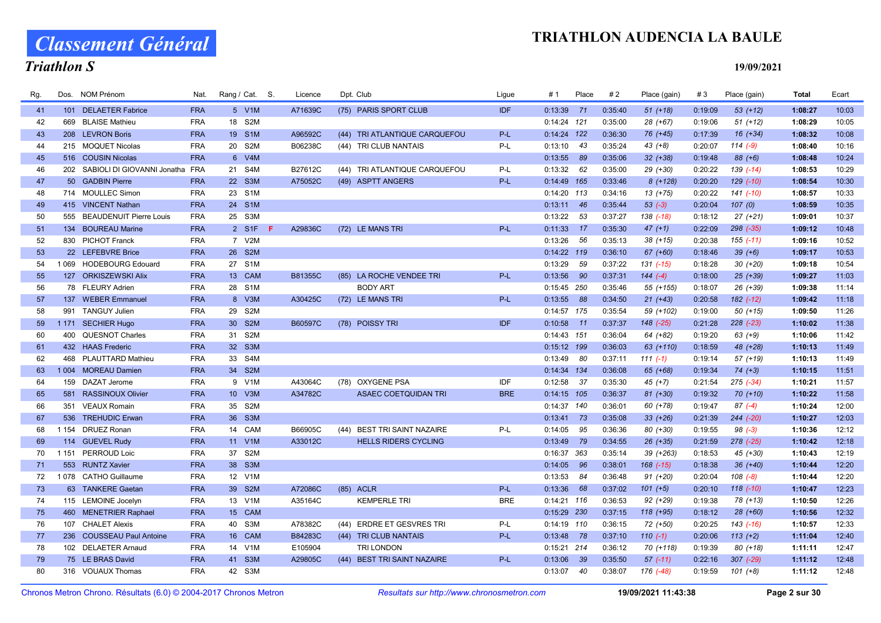# Classement Général

### Triathlon S

| Rg. |         | Dos. NOM Prénom                     | Nat.       | Rang / Cat. S. |     | Licence        | Dpt. Club                     | Ligue      | #1            | Place | #2      | Place (gain)  | #3      | Place (gain)  | <b>Total</b> | Ecart |
|-----|---------|-------------------------------------|------------|----------------|-----|----------------|-------------------------------|------------|---------------|-------|---------|---------------|---------|---------------|--------------|-------|
| 41  |         | 101 DELAETER Fabrice                | <b>FRA</b> | 5 V1M          |     | A71639C        | (75) PARIS SPORT CLUB         | <b>IDF</b> | $0:13:39$ 71  |       | 0:35:40 | $51 (+18)$    | 0:19:09 | $53(+12)$     | 1:08:27      | 10:03 |
| 42  | 669     | <b>BLAISE Mathieu</b>               | <b>FRA</b> | 18 S2M         |     |                |                               |            | $0:14:24$ 121 |       | 0:35:00 | 28 (+67)      | 0:19:06 | $51 (+12)$    | 1:08:29      | 10:05 |
| 43  |         | 208 LEVRON Boris                    | <b>FRA</b> | 19 S1M         |     | A96592C        | (44) TRI ATLANTIQUE CARQUEFOU | $P-L$      | $0:14:24$ 122 |       | 0:36:30 | 76 (+45)      | 0:17:39 | $16 (+34)$    | 1:08:32      | 10:08 |
| 44  |         | 215 MOQUET Nicolas                  | <b>FRA</b> | 20 S2M         |     | B06238C        | (44) TRI CLUB NANTAIS         | P-L        | 0:13:10       | 43    | 0:35:24 | 43 (+8)       | 0:20:07 | $114(-9)$     | 1:08:40      | 10:16 |
| 45  |         | 516 COUSIN Nicolas                  | <b>FRA</b> | 6 V4M          |     |                |                               |            | 0:13:55       | 89    | 0:35:06 | $32 (+38)$    | 0:19:48 | 88 (+6)       | 1:08:48      | 10:24 |
| 46  |         | 202 SABIOLI DI GIOVANNI Jonatha FRA |            | 21 S4M         |     | B27612C        | (44) TRI ATLANTIQUE CARQUEFOU | P-L        | $0:13:32$ 62  |       | 0:35:00 | 29 (+30)      | 0:20:22 | $139( -14)$   | 1:08:53      | 10:29 |
| 47  |         | 50 GADBIN Pierre                    | <b>FRA</b> | 22 S3M         |     | A75052C        | (49) ASPTT ANGERS             | $P-L$      | 0:14:49 165   |       | 0:33:46 | $8(+128)$     | 0:20:20 | $129$ $(-10)$ | 1:08:54      | 10:30 |
| 48  |         | 714 MOULLEC Simon                   | <b>FRA</b> | 23 S1M         |     |                |                               |            | $0:14:20$ 113 |       | 0:34:16 | 13 (+75)      | 0:20:22 | 141 (-10)     | 1:08:57      | 10:33 |
| 49  |         | 415 VINCENT Nathan                  | <b>FRA</b> | 24 S1M         |     |                |                               |            | $0:13:11$ 46  |       | 0:35:44 | $53(-3)$      | 0:20:04 | 107(0)        | 1:08:59      | 10:35 |
| 50  |         | 555 BEAUDENUIT Pierre Louis         | <b>FRA</b> | 25 S3M         |     |                |                               |            | 0:13:22       | 53    | 0:37:27 | 138 (-18)     | 0:18:12 | $27 (+21)$    | 1:09:01      | 10:37 |
| 51  |         | 134 BOUREAU Marine                  | <b>FRA</b> | 2 S1F          | - F | A29836C        | (72) LE MANS TRI              | $P-L$      | $0:11:33$ 17  |       | 0:35:30 | $47 (+1)$     | 0:22:09 | 298 (-35)     | 1:09:12      | 10:48 |
| 52  |         | 830 PICHOT Franck                   | <b>FRA</b> | 7 V2M          |     |                |                               |            | 0:13:26       | 56    | 0:35:13 | 38 (+15)      | 0:20:38 | $155$ $(-11)$ | 1:09:16      | 10:52 |
| 53  |         | 22 LEFEBVRE Brice                   | <b>FRA</b> | 26 S2M         |     |                |                               |            | $0:14:22$ 119 |       | 0:36:10 | 67 (+60)      | 0:18:46 | $39 (+6)$     | 1:09:17      | 10:53 |
| 54  |         | 1 069 HODEBOURG Edouard             | <b>FRA</b> | 27 S1M         |     |                |                               |            | 0:13:29       | 59    | 0:37:22 | $131$ $(-15)$ | 0:18:28 | $30 (+20)$    | 1:09:18      | 10:54 |
| 55  |         | 127 ORKISZEWSKI Alix                | <b>FRA</b> | 13 CAM         |     | <b>B81355C</b> | (85) LA ROCHE VENDEE TRI      | $P-L$      | 0:13:56       | - 90  | 0:37:31 | $144(-4)$     | 0:18:00 | $25$ (+39)    | 1:09:27      | 11:03 |
| 56  |         | 78 FLEURY Adrien                    | <b>FRA</b> | 28 S1M         |     |                | <b>BODY ART</b>               |            | 0:15:45 250   |       | 0:35:46 | 55 (+155)     | 0:18:07 | 26 (+39)      | 1:09:38      | 11:14 |
| 57  |         | 137 WEBER Emmanuel                  | <b>FRA</b> | 8 V3M          |     | A30425C        | (72) LE MANS TRI              | P-L        | 0:13:55       | 88    | 0:34:50 | $21 (+43)$    | 0:20:58 | $182$ $(-12)$ | 1:09:42      | 11:18 |
| 58  | 991     | <b>TANGUY Julien</b>                | <b>FRA</b> | 29 S2M         |     |                |                               |            | 0:14:57 175   |       | 0:35:54 | 59 (+102)     | 0:19:00 | $50(+15)$     | 1:09:50      | 11:26 |
| 59  |         | 1171 SECHIER Hugo                   | <b>FRA</b> | 30 S2M         |     | B60597C        | (78) POISSY TRI               | <b>IDF</b> | $0:10:58$ 11  |       | 0:37:37 | 148 (-25)     | 0:21:28 | $228$ $(-23)$ | 1:10:02      | 11:38 |
| 60  | 400     | <b>QUESNOT Charles</b>              | <b>FRA</b> | 31 S2M         |     |                |                               |            | $0:14:43$ 151 |       | 0:36:04 | 64 (+82)      | 0:19:20 | $63 (+9)$     | 1:10:06      | 11:42 |
| 61  |         | 432 HAAS Frederic                   | <b>FRA</b> | 32 S3M         |     |                |                               |            | $0:15:12$ 199 |       | 0:36:03 | 63 (+110)     | 0:18:59 | 48 (+28)      | 1:10:13      | 11:49 |
| 62  |         | 468 PLAUTTARD Mathieu               | <b>FRA</b> | 33 S4M         |     |                |                               |            | 0:13:49       | - 80  | 0:37:11 | $111(-1)$     | 0:19:14 | $57 (+19)$    | 1:10:13      | 11:49 |
| 63  |         | 1 004 MOREAU Damien                 | <b>FRA</b> | 34 S2M         |     |                |                               |            | 0:14:34 134   |       | 0:36:08 | 65 (+68)      | 0:19:34 | $74 (+3)$     | 1:10:15      | 11:51 |
| 64  |         | 159 DAZAT Jerome                    | <b>FRA</b> | 9 V1M          |     | A43064C        | (78) OXYGENE PSA              | <b>IDF</b> | 0:12:58       | - 37  | 0:35:30 | 45 (+7)       | 0:21:54 | $275$ (-34)   | 1:10:21      | 11:57 |
| 65  |         | 581 RASSINOUX Olivier               | <b>FRA</b> | 10 V3M         |     | A34782C        | <b>ASAEC COETQUIDAN TRI</b>   | <b>BRE</b> | $0:14:15$ 105 |       | 0:36:37 | 81 (+30)      | 0:19:32 | $70(+10)$     | 1:10:22      | 11:58 |
| 66  |         | 351 VEAUX Romain                    | <b>FRA</b> | 35 S2M         |     |                |                               |            | 0:14:37 140   |       | 0:36:01 | 60 (+78)      | 0:19:47 | $87(-4)$      | 1:10:24      | 12:00 |
| 67  |         | 536 TREHUDIC Erwan                  | <b>FRA</b> | 36 S3M         |     |                |                               |            | $0:13:41$ 73  |       | 0:35:08 | $33 (+26)$    | 0:21:39 | 244 (-20)     | 1:10:27      | 12:03 |
| 68  |         | 1 154 DRUEZ Ronan                   | <b>FRA</b> | 14 CAM         |     | B66905C        | (44) BEST TRI SAINT NAZAIRE   | P-L        | 0:14:05       | 95    | 0:36:36 | 80 (+30)      | 0:19:55 | $98 (-3)$     | 1:10:36      | 12:12 |
| 69  |         | 114 GUEVEL Rudy                     | <b>FRA</b> | 11 V1M         |     | A33012C        | <b>HELLS RIDERS CYCLING</b>   |            | $0:13:49$ 79  |       | 0:34:55 | $26 (+35)$    | 0:21:59 | 278 (-25)     | 1:10:42      | 12:18 |
| 70  | 1 1 5 1 | PERROUD Loic                        | <b>FRA</b> | 37 S2M         |     |                |                               |            | 0:16:37 363   |       | 0:35:14 | 39 (+263)     | 0:18:53 | 45 (+30)      | 1:10:43      | 12:19 |
| 71  |         | 553 RUNTZ Xavier                    | <b>FRA</b> | 38 S3M         |     |                |                               |            | 0:14:05       | 96    | 0:38:01 | $168$ $(-15)$ | 0:18:38 | $36 (+40)$    | 1:10:44      | 12:20 |
| 72  |         | 1078 CATHO Guillaume                | <b>FRA</b> | 12 V1M         |     |                |                               |            | 0:13:53       | 84    | 0:36:48 | $91 (+20)$    | 0:20:04 | $108 (-8)$    | 1:10:44      | 12:20 |
| 73  |         | 63 TANKERE Gaetan                   | <b>FRA</b> | 39 S2M         |     | A72086C        | (85) ACLR                     | $P-L$      | 0:13:36       | 68    | 0:37:02 | $101 (+5)$    | 0:20:10 | $118(-10)$    | 1:10:47      | 12:23 |
| 74  |         | 115 LEMOINE Jocelyn                 | <b>FRA</b> | 13 V1M         |     | A35164C        | <b>KEMPERLE TRI</b>           | <b>BRE</b> | $0:14:21$ 116 |       | 0:36:53 | $92 (+29)$    | 0:19:38 | 78 (+13)      | 1:10:50      | 12:26 |
| 75  |         | 460 MENETRIER Raphael               | <b>FRA</b> | 15 CAM         |     |                |                               |            | 0:15:29 230   |       | 0:37:15 | $118 (+95)$   | 0:18:12 | $28 (+60)$    | 1:10:56      | 12:32 |
| 76  |         | 107 CHALET Alexis                   | <b>FRA</b> | 40 S3M         |     | A78382C        | (44) ERDRE ET GESVRES TRI     | P-L        | 0:14:19 110   |       | 0:36:15 | 72 (+50)      | 0:20:25 | 143 (-16)     | 1:10:57      | 12:33 |
| 77  |         | 236 COUSSEAU Paul Antoine           | <b>FRA</b> | 16 CAM         |     | B84283C        | (44) TRI CLUB NANTAIS         | $P-L$      | $0:13:48$ 78  |       | 0:37:10 | $110(-1)$     | 0:20:06 | $113 (+2)$    | 1:11:04      | 12:40 |
| 78  |         | 102 DELAETER Arnaud                 | <b>FRA</b> | 14 V1M         |     | E105904        | <b>TRI LONDON</b>             |            | 0:15:21 214   |       | 0:36:12 | 70 (+118)     | 0:19:39 | $80 (+18)$    | 1:11:11      | 12:47 |
| 79  |         | 75 LE BRAS David                    | <b>FRA</b> | 41 S3M         |     | A29805C        | (44) BEST TRI SAINT NAZAIRE   | P-L        | 0:13:06       | 39    | 0:35:50 | $57$ $(-11)$  | 0:22:16 | $307$ $(-29)$ | 1:11:12      | 12:48 |
| 80  |         | 316 VOUAUX Thomas                   | <b>FRA</b> | 42 S3M         |     |                |                               |            | 0:13:07       | 40    | 0:38:07 | 176 (-48)     | 0:19:59 | $101 (+8)$    | 1:11:12      | 12:48 |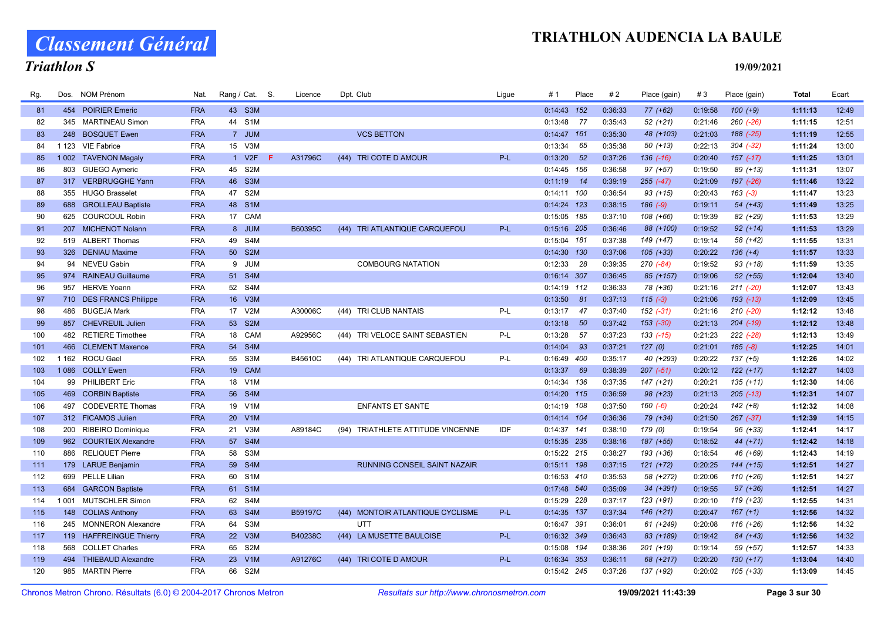# Classement Général

### Triathlon S

| Rg.        | Dos. NOM Prénom                                         | Nat.                     | Rang / Cat. S.   | Licence       | Dpt. Club                         | Lique      | #1            | Place | #2                 | Place (gain)  | #3                 | Place (gain)  | <b>Total</b>       | Ecart          |
|------------|---------------------------------------------------------|--------------------------|------------------|---------------|-----------------------------------|------------|---------------|-------|--------------------|---------------|--------------------|---------------|--------------------|----------------|
| 81         | 454 POIRIER Emeric                                      | <b>FRA</b>               | 43 S3M           |               |                                   |            | 0:14:43 152   |       | 0:36:33            | $77(+62)$     | 0:19:58            | $100 (+9)$    | 1:11:13            | 12:49          |
| 82         | 345 MARTINEAU Simon                                     | <b>FRA</b>               | 44 S1M           |               |                                   |            | 0:13:48       | 77    | 0:35:43            | $52 (+21)$    | 0:21:46            | $260$ $(-26)$ | 1:11:15            | 12:51          |
| 83         | <b>BOSQUET Ewen</b><br>248                              | <b>FRA</b>               | 7 JUM            |               | <b>VCS BETTON</b>                 |            | $0:14:47$ 161 |       | 0:35:30            | 48 (+103)     | 0:21:03            | $188$ $(-25)$ | 1:11:19            | 12:55          |
| 84         | 1 123 VIE Fabrice                                       | <b>FRA</b>               | 15 V3M           |               |                                   |            | 0:13:34       | 65    | 0:35:38            | $50(+13)$     | 0:22:13            | $304 (-32)$   | 1:11:24            | 13:00          |
| 85         | 1 002 TAVENON Magaly                                    | <b>FRA</b>               | 1 V2F            | A31796C<br>-F | (44) TRI COTE D AMOUR             | $P-L$      | 0:13:20       | 52    | 0:37:26            | $136$ $(-16)$ | 0:20:40            | $157$ $(-17)$ | 1:11:25            | 13:01          |
| 86         | <b>GUEGO Aymeric</b><br>803                             | <b>FRA</b>               | 45 S2M           |               |                                   |            | 0:14:45 156   |       | 0:36:58            | $97 (+57)$    | 0:19:50            | 89 (+13)      | 1:11:31            | 13:07          |
| 87         | 317 VERBRUGGHE Yann                                     | <b>FRA</b>               | 46 S3M           |               |                                   |            | 0:11:19       | 14    | 0:39:19            | $255 (-47)$   | 0:21:09            | 197 (-26)     | 1:11:46            | 13:22          |
| 88         | <b>HUGO Brasselet</b><br>355                            | <b>FRA</b>               | 47 S2M           |               |                                   |            | 0:14:11 100   |       | 0:36:54            | $93 (+15)$    | 0:20:43            | $163 (-3)$    | 1:11:47            | 13:23          |
| 89         | 688 GROLLEAU Baptiste                                   | <b>FRA</b>               | 48 S1M           |               |                                   |            | $0:14:24$ 123 |       | 0:38:15            | $186 (-9)$    | 0:19:11            | $54(+43)$     | 1:11:49            | 13:25          |
| 90         | 625 COURCOUL Robin                                      | <b>FRA</b>               | 17 CAM           |               |                                   |            | 0:15:05 185   |       | 0:37:10            | $108 (+66)$   | 0:19:39            | 82 (+29)      | 1:11:53            | 13:29          |
| 91         | 207 MICHENOT Nolann                                     | <b>FRA</b>               | 8 JUM            | B60395C       | (44) TRI ATLANTIQUE CARQUEFOU     | $P-L$      | 0:15:16 205   |       | 0:36:46            | 88 (+100)     | 0:19:52            | $92 (+14)$    | 1:11:53            | 13:29          |
| 92         | 519 ALBERT Thomas                                       | <b>FRA</b>               | 49 S4M           |               |                                   |            | 0:15:04 181   |       | 0:37:38            | 149 (+47)     | 0:19:14            | 58 (+42)      | 1:11:55            | 13:31          |
| 93         | 326 DENIAU Maxime                                       | <b>FRA</b>               | 50 S2M           |               |                                   |            | 0:14:30 130   |       | 0:37:06            | $105 (+33)$   | 0:20:22            | $136 (+4)$    | 1:11:57            | 13:33          |
| 94         | <b>NEVEU Gabin</b><br>94                                | <b>FRA</b>               | 9 JUM            |               | <b>COMBOURG NATATION</b>          |            | 0:12:33       | - 28  | 0:39:35            | 270 (-84)     | 0:19:52            | $93 (+18)$    | 1:11:59            | 13:35          |
| 95         | 974 RAINEAU Guillaume                                   | <b>FRA</b>               | 51 S4M           |               |                                   |            | 0:16:14 307   |       | 0:36:45            | 85 (+157)     | 0:19:06            | $52$ (+55)    | 1:12:04            | 13:40          |
| 96         | 957<br><b>HERVE Yoann</b>                               | <b>FRA</b>               | 52 S4M           |               |                                   |            | $0:14:19$ 112 |       | 0:36:33            | 78 (+36)      | 0:21:16            | $211 (-20)$   | 1:12:07            | 13:43          |
| 97         | 710 DES FRANCS Philippe                                 | <b>FRA</b>               | 16 V3M           |               |                                   |            | 0:13:50       | 81    | 0:37:13            | $115(-3)$     | 0:21:06            | $193$ $(-13)$ | 1:12:09            | 13:45          |
| 98         | <b>BUGEJA Mark</b><br>486                               | <b>FRA</b>               | 17 V2M           | A30006C       | (44) TRI CLUB NANTAIS             | P-L        | 0:13:17       | 47    | 0:37:40            | $152(-31)$    | 0:21:16            | $210(-20)$    | 1:12:12            | 13:48          |
| 99         | 857 CHEVREUIL Julien                                    | <b>FRA</b>               | 53 S2M           |               |                                   |            | 0:13:18       | 50    | 0:37:42            | $153$ $(-30)$ | 0:21:13            | $204$ $(-19)$ | 1:12:12            | 13:48          |
| 100        | 482 RETIERE Timothee                                    | <b>FRA</b>               | 18 CAM           | A92956C       | (44) TRI VELOCE SAINT SEBASTIEN   | $P-L$      | 0:13:28       | 57    | 0:37:23            | $133$ $(-15)$ | 0:21:23            | $222$ $(-28)$ | 1:12:13            | 13:49          |
| 101        | <b>CLEMENT Maxence</b><br>466                           | <b>FRA</b>               | 54 S4M           |               |                                   |            | 0:14:04       | 93    | 0:37:21            | 127(0)        | 0:21:01            | $185 (-8)$    | 1:12:25            | 14:01          |
| 102        | 1 162 ROCU Gael                                         | <b>FRA</b>               | 55 S3M           | B45610C       | (44) TRI ATLANTIQUE CARQUEFOU     | P-L        | 0:16:49 400   |       | 0:35:17            | 40 (+293)     | 0:20:22            | $137 (+5)$    | 1:12:26            | 14:02          |
| 103        | <b>COLLY Ewen</b><br>1086                               | <b>FRA</b>               | 19 CAM           |               |                                   |            | 0:13:37       | 69    | 0:38:39            | $207 (-51)$   | 0:20:12            | $122 (+17)$   | 1:12:27            | 14:03          |
| 104        | 99 PHILIBERT Eric                                       | <b>FRA</b>               | 18 V1M           |               |                                   |            | 0:14:34 136   |       | 0:37:35            | 147 (+21)     | 0:20:21            | $135 (+11)$   | 1:12:30            | 14:06          |
| 105        | 469 CORBIN Baptiste                                     | <b>FRA</b>               | 56 S4M           |               |                                   |            | $0:14:20$ 115 |       | 0:36:59            | $98 (+23)$    | 0:21:13            | $205$ $(-13)$ | 1:12:31            | 14:07          |
| 106        | <b>CODEVERTE Thomas</b><br>497                          | <b>FRA</b>               | 19 V1M           |               | <b>ENFANTS ET SANTE</b>           |            | 0:14:19 108   |       | 0:37:50            | $160(-6)$     | 0:20:24            | $142 (+8)$    | 1:12:32            | 14:08          |
| 107        | 312 FICAMOS Julien                                      | <b>FRA</b>               | 20 V1M           |               |                                   |            | 0:14:14 104   |       | 0:36:36            | 79 (+34)      | 0:21:50            | $267 (-37)$   | 1:12:39            | 14:15          |
| 108        | <b>RIBEIRO Dominique</b><br>200                         | <b>FRA</b>               | 21 V3M           | A89184C       | (94) TRIATHLETE ATTITUDE VINCENNE | <b>IDF</b> | $0:14:37$ 141 |       | 0:38:10            | 179 (0)       | 0:19:54            | $96 (+33)$    | 1:12:41            | 14:17          |
| 109        | 962 COURTEIX Alexandre                                  | <b>FRA</b>               | 57 S4M           |               |                                   |            | 0:15:35 235   |       | 0:38:16            | 187 (+55)     | 0:18:52            | 44 (+71)      | 1:12:42            | 14:18          |
| 110        | 886 RELIQUET Pierre                                     | <b>FRA</b>               | 58 S3M           |               |                                   |            | 0:15:22 215   |       | 0:38:27            | 193 (+36)     | 0:18:54            | 46 (+69)      | 1:12:43            | 14:19          |
| 111        | 179 LARUE Benjamin                                      | <b>FRA</b>               | 59 S4M           |               | RUNNING CONSEIL SAINT NAZAIR      |            | 0:15:11 198   |       | 0:37:15            | $121 (+72)$   | 0:20:25            | $144 (+15)$   | 1:12:51            | 14:27          |
| 112        | 699 PELLE Lilian                                        | <b>FRA</b>               | 60 S1M           |               |                                   |            | 0:16:53 410   |       | 0:35:53            | 58 (+272)     | 0:20:06            | $110 (+26)$   | 1:12:51            | 14:27          |
| 113        | 684 GARCON Baptiste                                     | <b>FRA</b>               | 61 S1M           |               |                                   |            | $0:17:48$ 540 |       | 0:35:09            | $34 (+391)$   | 0:19:55            | $97 (+36)$    | 1:12:51            | 14:27          |
| 114        | 1 0 0 1<br><b>MUTSCHLER Simon</b>                       | <b>FRA</b>               | 62 S4M           |               |                                   |            | 0:15:29 228   |       | 0:37:17            | $123 (+91)$   | 0:20:10            | 119 (+23)     | 1:12:55            | 14:31          |
| 115        | 148 COLIAS Anthony                                      | <b>FRA</b>               | 63 S4M           | B59197C       | (44) MONTOIR ATLANTIQUE CYCLISME  | $P-L$      | 0:14:35 137   |       | 0:37:34            | $146 (+21)$   | 0:20:47            | $167 (+1)$    | 1:12:56            | 14:32          |
| 116        | 245<br><b>MONNERON Alexandre</b>                        | <b>FRA</b>               | 64 S3M           |               | UTT                               |            | 0:16:47 391   |       | 0:36:01            | 61 (+249)     | 0:20:08            | $116 (+26)$   | 1:12:56            | 14:32          |
| 117<br>118 | 119 HAFFREINGUE Thierry<br><b>COLLET Charles</b><br>568 | <b>FRA</b><br><b>FRA</b> | 22 V3M<br>65 S2M | B40238C       | (44) LA MUSETTE BAULOISE          | $P-L$      | 0:16:32 349   |       | 0:36:43<br>0:38:36 | 83 (+189)     | 0:19:42<br>0:19:14 | 84 (+43)      | 1:12:56<br>1:12:57 | 14:32<br>14:33 |
|            |                                                         |                          |                  |               |                                   | P-L        | 0:15:08 194   |       |                    | 201 (+19)     |                    | 59 (+57)      |                    |                |
| 119        | <b>THIEBAUD Alexandre</b><br>494                        | <b>FRA</b>               | 23 V1M           | A91276C       | (44) TRI COTE D AMOUR             |            | 0:16:34 353   |       | 0:36:11            | 68 (+217)     | 0:20:20            | $130 (+17)$   | 1:13:04            | 14:40          |
| 120        | 985 MARTIN Pierre                                       | <b>FRA</b>               | 66 S2M           |               |                                   |            | 0:15:42 245   |       | 0:37:26            | 137 (+92)     | 0:20:02            | $105 (+33)$   | 1:13:09            | 14:45          |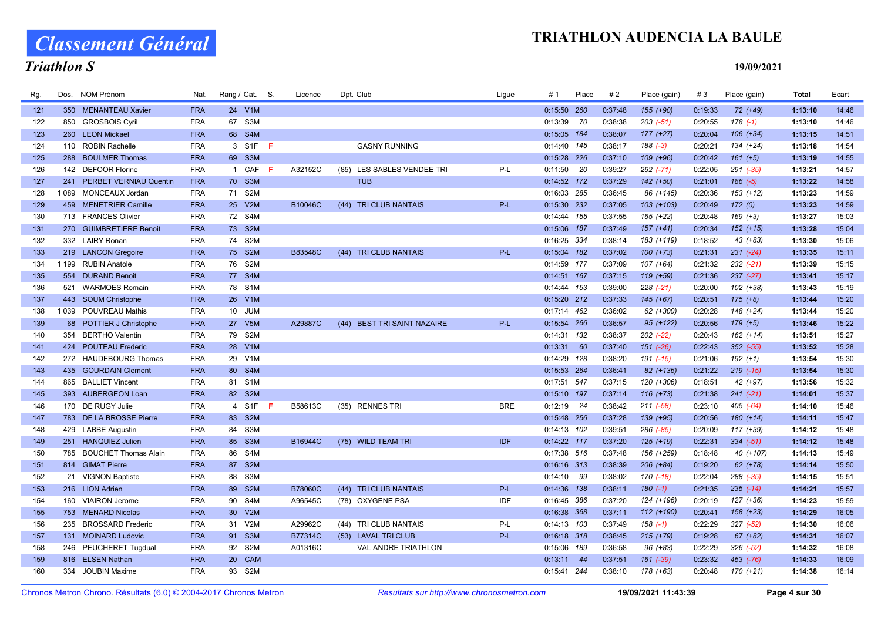Classement Général

# Triathlon S

| Rg. |         | Dos. NOM Prénom            | Nat.       | Rang / Cat. S. |        |    | Licence | Dpt. Club                       | Ligue      | # 1           | Place | #2      | Place (gain)  | #3      | Place (gain)  | <b>Total</b> | Ecart |
|-----|---------|----------------------------|------------|----------------|--------|----|---------|---------------------------------|------------|---------------|-------|---------|---------------|---------|---------------|--------------|-------|
| 121 |         | 350 MENANTEAU Xavier       | <b>FRA</b> |                | 24 V1M |    |         |                                 |            | 0:15:50 260   |       | 0:37:48 | $155 (+90)$   | 0:19:33 | 72 (+49)      | 1:13:10      | 14:46 |
| 122 |         | 850 GROSBOIS Cyril         | <b>FRA</b> |                | 67 S3M |    |         |                                 |            | 0:13:39       | 70    | 0:38:38 | $203$ $(-51)$ | 0:20:55 | $178(-1)$     | 1:13:10      | 14:46 |
| 123 |         | 260 LEON Mickael           | <b>FRA</b> |                | 68 S4M |    |         |                                 |            | 0:15:05 184   |       | 0:38:07 | $177 (+27)$   | 0:20:04 | $106 (+34)$   | 1:13:15      | 14:51 |
| 124 |         | 110 ROBIN Rachelle         | <b>FRA</b> |                | 3 S1F  | F  |         | <b>GASNY RUNNING</b>            |            | $0:14:40$ 145 |       | 0:38:17 | $188(-3)$     | 0:20:21 | 134 (+24)     | 1:13:18      | 14:54 |
| 125 |         | 288 BOULMER Thomas         | <b>FRA</b> |                | 69 S3M |    |         |                                 |            | 0:15:28 226   |       | 0:37:10 | 109 (+96)     | 0:20:42 | $161 (+5)$    | 1:13:19      | 14:55 |
| 126 |         | 142 DEFOOR Florine         | <b>FRA</b> |                | 1 CAF  | F. | A32152C | LES SABLES VENDEE TRI<br>(85)   | P-L        | 0:11:50       | 20    | 0:39:27 | 262 (-71)     | 0:22:05 | 291 (-35)     | 1:13:21      | 14:57 |
| 127 |         | 241 PERBET VERNIAU Quentin | <b>FRA</b> |                | 70 S3M |    |         | <b>TUB</b>                      |            | $0:14:52$ 172 |       | 0:37:29 | $142 (+50)$   | 0:21:01 | $186 (-5)$    | 1:13:22      | 14:58 |
| 128 | 1089    | MONCEAUX Jordan            | <b>FRA</b> | 71 S2M         |        |    |         |                                 |            | 0:16:03 285   |       | 0:36:45 | 86 (+145)     | 0:20:36 | $153 (+12)$   | 1:13:23      | 14:59 |
| 129 |         | 459 MENETRIER Camille      | <b>FRA</b> |                | 25 V2M |    | B10046C | (44) TRI CLUB NANTAIS           | P-L        | 0:15:30 232   |       | 0:37:05 | 103 (+103)    | 0:20:49 | 172(0)        | 1:13:23      | 14:59 |
| 130 |         | 713 FRANCES Olivier        | <b>FRA</b> |                | 72 S4M |    |         |                                 |            | $0:14:44$ 155 |       | 0:37:55 | 165 (+22)     | 0:20:48 | $169 (+3)$    | 1:13:27      | 15:03 |
| 131 |         | 270 GUIMBRETIERE Benoit    | <b>FRA</b> |                | 73 S2M |    |         |                                 |            | 0:15:06 187   |       | 0:37:49 | $157 (+41)$   | 0:20:34 | $152 (+15)$   | 1:13:28      | 15:04 |
| 132 |         | 332 LAIRY Ronan            | <b>FRA</b> |                | 74 S2M |    |         |                                 |            | 0:16:25 334   |       | 0:38:14 | 183 (+119)    | 0:18:52 | $43 (+83)$    | 1:13:30      | 15:06 |
| 133 |         | 219 LANCON Gregoire        | <b>FRA</b> |                | 75 S2M |    | B83548C | (44) TRI CLUB NANTAIS           | P-L        | 0:15:04 182   |       | 0:37:02 | $100 (+73)$   | 0:21:31 | $231 (-24)$   | 1:13:35      | 15:11 |
| 134 | 1 1 9 9 | <b>RUBIN Anatole</b>       | <b>FRA</b> |                | 76 S2M |    |         |                                 |            | 0:14:59 177   |       | 0:37:09 | $107 (+64)$   | 0:21:32 | $232 (-21)$   | 1:13:39      | 15:15 |
| 135 |         | 554 DURAND Benoit          | <b>FRA</b> |                | 77 S4M |    |         |                                 |            | $0:14:51$ 167 |       | 0:37:15 | 119 (+59)     | 0:21:36 | $237 (-27)$   | 1:13:41      | 15:17 |
| 136 |         | 521 WARMOES Romain         | <b>FRA</b> |                | 78 S1M |    |         |                                 |            | 0:14:44 153   |       | 0:39:00 | $228$ $(-21)$ | 0:20:00 | $102 (+38)$   | 1:13:43      | 15:19 |
| 137 |         | 443 SOUM Christophe        | <b>FRA</b> |                | 26 V1M |    |         |                                 |            | 0:15:20 212   |       | 0:37:33 | $145 (+67)$   | 0:20:51 | $175 (+8)$    | 1:13:44      | 15:20 |
| 138 |         | 1 039 POUVREAU Mathis      | <b>FRA</b> |                | 10 JUM |    |         |                                 |            | $0:17:14$ 462 |       | 0:36:02 | 62 (+300)     | 0:20:28 | 148 (+24)     | 1:13:44      | 15:20 |
| 139 |         | 68 POTTIER J Christophe    | <b>FRA</b> |                | 27 V5M |    | A29887C | (44) BEST TRI SAINT NAZAIRE     | P-L        | 0:15:54 266   |       | 0:36:57 | 95 (+122)     | 0:20:56 | $179 (+5)$    | 1:13:46      | 15:22 |
| 140 |         | 354 BERTHO Valentin        | <b>FRA</b> |                | 79 S2M |    |         |                                 |            | $0:14:31$ 132 |       | 0:38:37 | $202$ (-22)   | 0:20:43 | 162 (+14)     | 1:13:51      | 15:27 |
| 141 |         | 424 POUTEAU Frederic       | <b>FRA</b> |                | 28 V1M |    |         |                                 |            | 0:13:31       | 60    | 0:37:40 | 151 (-26)     | 0:22:43 | $352$ $(-55)$ | 1:13:52      | 15:28 |
| 142 |         | 272 HAUDEBOURG Thomas      | <b>FRA</b> |                | 29 V1M |    |         |                                 |            | 0:14:29 128   |       | 0:38:20 | 191 (-15)     | 0:21:06 | $192 (+1)$    | 1:13:54      | 15:30 |
| 143 |         | 435 GOURDAIN Clement       | <b>FRA</b> |                | 80 S4M |    |         |                                 |            | 0:15:53 264   |       | 0:36:41 | 82 (+136)     | 0:21:22 | $219$ (-15)   | 1:13:54      | 15:30 |
| 144 | 865     | <b>BALLIET Vincent</b>     | <b>FRA</b> |                | 81 S1M |    |         |                                 |            | 0:17:51 547   |       | 0:37:15 | 120 (+306)    | 0:18:51 | 42 (+97)      | 1:13:56      | 15:32 |
| 145 |         | 393 AUBERGEON Loan         | <b>FRA</b> |                | 82 S2M |    |         |                                 |            | $0:15:10$ 197 |       | 0:37:14 | $116 (+73)$   | 0:21:38 | $241 (-21)$   | 1:14:01      | 15:37 |
| 146 |         | 170 DE RUGY Julie          | <b>FRA</b> |                | 4 S1F  | F  | B58613C | (35) RENNES TRI                 | <b>BRE</b> | 0:12:19       | 24    | 0:38:42 | $211 (-58)$   | 0:23:10 | 405 (-64)     | 1:14:10      | 15:46 |
| 147 |         | 783 DE LA BROSSE Pierre    | <b>FRA</b> |                | 83 S2M |    |         |                                 |            | 0:15:48 256   |       | 0:37:28 | 139 (+95)     | 0:20:56 | $180 (+14)$   | 1:14:11      | 15:47 |
| 148 |         | 429 LABBE Augustin         | <b>FRA</b> | 84             | S3M    |    |         |                                 |            | 0:14:13 102   |       | 0:39:51 | 286 (-85)     | 0:20:09 | 117 (+39)     | 1:14:12      | 15:48 |
| 149 |         | 251 HANQUIEZ Julien        | <b>FRA</b> |                | 85 S3M |    | B16944C | (75) WILD TEAM TRI              | IDF        | $0:14:22$ 117 |       | 0:37:20 | $125 (+19)$   | 0:22:31 | $334 (-51)$   | 1:14:12      | 15:48 |
| 150 |         | 785 BOUCHET Thomas Alain   | <b>FRA</b> |                | 86 S4M |    |         |                                 |            | 0:17:38 516   |       | 0:37:48 | 156 (+259)    | 0:18:48 | 40 (+107)     | 1:14:13      | 15:49 |
| 151 |         | 814 GIMAT Pierre           | <b>FRA</b> |                | 87 S2M |    |         |                                 |            | $0:16:16$ 313 |       | 0:38:39 | 206 (+84)     | 0:19:20 | $62 (+78)$    | 1:14:14      | 15:50 |
| 152 |         | 21 VIGNON Baptiste         | <b>FRA</b> |                | 88 S3M |    |         |                                 |            | $0:14:10$ 99  |       | 0:38:02 | 170 (-18)     | 0:22:04 | 288 (-35)     | 1:14:15      | 15:51 |
| 153 |         | 216 LION Adrien            | <b>FRA</b> |                | 89 S2M |    | B78060C | TRI CLUB NANTAIS<br>(44)        | P-L        | $0:14:36$ 138 |       | 0:38:11 | $180(-1)$     | 0:21:35 | $235$ $(-14)$ | 1:14:21      | 15:57 |
| 154 |         | 160 VIAIRON Jerome         | <b>FRA</b> |                | 90 S4M |    | A96545C | (78) OXYGENE PSA                | IDF        | 0:16:45 386   |       | 0:37:20 | 124 (+196)    | 0:20:19 | 127 (+36)     | 1:14:23      | 15:59 |
| 155 |         | 753 MENARD Nicolas         | <b>FRA</b> |                | 30 V2M |    |         |                                 |            | 0:16:38 368   |       | 0:37:11 | 112 (+190)    | 0:20:41 | $158 (+23)$   | 1:14:29      | 16:05 |
| 156 |         | 235 BROSSARD Frederic      | <b>FRA</b> |                | 31 V2M |    | A29962C | <b>TRI CLUB NANTAIS</b><br>(44) | P-L        | $0:14:13$ 103 |       | 0:37:49 | $158(-1)$     | 0:22:29 | 327 (-52)     | 1:14:30      | 16:06 |
| 157 |         | 131 MOINARD Ludovic        | <b>FRA</b> |                | 91 S3M |    | B77314C | (53) LAVAL TRI CLUB             | P-L        | $0:16:18$ 318 |       | 0:38:45 | $215 (+79)$   | 0:19:28 | $67 (+82)$    | 1:14:31      | 16:07 |
| 158 |         | 246 PEUCHERET Tugdual      | <b>FRA</b> |                | 92 S2M |    | A01316C | VAL ANDRE TRIATHLON             |            | 0:15:06 189   |       | 0:36:58 | $96 (+83)$    | 0:22:29 | $326$ $(-52)$ | 1:14:32      | 16:08 |
| 159 |         | 816 ELSEN Nathan           | <b>FRA</b> |                | 20 CAM |    |         |                                 |            | 0:13:11       | 44    | 0:37:51 | $161$ (-39)   | 0:23:32 | 453 (-76)     | 1:14:33      | 16:09 |
| 160 | 334     | <b>JOUBIN Maxime</b>       | <b>FRA</b> |                | 93 S2M |    |         |                                 |            | 0:15:41 244   |       | 0:38:10 | 178 (+63)     | 0:20:48 | 170 (+21)     | 1:14:38      | 16:14 |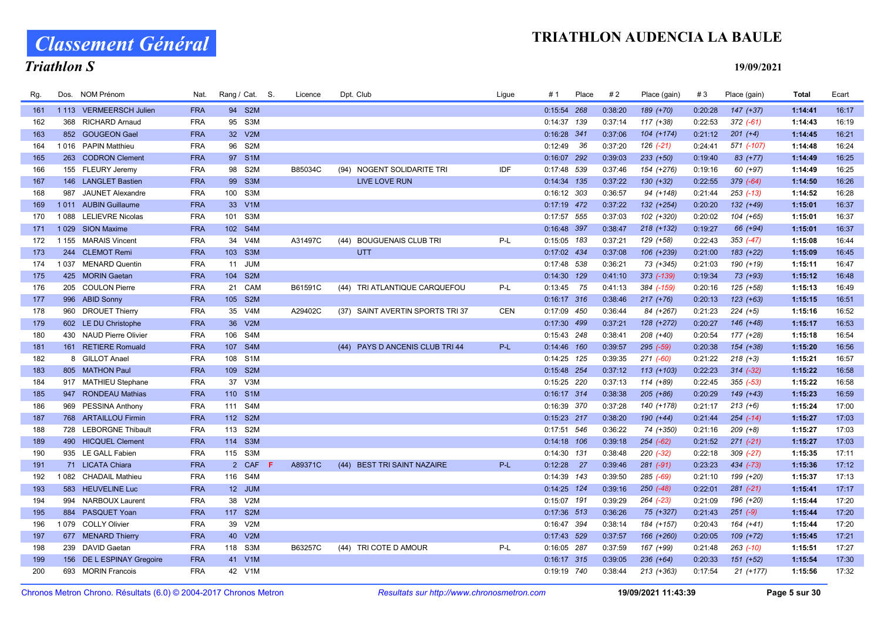Classement Général

### Triathlon S

| Rg. | Dos.    | NOM Prénom                                      | Nat.                     |                   | Rang / Cat. S.   | Licence | Dpt. Club                          | Ligue      | # 1                          | Place | #2                 | Place (gain)  | #3      | Place (gain)  | Total              | Ecart          |
|-----|---------|-------------------------------------------------|--------------------------|-------------------|------------------|---------|------------------------------------|------------|------------------------------|-------|--------------------|---------------|---------|---------------|--------------------|----------------|
| 161 |         | 1 113 VERMEERSCH Julien                         | <b>FRA</b>               | 94 S2M            |                  |         |                                    |            | $0:15:54$ 268                |       | 0:38:20            | 189 (+70)     | 0:20:28 | $147 (+37)$   | 1:14:41            | 16:17          |
| 162 |         | 368 RICHARD Arnaud                              | <b>FRA</b>               | 95 S3M            |                  |         |                                    |            | $0:14:37$ 139                |       | 0:37:14            | 117 (+38)     | 0:22:53 | $372(-61)$    | 1:14:43            | 16:19          |
| 163 |         | 852 GOUGEON Gael                                | <b>FRA</b>               | 32 V2M            |                  |         |                                    |            | 0:16:28 341                  |       | 0:37:06            | $104 (+174)$  | 0:21:12 | $201 (+4)$    | 1:14:45            | 16:21          |
| 164 |         | 1016 PAPIN Matthieu                             | <b>FRA</b>               | 96 S2M            |                  |         |                                    |            | 0:12:49                      | 36    | 0:37:20            | $126$ $(-21)$ | 0:24:41 | 571 (-107)    | 1:14:48            | 16:24          |
| 165 |         | 263 CODRON Clement                              | <b>FRA</b>               | 97 S1M            |                  |         |                                    |            | 0:16:07 292                  |       | 0:39:03            | $233 (+50)$   | 0:19:40 | 83 (+77)      | 1:14:49            | 16:25          |
| 166 |         | 155 FLEURY Jeremy                               | <b>FRA</b>               | 98 S2M            |                  | B85034C | (94) NOGENT SOLIDARITE TRI         | IDF        | $0:17:48$ 539                |       | 0:37:46            | 154 (+276)    | 0:19:16 | 60 (+97)      | 1:14:49            | 16:25          |
| 167 |         | 146 LANGLET Bastien                             | <b>FRA</b>               | 99 S3M            |                  |         | <b>LIVE LOVE RUN</b>               |            | $0:14:34$ 135                |       | 0:37:22            | $130 (+32)$   | 0:22:55 | $379(-64)$    | 1:14:50            | 16:26          |
| 168 | 987     | <b>JAUNET Alexandre</b>                         | <b>FRA</b>               | 100               | S3M              |         |                                    |            | 0:16:12 303                  |       | 0:36:57            | 94 (+148)     | 0:21:44 | $253$ (-13)   | 1:14:52            | 16:28          |
| 169 |         | 1011 AUBIN Guillaume                            | <b>FRA</b>               | 33 V1M            |                  |         |                                    |            | $0:17:19$ 472                |       | 0:37:22            | 132 (+254)    | 0:20:20 | 132 (+49)     | 1:15:01            | 16:37          |
| 170 | 1088    | <b>LELIEVRE Nicolas</b>                         | <b>FRA</b>               | 101 S3M           |                  |         |                                    |            | 0:17:57 555                  |       | 0:37:03            | 102 (+320)    | 0:20:02 | 104 (+65)     | 1:15:01            | 16:37          |
| 171 |         | 1029 SION Maxime                                | <b>FRA</b>               | 102 S4M           |                  |         |                                    |            | 0:16:48 397                  |       | 0:38:47            | $218 (+132)$  | 0:19:27 | 66 (+94)      | 1:15:01            | 16:37          |
| 172 |         | 1 155 MARAIS Vincent                            | <b>FRA</b>               | 34 V4M            |                  | A31497C | <b>BOUGUENAIS CLUB TRI</b><br>(44) | $P-L$      | $0:15:05$ 183                |       | 0:37:21            | 129 (+58)     | 0:22:43 | $353 (-47)$   | 1:15:08            | 16:44          |
| 173 | 244     | <b>CLEMOT Remi</b>                              | <b>FRA</b>               | 103 S3M           |                  |         | <b>UTT</b>                         |            | 0:17:02 434                  |       | 0:37:08            | 106 (+239)    | 0:21:00 | 183 (+22)     | 1:15:09            | 16:45          |
| 174 | 1 0 3 7 | <b>MENARD Quentin</b>                           | <b>FRA</b>               | 11 JUM            |                  |         |                                    |            | 0:17:48 538                  |       | 0:36:21            | 73 (+345)     | 0:21:03 | 190 (+19)     | 1:15:11            | 16:47          |
| 175 |         | 425 MORIN Gaetan                                | <b>FRA</b>               | 104 S2M           |                  |         |                                    |            | $0:14:30$ 129                |       | 0:41:10            | 373 (-139)    | 0:19:34 | 73 (+93)      | 1:15:12            | 16:48          |
| 176 |         | 205 COULON Pierre                               | <b>FRA</b>               | 21 CAM            |                  | B61591C | (44) TRI ATLANTIQUE CARQUEFOU      | $P-L$      | $0:13:45$ 75                 |       | 0:41:13            | 384 (-159)    | 0:20:16 | 125 (+58)     | 1:15:13            | 16:49          |
| 177 |         | 996 ABID Sonny                                  | <b>FRA</b>               | 105 S2M           |                  |         |                                    |            | $0:16:17$ 316                |       | 0:38:46            | $217 (+76)$   | 0:20:13 | $123 (+63)$   | 1:15:15            | 16:51          |
| 178 |         | 960 DROUET Thierry                              | <b>FRA</b>               | 35 V4M            |                  | A29402C | (37) SAINT AVERTIN SPORTS TRI 37   | <b>CEN</b> | 0:17:09 450                  |       | 0:36:44            | 84 (+267)     | 0:21:23 | $224 (+5)$    | 1:15:16            | 16:52          |
| 179 |         | 602 LE DU Christophe                            | <b>FRA</b>               | 36 V2M            |                  |         |                                    |            | $0:17:30$ 499                |       | 0:37:21            | 128 (+272)    | 0:20:27 | 146 (+48)     | 1:15:17            | 16:53          |
| 180 |         | 430 NAUD Pierre Olivier                         | <b>FRA</b>               | 106 S4M           |                  |         |                                    |            | 0:15:43 248                  |       | 0:38:41            | 208 (+40)     | 0:20:54 | 177 (+28)     | 1:15:18            | 16:54          |
| 181 |         | 161 RETIERE Romuald                             | <b>FRA</b>               | 107 S4M           |                  |         | (44) PAYS D ANCENIS CLUB TRI 44    | P-L        | $0:14:46$ 160                |       | 0:39:57            | 295 (-59)     | 0:20:38 | 154 (+38)     | 1:15:20            | 16:56          |
| 182 |         | 8 GILLOT Anael                                  | <b>FRA</b>               | 108               | S <sub>1</sub> M |         |                                    |            | $0:14:25$ 125                |       | 0:39:35            | $271$ $(-60)$ | 0:21:22 | $218 (+3)$    | 1:15:21            | 16:57          |
| 183 |         | 805 MATHON Paul                                 | <b>FRA</b>               | 109               | S <sub>2M</sub>  |         |                                    |            | 0:15:48 254                  |       | 0:37:12            | 113 (+103)    | 0:22:23 | $314 (-32)$   | 1:15:22            | 16:58          |
| 184 |         | 917 MATHIEU Stephane                            | <b>FRA</b>               | 37 V3M            |                  |         |                                    |            | 0:15:25 220                  |       | 0:37:13            | 114 (+89)     | 0:22:45 | $355 (-53)$   | 1:15:22            | 16:58          |
| 185 |         | 947 RONDEAU Mathias                             | <b>FRA</b>               | 110 S1M           |                  |         |                                    |            | $0:16:17$ 314                |       | 0:38:38            | $205 (+86)$   | 0:20:29 | 149 (+43)     | 1:15:23            | 16:59          |
| 186 |         | 969 PESSINA Anthony                             | <b>FRA</b>               | 111 S4M           |                  |         |                                    |            | 0:16:39 370                  |       | 0:37:28            | 140 (+178)    | 0:21:17 | $213 (+6)$    | 1:15:24            | 17:00          |
| 187 |         | 768 ARTAILLOU Firmin                            | <b>FRA</b>               | 112 S2M           |                  |         |                                    |            | 0:15:23 217                  |       | 0:38:20            | 190 (+44)     | 0:21:44 | $254$ (-14)   | 1:15:27            | 17:03          |
| 188 | 728     | <b>LEBORGNE Thibault</b>                        | <b>FRA</b>               | 113 S2M           |                  |         |                                    |            | 0:17:51 546                  |       | 0:36:22            | 74 (+350)     | 0:21:16 | $209 (+8)$    | 1:15:27            | 17:03          |
| 189 |         | 490 HICQUEL Clement                             | <b>FRA</b>               | 114 S3M           |                  |         |                                    |            | $0:14:18$ 106                |       | 0:39:18            | $254 (-62)$   | 0:21:52 | $271 (-21)$   | 1:15:27            | 17:03          |
| 190 |         | 935 LE GALL Fabien                              | <b>FRA</b>               | 115 S3M           |                  |         |                                    |            | $0:14:30$ 131                |       | 0:38:48            | 220 (-32)     | 0:22:18 | $309$ $(-27)$ | 1:15:35            | 17:11          |
| 191 |         | 71 LICATA Chiara                                | <b>FRA</b>               |                   | 2 CAF<br>-F      | A89371C | (44) BEST TRI SAINT NAZAIRE        | $P-L$      | $0:12:28$ 27                 |       | 0:39:46            | $281 (-91)$   | 0:23:23 | $434 (-73)$   | 1:15:36            | 17:12          |
| 192 |         | 1 082 CHADAIL Mathieu                           | <b>FRA</b>               | 116 S4M           |                  |         |                                    |            | $0:14:39$ 143                |       | 0:39:50            | 285 (-69)     | 0:21:10 | 199 (+20)     | 1:15:37            | 17:13          |
| 193 |         | 583 HEUVELINE Luc                               | <b>FRA</b>               | 12 JUM            |                  |         |                                    |            | $0:14:25$ 124                |       | 0:39:16            | $250$ (-48)   | 0:22:01 | $281 (-21)$   | 1:15:41            | 17:17          |
| 194 | 994     | <b>NARBOUX Laurent</b>                          | <b>FRA</b>               | 38 V2M<br>117 S2M |                  |         |                                    |            | 0:15:07 191                  |       | 0:39:29            | $264$ $(-23)$ | 0:21:09 | 196 (+20)     | 1:15:44            | 17:20          |
| 195 |         | 884 PASQUET Yoan                                | <b>FRA</b><br><b>FRA</b> |                   | V2M              |         |                                    |            | $0:17:36$ 513                |       | 0:36:26            | 75 (+327)     | 0:21:43 | $251 (-9)$    | 1:15:44            | 17:20          |
| 196 |         | 1079 COLLY Olivier                              |                          | 39                |                  |         |                                    |            | 0:16:47 394                  |       | 0:38:14            | 184 (+157)    | 0:20:43 | 164 (+41)     | 1:15:44            | 17:20          |
| 197 |         | 677 MENARD Thierry                              | <b>FRA</b>               | 40 V2M            |                  |         |                                    |            | 0:17:43 529                  |       | 0:37:57            | 166 (+260)    | 0:20:05 | 109 (+72)     | 1:15:45            | 17:21          |
| 198 |         | 239 DAVID Gaetan                                | <b>FRA</b><br><b>FRA</b> | 118 S3M           |                  | B63257C | (44) TRI COTE D AMOUR              | P-L        | 0:16:05 287<br>$0:16:17$ 315 |       | 0:37:59<br>0:39:05 | 167 (+99)     | 0:21:48 | $263$ $(-10)$ | 1:15:51<br>1:15:54 | 17:27<br>17:30 |
| 199 |         | 156 DE L ESPINAY Gregoire<br>693 MORIN Francois | <b>FRA</b>               | 41 V1M            |                  |         |                                    |            |                              |       |                    | $236 (+64)$   | 0:20:33 | 151 (+52)     |                    | 17:32          |
| 200 |         |                                                 |                          | 42 V1M            |                  |         |                                    |            | 0:19:19 740                  |       | 0:38:44            | 213 (+363)    | 0:17:54 | $21 (+177)$   | 1:15:56            |                |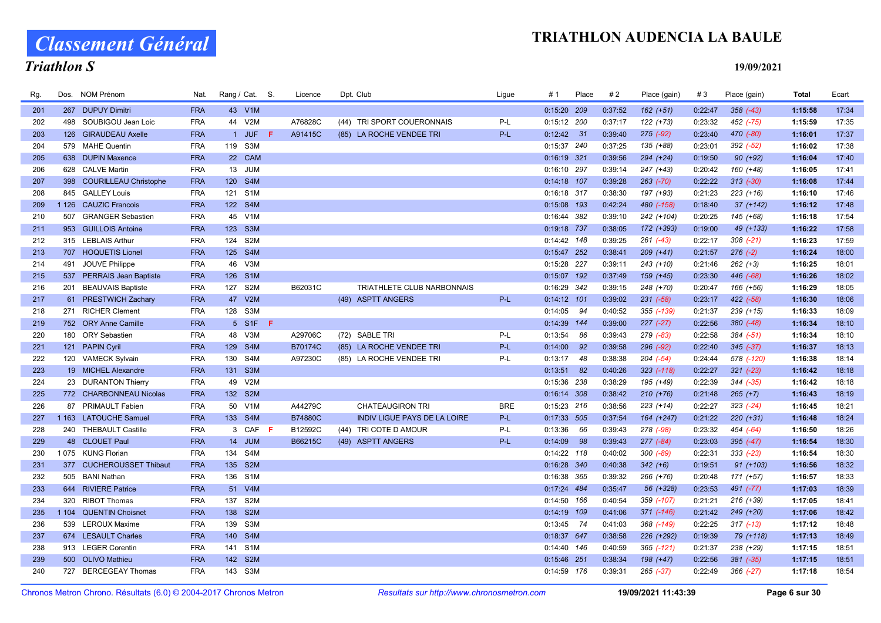# Classement Général

# Triathlon S

| Rg. | Dos. | <b>NOM Prénom</b>         | Nat.       | Rang / Cat. S. |                  |     | Licence        | Dpt. Club                           | Ligue      | #1            | Place | #2      | Place (gain)  | #3      | Place (gain)  | <b>Total</b> | Ecart |
|-----|------|---------------------------|------------|----------------|------------------|-----|----------------|-------------------------------------|------------|---------------|-------|---------|---------------|---------|---------------|--------------|-------|
| 201 |      | 267 DUPUY Dimitri         | <b>FRA</b> |                | 43 V1M           |     |                |                                     |            | 0:15:20 209   |       | 0:37:52 | $162 (+51)$   | 0:22:47 | $358$ $(-43)$ | 1:15:58      | 17:34 |
| 202 |      | 498 SOUBIGOU Jean Loic    | <b>FRA</b> | 44 V2M         |                  |     | A76828C        | (44) TRI SPORT COUERONNAIS          | P-L        | $0:15:12$ 200 |       | 0:37:17 | 122 (+73)     | 0:23:32 | 452 (-75)     | 1:15:59      | 17:35 |
| 203 |      | 126 GIRAUDEAU Axelle      | <b>FRA</b> |                | 1 JUF            | F.  | A91415C        | (85) LA ROCHE VENDEE TRI            | P-L        | $0:12:42$ 31  |       | 0:39:40 | 275 (-92)     | 0:23:40 | 470 (-80)     | 1:16:01      | 17:37 |
| 204 |      | 579 MAHE Quentin          | <b>FRA</b> | 119 S3M        |                  |     |                |                                     |            | 0:15:37 240   |       | 0:37:25 | 135 (+88)     | 0:23:01 | 392 (-52)     | 1:16:02      | 17:38 |
| 205 |      | 638 DUPIN Maxence         | <b>FRA</b> |                | 22 CAM           |     |                |                                     |            | $0:16:19$ 321 |       | 0:39:56 | 294 (+24)     | 0:19:50 | $90 (+92)$    | 1:16:04      | 17:40 |
| 206 |      | 628 CALVE Martin          | <b>FRA</b> | 13 JUM         |                  |     |                |                                     |            | 0:16:10 297   |       | 0:39:14 | 247 (+43)     | 0:20:42 | 160 (+48)     | 1:16:05      | 17:41 |
| 207 |      | 398 COURILLEAU Christophe | <b>FRA</b> | 120 S4M        |                  |     |                |                                     |            | $0:14:18$ 107 |       | 0:39:28 | $263$ $(-70)$ | 0:22:22 | $313 (-30)$   | 1:16:08      | 17:44 |
| 208 |      | 845 GALLEY Louis          | <b>FRA</b> | 121 S1M        |                  |     |                |                                     |            | 0:16:18 317   |       | 0:38:30 | 197 (+93)     | 0:21:23 | $223 (+16)$   | 1:16:10      | 17:46 |
| 209 |      | 1 126 CAUZIC Francois     | <b>FRA</b> | 122 S4M        |                  |     |                |                                     |            | $0:15:08$ 193 |       | 0:42:24 | 480 (-158)    | 0:18:40 | $37 (+142)$   | 1:16:12      | 17:48 |
| 210 |      | 507 GRANGER Sebastien     | <b>FRA</b> | 45 V1M         |                  |     |                |                                     |            | 0:16:44 382   |       | 0:39:10 | 242 (+104)    | 0:20:25 | 145 (+68)     | 1:16:18      | 17:54 |
| 211 |      | 953 GUILLOIS Antoine      | <b>FRA</b> | 123 S3M        |                  |     |                |                                     |            | 0:19:18 737   |       | 0:38:05 | 172 (+393)    | 0:19:00 | 49 (+133)     | 1:16:22      | 17:58 |
| 212 |      | 315 LEBLAIS Arthur        | <b>FRA</b> | 124 S2M        |                  |     |                |                                     |            | $0:14:42$ 148 |       | 0:39:25 | $261$ $(-43)$ | 0:22:17 | $308$ $(-21)$ | 1:16:23      | 17:59 |
| 213 |      | 707 HOQUETIS Lionel       | <b>FRA</b> | 125 S4M        |                  |     |                |                                     |            | 0:15:47 252   |       | 0:38:41 | $209 (+41)$   | 0:21:57 | $276(-2)$     | 1:16:24      | 18:00 |
| 214 | 491  | JOUVE Philippe            | <b>FRA</b> | 46             | V3M              |     |                |                                     |            | 0:15:28 227   |       | 0:39:11 | 243 (+10)     | 0:21:46 | $262 (+3)$    | 1:16:25      | 18:01 |
| 215 |      | 537 PERRAIS Jean Baptiste | <b>FRA</b> | 126 S1M        |                  |     |                |                                     |            | 0:15:07 192   |       | 0:37:49 | $159 (+45)$   | 0:23:30 | 446 (-68)     | 1:16:26      | 18:02 |
| 216 |      | 201 BEAUVAIS Baptiste     | <b>FRA</b> | 127 S2M        |                  |     | B62031C        | TRIATHLETE CLUB NARBONNAIS          |            | 0:16:29 342   |       | 0:39:15 | 248 (+70)     | 0:20:47 | 166 (+56)     | 1:16:29      | 18:05 |
| 217 |      | 61 PRESTWICH Zachary      | <b>FRA</b> | 47 V2M         |                  |     |                | (49) ASPTT ANGERS                   | P-L        | $0:14:12$ 101 |       | 0:39:02 | $231 (-58)$   | 0:23:17 | $422 (-58)$   | 1:16:30      | 18:06 |
| 218 |      | 271 RICHER Clement        | <b>FRA</b> | 128 S3M        |                  |     |                |                                     |            | 0:14:05       | 94    | 0:40:52 | 355 (-139)    | 0:21:37 | $239 (+15)$   | 1:16:33      | 18:09 |
| 219 |      | 752 ORY Anne Camille      | <b>FRA</b> |                | 5 S1F            | - F |                |                                     |            | $0:14:39$ 144 |       | 0:39:00 | $227 (-27)$   | 0:22:56 | $380 (-48)$   | 1:16:34      | 18:10 |
| 220 |      | 180 ORY Sebastien         | <b>FRA</b> | 48 V3M         |                  |     | A29706C        | (72) SABLE TRI                      | P-L        | 0:13:54       | 86    | 0:39:43 | 279 (-83)     | 0:22:58 | $384 (-51)$   | 1:16:34      | 18:10 |
| 221 |      | 121 PAPIN Cyril           | <b>FRA</b> | 129 S4M        |                  |     | B70174C        | (85) LA ROCHE VENDEE TRI            | P-L        | 0:14:00       | 92    | 0:39:58 | 296 (-92)     | 0:22:40 | $345 (-37)$   | 1:16:37      | 18:13 |
| 222 |      | 120 VAMECK Sylvain        | <b>FRA</b> | 130 S4M        |                  |     | A97230C        | (85) LA ROCHE VENDEE TRI            | P-L        | 0:13:17       | 48    | 0:38:38 | $204$ $(-54)$ | 0:24:44 | 578 (-120)    | 1:16:38      | 18:14 |
| 223 |      | 19 MICHEL Alexandre       | <b>FRA</b> | 131 S3M        |                  |     |                |                                     |            | 0:13:51       | 82    | 0:40:26 | 323 (-118)    | 0:22:27 | $321 (-23)$   | 1:16:42      | 18:18 |
| 224 |      | 23 DURANTON Thierry       | <b>FRA</b> | 49             | V2M              |     |                |                                     |            | 0:15:36 238   |       | 0:38:29 | 195 (+49)     | 0:22:39 | 344 (-35)     | 1:16:42      | 18:18 |
| 225 |      | 772 CHARBONNEAU Nicolas   | <b>FRA</b> | 132 S2M        |                  |     |                |                                     |            | $0:16:14$ 308 |       | 0:38:42 | $210 (+76)$   | 0:21:48 | $265 (+7)$    | 1:16:43      | 18:19 |
| 226 | 87   | <b>PRIMAULT Fabien</b>    | <b>FRA</b> | 50 V1M         |                  |     | A44279C        | <b>CHATEAUGIRON TRI</b>             | <b>BRE</b> | 0:15:23 216   |       | 0:38:56 | $223 (+14)$   | 0:22:27 | $323 (-24)$   | 1:16:45      | 18:21 |
| 227 |      | 1 163 LATOUCHE Samuel     | <b>FRA</b> | 133 S4M        |                  |     | <b>B74880C</b> | <b>INDIV LIGUE PAYS DE LA LOIRE</b> | P-L        | $0:17:33$ 505 |       | 0:37:54 | 164 (+247)    | 0:21:22 | $220 (+31)$   | 1:16:48      | 18:24 |
| 228 |      | 240 THEBAULT Castille     | <b>FRA</b> |                | 3 CAF            | -F. | B12592C        | (44) TRI COTE D AMOUR               | P-L        | 0:13:36       | 66    | 0:39:43 | 278 (-98)     | 0:23:32 | 454 (-64)     | 1:16:50      | 18:26 |
| 229 |      | 48 CLOUET Paul            | <b>FRA</b> |                | 14 JUM           |     | B66215C        | (49) ASPTT ANGERS                   | P-L        | 0:14:09       | 98    | 0:39:43 | 277 (-84)     | 0:23:03 | $395 (-47)$   | 1:16:54      | 18:30 |
| 230 |      | 1075 KUNG Florian         | <b>FRA</b> | 134            | S4M              |     |                |                                     |            | $0:14:22$ 118 |       | 0:40:02 | 300 (-89)     | 0:22:31 | $333 (-23)$   | 1:16:54      | 18:30 |
| 231 |      | 377 CUCHEROUSSET Thibaut  | <b>FRA</b> | 135 S2M        |                  |     |                |                                     |            | 0:16:28 340   |       | 0:40:38 | $342 (+6)$    | 0:19:51 | $91 (+103)$   | 1:16:56      | 18:32 |
| 232 |      | 505 BANI Nathan           | <b>FRA</b> | 136 S1M        |                  |     |                |                                     |            | 0:16:38 365   |       | 0:39:32 | 266 (+76)     | 0:20:48 | 171 (+57)     | 1:16:57      | 18:33 |
| 233 |      | 644 RIVIERE Patrice       | <b>FRA</b> | 51 V4M         |                  |     |                |                                     |            | $0:17:24$ 484 |       | 0:35:47 | 56 (+328)     | 0:23:53 | 491 (-77)     | 1:17:03      | 18:39 |
| 234 | 320  | <b>RIBOT Thomas</b>       | <b>FRA</b> | 137            | S <sub>2</sub> M |     |                |                                     |            | $0:14:50$ 166 |       | 0:40:54 | 359 (-107)    | 0:21:21 | $216 (+39)$   | 1:17:05      | 18:41 |
| 235 |      | 1 104 QUENTIN Choisnet    | <b>FRA</b> | 138 S2M        |                  |     |                |                                     |            | $0:14:19$ 109 |       | 0:41:06 | 371 (-146)    | 0:21:42 | 249 (+20)     | 1:17:06      | 18:42 |
| 236 |      | 539 LEROUX Maxime         | <b>FRA</b> | 139            | S3M              |     |                |                                     |            | 0:13:45       | 74    | 0:41:03 | 368 (-149)    | 0:22:25 | $317$ (-13)   | 1:17:12      | 18:48 |
| 237 |      | 674 LESAULT Charles       | <b>FRA</b> | 140 S4M        |                  |     |                |                                     |            | 0:18:37 647   |       | 0:38:58 | 226 (+292)    | 0:19:39 | 79 (+118)     | 1:17:13      | 18:49 |
| 238 |      | 913 LEGER Corentin        | <b>FRA</b> | 141 S1M        |                  |     |                |                                     |            | $0:14:40$ 146 |       | 0:40:59 | 365 (-121)    | 0:21:37 | 238 (+29)     | 1:17:15      | 18:51 |
| 239 |      | 500 OLIVO Mathieu         | <b>FRA</b> | 142 S2M        |                  |     |                |                                     |            | 0:15:46 251   |       | 0:38:34 | 198 (+47)     | 0:22:56 | $381 (-35)$   | 1:17:15      | 18:51 |
| 240 |      | 727 BERCEGEAY Thomas      | <b>FRA</b> | 143 S3M        |                  |     |                |                                     |            | 0:14:59 176   |       | 0:39:31 | 265 (-37)     | 0:22:49 | $366 (-27)$   | 1:17:18      | 18:54 |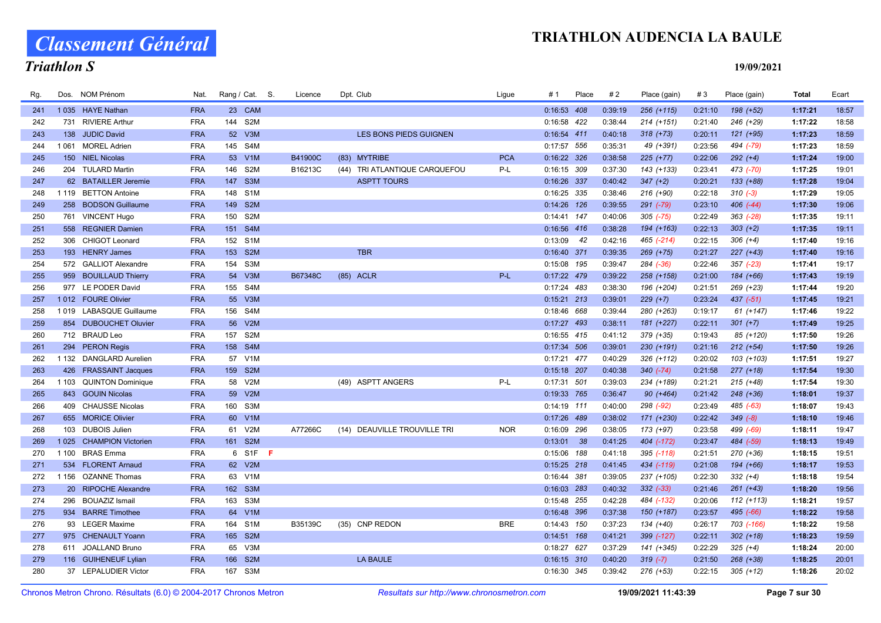Classement Général

# Triathlon S

| Rg. | Dos.    | NOM Prénom                | Nat.       | Rang / Cat. S.          |     | Licence | Dpt. Club                     | Ligue      | # 1           | Place | #2      | Place (gain)  | #3      | Place (gain)  | Total   | Ecart |
|-----|---------|---------------------------|------------|-------------------------|-----|---------|-------------------------------|------------|---------------|-------|---------|---------------|---------|---------------|---------|-------|
| 241 |         | 1035 HAYE Nathan          | <b>FRA</b> | 23 CAM                  |     |         |                               |            | 0:16:53 408   |       | 0:39:19 | 256 (+115)    | 0:21:10 | 198 (+52)     | 1:17:21 | 18:57 |
| 242 | 731     | <b>RIVIERE Arthur</b>     | <b>FRA</b> | S <sub>2</sub> M<br>144 |     |         |                               |            | 0:16:58 422   |       | 0:38:44 | $214 (+151)$  | 0:21:40 | 246 (+29)     | 1:17:22 | 18:58 |
| 243 | 138     | <b>JUDIC David</b>        | <b>FRA</b> | 52 V3M                  |     |         | LES BONS PIEDS GUIGNEN        |            | 0:16:54 411   |       | 0:40:18 | $318 (+73)$   | 0:20:11 | $121 (+95)$   | 1:17:23 | 18:59 |
| 244 |         | 1061 MOREL Adrien         | <b>FRA</b> | S4M<br>145              |     |         |                               |            | 0:17:57 556   |       | 0:35:31 | 49 (+391)     | 0:23:56 | 494 (-79)     | 1:17:23 | 18:59 |
| 245 |         | 150 NIEL Nicolas          | <b>FRA</b> | 53<br>V1M               |     | B41900C | (83) MYTRIBE                  | <b>PCA</b> | 0:16:22 326   |       | 0:38:58 | $225 (+77)$   | 0:22:06 | $292 (+4)$    | 1:17:24 | 19:00 |
| 246 |         | 204 TULARD Martin         | <b>FRA</b> | 146<br>S <sub>2</sub> M |     | B16213C | (44) TRI ATLANTIQUE CARQUEFOU | P-L        | 0:16:15 309   |       | 0:37:30 | 143 (+133)    | 0:23:41 | 473 (-70)     | 1:17:25 | 19:01 |
| 247 |         | 62 BATAILLER Jeremie      | <b>FRA</b> | 147<br>S <sub>3</sub> M |     |         | <b>ASPTT TOURS</b>            |            | 0:16:26 337   |       | 0:40:42 | $347 (+2)$    | 0:20:21 | $133 (+88)$   | 1:17:28 | 19:04 |
| 248 | 1 1 1 9 | <b>BETTON Antoine</b>     | <b>FRA</b> | S <sub>1</sub> M<br>148 |     |         |                               |            | 0:16:25 335   |       | 0:38:46 | 216 (+90)     | 0:22:18 | $310(-3)$     | 1:17:29 | 19:05 |
| 249 | 258     | <b>BODSON Guillaume</b>   | <b>FRA</b> | 149 S2M                 |     |         |                               |            | 0:14:26 126   |       | 0:39:55 | 291 (-79)     | 0:23:10 | $406$ $(-44)$ | 1:17:30 | 19:06 |
| 250 |         | 761 VINCENT Hugo          | <b>FRA</b> | S <sub>2</sub> M<br>150 |     |         |                               |            | 0:14:41 147   |       | 0:40:06 | $305$ $(-75)$ | 0:22:49 | $363$ (-28)   | 1:17:35 | 19:11 |
| 251 |         | 558 REGNIER Damien        | <b>FRA</b> | 151 S4M                 |     |         |                               |            | 0:16:56 416   |       | 0:38:28 | 194 (+163)    | 0:22:13 | $303 (+2)$    | 1:17:35 | 19:11 |
| 252 | 306     | <b>CHIGOT Leonard</b>     | <b>FRA</b> | 152<br>S <sub>1</sub> M |     |         |                               |            | 0:13:09       | 42    | 0:42:16 | 465 (-214)    | 0:22:15 | $306 (+4)$    | 1:17:40 | 19:16 |
| 253 |         | 193 HENRY James           | <b>FRA</b> | S <sub>2M</sub><br>153  |     |         | <b>TBR</b>                    |            | 0:16:40 371   |       | 0:39:35 | 269 (+75)     | 0:21:27 | $227 (+43)$   | 1:17:40 | 19:16 |
| 254 |         | 572 GALLIOT Alexandre     | <b>FRA</b> | 154<br>S <sub>3</sub> M |     |         |                               |            | 0:15:08 195   |       | 0:39:47 | 284 (-36)     | 0:22:46 | $357$ (-23)   | 1:17:41 | 19:17 |
| 255 |         | 959 BOUILLAUD Thierry     | <b>FRA</b> | 54 V3M                  |     | B67348C | (85) ACLR                     | P-L        | 0:17:22 479   |       | 0:39:22 | 258 (+158)    | 0:21:00 | 184 (+66)     | 1:17:43 | 19:19 |
| 256 |         | 977 LE PODER David        | <b>FRA</b> | 155 S4M                 |     |         |                               |            | 0:17:24 483   |       | 0:38:30 | 196 (+204)    | 0:21:51 | 269 (+23)     | 1:17:44 | 19:20 |
| 257 |         | 1012 FOURE Olivier        | <b>FRA</b> | 55 V3M                  |     |         |                               |            | $0:15:21$ 213 |       | 0:39:01 | $229 (+7)$    | 0:23:24 | $437 (-51)$   | 1:17:45 | 19:21 |
| 258 | 1019    | LABASQUE Guillaume        | <b>FRA</b> | S4M<br>156              |     |         |                               |            | 0:18:46 668   |       | 0:39:44 | 280 (+263)    | 0:19:17 | $61 (+147)$   | 1:17:46 | 19:22 |
| 259 |         | 854 DUBOUCHET Oluvier     | <b>FRA</b> | V2M<br>56               |     |         |                               |            | 0:17:27 493   |       | 0:38:11 | 181 (+227)    | 0:22:11 | $301 (+7)$    | 1:17:49 | 19:25 |
| 260 |         | 712 BRAUD Leo             | <b>FRA</b> | S <sub>2</sub> M<br>157 |     |         |                               |            | 0:16:55 415   |       | 0:41:12 | 379 (+35)     | 0:19:43 | 85 (+120)     | 1:17:50 | 19:26 |
| 261 |         | 294 PERON Regis           | <b>FRA</b> | 158 S4M                 |     |         |                               |            | 0:17:34 506   |       | 0:39:01 | 230 (+191)    | 0:21:16 | $212 (+54)$   | 1:17:50 | 19:26 |
| 262 |         | 1 132 DANGLARD Aurelien   | <b>FRA</b> | 57 V1M                  |     |         |                               |            | 0:17:21 477   |       | 0:40:29 | 326 (+112)    | 0:20:02 | 103 (+103)    | 1:17:51 | 19:27 |
| 263 |         | 426 FRASSAINT Jacques     | <b>FRA</b> | 159 S2M                 |     |         |                               |            | 0:15:18 207   |       | 0:40:38 | $340 (-74)$   | 0:21:58 | $277 (+18)$   | 1:17:54 | 19:30 |
| 264 | 1 1 0 3 | <b>QUINTON Dominique</b>  | <b>FRA</b> | V <sub>2</sub> M<br>58  |     |         | (49) ASPTT ANGERS             | $P-L$      | 0:17:31 501   |       | 0:39:03 | 234 (+189)    | 0:21:21 | $215 (+48)$   | 1:17:54 | 19:30 |
| 265 |         | 843 GOUIN Nicolas         | <b>FRA</b> | 59 V2M                  |     |         |                               |            | 0:19:33 765   |       | 0:36:47 | $90 (+464)$   | 0:21:42 | $248 (+36)$   | 1:18:01 | 19:37 |
| 266 | 409     | <b>CHAUSSE Nicolas</b>    | <b>FRA</b> | S <sub>3</sub> M<br>160 |     |         |                               |            | 0:14:19 111   |       | 0:40:00 | 298 (-92)     | 0:23:49 | 485 (-63)     | 1:18:07 | 19:43 |
| 267 |         | 655 MORICE Olivier        | <b>FRA</b> | 60 V1M                  |     |         |                               |            | 0:17:26 489   |       | 0:38:02 | 171 (+230)    | 0:22:42 | $349(-8)$     | 1:18:10 | 19:46 |
| 268 | 103     | <b>DUBOIS Julien</b>      | <b>FRA</b> | V2M<br>61               |     | A77266C | (14) DEAUVILLE TROUVILLE TRI  | <b>NOR</b> | 0:16:09 296   |       | 0:38:05 | 173 (+97)     | 0:23:58 | 499 (-69)     | 1:18:11 | 19:47 |
| 269 | 1 0 2 5 | <b>CHAMPION Victorien</b> | <b>FRA</b> | S <sub>2M</sub><br>161  |     |         |                               |            | 0:13:01       | 38    | 0:41:25 | 404 (-172)    | 0:23:47 | 484 (-59)     | 1:18:13 | 19:49 |
| 270 | 1 100   | <b>BRAS</b> Emma          | <b>FRA</b> | 6 S1F                   | - F |         |                               |            | 0:15:06 188   |       | 0:41:18 | 395 (-118)    | 0:21:51 | 270 (+36)     | 1:18:15 | 19:51 |
| 271 | 534     | <b>FLORENT Arnaud</b>     | <b>FRA</b> | 62 V2M                  |     |         |                               |            | $0:15:25$ 218 |       | 0:41:45 | 434 (-119)    | 0:21:08 | 194 (+66)     | 1:18:17 | 19:53 |
| 272 | 1 1 5 6 | <b>OZANNE Thomas</b>      | <b>FRA</b> | 63 V1M                  |     |         |                               |            | 0:16:44 381   |       | 0:39:05 | 237 (+105)    | 0:22:30 | $332 (+4)$    | 1:18:18 | 19:54 |
| 273 |         | 20 RIPOCHE Alexandre      | <b>FRA</b> | 162 S3M                 |     |         |                               |            | 0:16:03 283   |       | 0:40:32 | $332 (-33)$   | 0:21:46 | $261 (+43)$   | 1:18:20 | 19:56 |
| 274 | 296     | <b>BOUAZIZ Ismail</b>     | <b>FRA</b> | S <sub>3</sub> M<br>163 |     |         |                               |            | 0:15:48 255   |       | 0:42:28 | 484 (-132)    | 0:20:06 | $112 (+113)$  | 1:18:21 | 19:57 |
| 275 |         | 934 BARRE Timothee        | <b>FRA</b> | 64<br>V1M               |     |         |                               |            | 0:16:48 396   |       | 0:37:38 | 150 (+187)    | 0:23:57 | 495 (-66)     | 1:18:22 | 19:58 |
| 276 |         | 93 LEGER Maxime           | <b>FRA</b> | 164<br>S <sub>1</sub> M |     | B35139C | (35) CNP REDON                | <b>BRE</b> | 0:14:43 150   |       | 0:37:23 | 134 (+40)     | 0:26:17 | 703 (-166)    | 1:18:22 | 19:58 |
| 277 | 975     | <b>CHENAULT Yoann</b>     | <b>FRA</b> | 165 S2M                 |     |         |                               |            | $0:14:51$ 168 |       | 0:41:21 | 399 (-127)    | 0:22:11 | $302 (+18)$   | 1:18:23 | 19:59 |
| 278 |         | 611 JOALLAND Bruno        | <b>FRA</b> | V3M<br>65               |     |         |                               |            | 0:18:27 627   |       | 0:37:29 | 141 (+345)    | 0:22:29 | $325 (+4)$    | 1:18:24 | 20:00 |
| 279 |         | 116 GUIHENEUF Lylian      | <b>FRA</b> | S <sub>2M</sub><br>166  |     |         | <b>LA BAULE</b>               |            | 0:16:15 310   |       | 0:40:20 | $319(-7)$     | 0:21:50 | 268 (+38)     | 1:18:25 | 20:01 |
| 280 |         | 37 LEPALUDIER Victor      | <b>FRA</b> | S <sub>3</sub> M<br>167 |     |         |                               |            | 0:16:30 345   |       | 0:39:42 | $276 (+53)$   | 0:22:15 | $305 (+12)$   | 1:18:26 | 20:02 |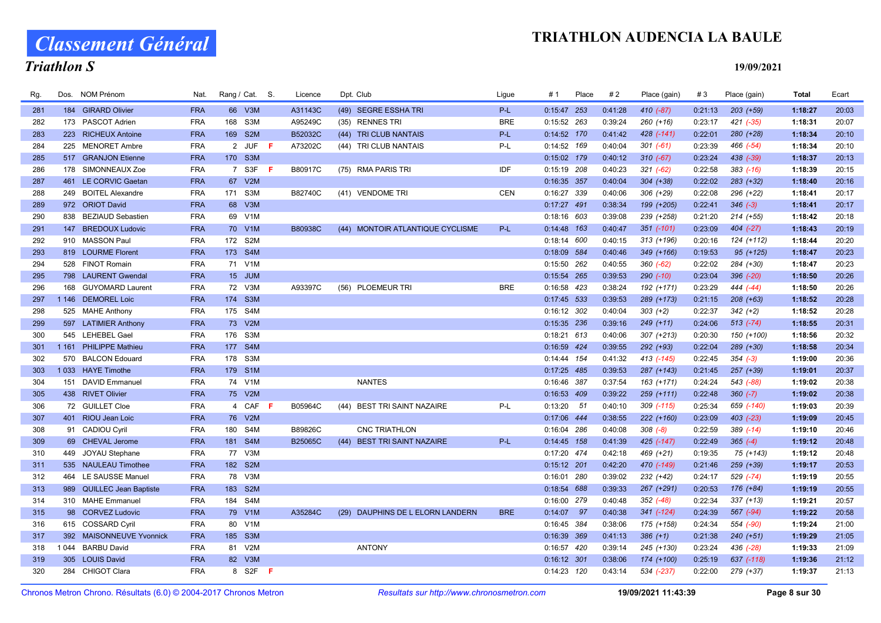# Classement Général

# Triathlon S

| Rg. | Dos.    | <b>NOM Prénom</b>         | Nat.       | Rang / Cat. S. |                 |     | Licence        | Dpt. Club                        | Ligue      | #1            | Place | #2      | Place (gain)   | #3      | Place (gain)  | <b>Total</b> | Ecart |
|-----|---------|---------------------------|------------|----------------|-----------------|-----|----------------|----------------------------------|------------|---------------|-------|---------|----------------|---------|---------------|--------------|-------|
| 281 |         | 184 GIRARD Olivier        | <b>FRA</b> | 66 V3M         |                 |     | A31143C        | (49) SEGRE ESSHA TRI             | P-L        | $0:15:47$ 253 |       | 0:41:28 | $410(-87)$     | 0:21:13 | $203 (+59)$   | 1:18:27      | 20:03 |
| 282 |         | 173 PASCOT Adrien         | <b>FRA</b> | 168 S3M        |                 |     | A95249C        | (35) RENNES TRI                  | <b>BRE</b> | 0:15:52 263   |       | 0:39:24 | $260 (+16)$    | 0:23:17 | $421 (-35)$   | 1:18:31      | 20:07 |
| 283 |         | 223 RICHEUX Antoine       | <b>FRA</b> | 169 S2M        |                 |     | B52032C        | (44) TRI CLUB NANTAIS            | P-L        | 0:14:52 170   |       | 0:41:42 | 428 (-141)     | 0:22:01 | $280 (+28)$   | 1:18:34      | 20:10 |
| 284 |         | 225 MENORET Ambre         | <b>FRA</b> | 2 JUF          |                 | - F | A73202C        | (44) TRI CLUB NANTAIS            | P-L        | 0:14:52 169   |       | 0:40:04 | $301 (-61)$    | 0:23:39 | 466 (-54)     | 1:18:34      | 20:10 |
| 285 |         | 517 GRANJON Etienne       | <b>FRA</b> | 170 S3M        |                 |     |                |                                  |            | 0:15:02 179   |       | 0:40:12 | $310 (-67)$    | 0:23:24 | 438 (-39)     | 1:18:37      | 20:13 |
| 286 |         | 178 SIMONNEAUX Zoe        | <b>FRA</b> | 7 S3F          | - F             |     | B80917C        | (75) RMA PARIS TRI               | IDF        | 0:15:19 208   |       | 0:40:23 | $321 (-62)$    | 0:22:58 | $383$ $(-16)$ | 1:18:39      | 20:15 |
| 287 |         | 461 LE CORVIC Gaetan      | <b>FRA</b> | 67 V2M         |                 |     |                |                                  |            | 0:16:35 357   |       | 0:40:04 | 304 (+38)      | 0:22:02 | $283 (+32)$   | 1:18:40      | 20:16 |
| 288 |         | 249 BOITEL Alexandre      | <b>FRA</b> | 171 S3M        |                 |     | B82740C        | (41) VENDOME TRI                 | <b>CEN</b> | 0:16:27 339   |       | 0:40:06 | 306 (+29)      | 0:22:08 | 296 (+22)     | 1:18:41      | 20:17 |
| 289 |         | 972 ORIOT David           | <b>FRA</b> | 68 V3M         |                 |     |                |                                  |            | $0:17:27$ 491 |       | 0:38:34 | 199 (+205)     | 0:22:41 | $346 (-3)$    | 1:18:41      | 20:17 |
| 290 |         | 838 BEZIAUD Sebastien     | <b>FRA</b> | 69 V1M         |                 |     |                |                                  |            | 0:18:16 603   |       | 0:39:08 | 239 (+258)     | 0:21:20 | $214 (+55)$   | 1:18:42      | 20:18 |
| 291 | 147     | <b>BREDOUX Ludovic</b>    | <b>FRA</b> | 70 V1M         |                 |     | <b>B80938C</b> | (44) MONTOIR ATLANTIQUE CYCLISME | P-L        | $0:14:48$ 163 |       | 0:40:47 | $351$ $(-101)$ | 0:23:09 | $404$ $(-27)$ | 1:18:43      | 20:19 |
| 292 |         | 910 MASSON Paul           | <b>FRA</b> | 172 S2M        |                 |     |                |                                  |            | 0:18:14 600   |       | 0:40:15 | $313 (+196)$   | 0:20:16 | 124 (+112)    | 1:18:44      | 20:20 |
| 293 |         | 819 LOURME Florent        | <b>FRA</b> | 173 S4M        |                 |     |                |                                  |            | 0:18:09 584   |       | 0:40:46 | 349 (+166)     | 0:19:53 | $95 (+125)$   | 1:18:47      | 20:23 |
| 294 |         | 528 FINOT Romain          | <b>FRA</b> | 71 V1M         |                 |     |                |                                  |            | 0:15:50 262   |       | 0:40:55 | $360 (-62)$    | 0:22:02 | 284 (+30)     | 1:18:47      | 20:23 |
| 295 |         | 798 LAURENT Gwendal       | <b>FRA</b> | 15 JUM         |                 |     |                |                                  |            | 0:15:54 265   |       | 0:39:53 | $290 (-10)$    | 0:23:04 | 396 (-20)     | 1:18:50      | 20:26 |
| 296 | 168     | <b>GUYOMARD Laurent</b>   | <b>FRA</b> | 72 V3M         |                 |     | A93397C        | (56) PLOEMEUR TRI                | <b>BRE</b> | 0:16:58 423   |       | 0:38:24 | 192 (+171)     | 0:23:29 | 444 (-44)     | 1:18:50      | 20:26 |
| 297 |         | 1 146 DEMOREL Loic        | <b>FRA</b> | 174 S3M        |                 |     |                |                                  |            | 0:17:45 533   |       | 0:39:53 | 289 (+173)     | 0:21:15 | $208 (+63)$   | 1:18:52      | 20:28 |
| 298 |         | 525 MAHE Anthony          | <b>FRA</b> | 175 S4M        |                 |     |                |                                  |            | 0:16:12 302   |       | 0:40:04 | $303 (+2)$     | 0:22:37 | $342 (+2)$    | 1:18:52      | 20:28 |
| 299 |         | 597 LATIMIER Anthony      | <b>FRA</b> | 73 V2M         |                 |     |                |                                  |            | 0:15:35 236   |       | 0:39:16 | $249 (+11)$    | 0:24:06 | $513 (-74)$   | 1:18:55      | 20:31 |
| 300 |         | 545 LEHEBEL Gael          | <b>FRA</b> | 176 S3M        |                 |     |                |                                  |            | $0:18:21$ 613 |       | 0:40:06 | $307 (+213)$   | 0:20:30 | 150 (+100)    | 1:18:56      | 20:32 |
| 301 |         | 1 161 PHILIPPE Mathieu    | <b>FRA</b> | 177 S4M        |                 |     |                |                                  |            | 0:16:59 424   |       | 0:39:55 | 292 (+93)      | 0:22:04 | 289 (+30)     | 1:18:58      | 20:34 |
| 302 | 570     | <b>BALCON Edouard</b>     | <b>FRA</b> | 178 S3M        |                 |     |                |                                  |            | 0:14:44 154   |       | 0:41:32 | 413 (-145)     | 0:22:45 | $354 (-3)$    | 1:19:00      | 20:36 |
| 303 |         | 1033 HAYE Timothe         | <b>FRA</b> | 179 S1M        |                 |     |                |                                  |            | $0:17:25$ 485 |       | 0:39:53 | 287 (+143)     | 0:21:45 | 257 (+39)     | 1:19:01      | 20:37 |
| 304 |         | 151 DAVID Emmanuel        | <b>FRA</b> | 74 V1M         |                 |     |                | <b>NANTES</b>                    |            | 0:16:46 387   |       | 0:37:54 | 163 (+171)     | 0:24:24 | 543 (-88)     | 1:19:02      | 20:38 |
| 305 |         | 438 RIVET Olivier         | <b>FRA</b> | 75 V2M         |                 |     |                |                                  |            | 0:16:53 409   |       | 0:39:22 | 259 (+111)     | 0:22:48 | $360 (-7)$    | 1:19:02      | 20:38 |
| 306 |         | 72 GUILLET Cloe           | <b>FRA</b> | 4 CAF          |                 | -F  | B05964C        | (44) BEST TRI SAINT NAZAIRE      | P-L        | 0:13:20       | 51    | 0:40:10 | 309 (-115)     | 0:25:34 | 659 (-140)    | 1:19:03      | 20:39 |
| 307 |         | 401 RIOU Jean Loic        | <b>FRA</b> | 76 V2M         |                 |     |                |                                  |            | 0:17:06 444   |       | 0:38:55 | $222 (+160)$   | 0:23:09 | $403$ $(-23)$ | 1:19:09      | 20:45 |
| 308 |         | 91 CADIOU Cyril           | <b>FRA</b> | 180 S4M        |                 |     | B89826C        | <b>CNC TRIATHLON</b>             |            | 0:16:04 286   |       | 0:40:08 | $308 (-8)$     | 0:22:59 | $389$ $(-14)$ | 1:19:10      | 20:46 |
| 309 |         | 69 CHEVAL Jerome          | <b>FRA</b> | 181 S4M        |                 |     | <b>B25065C</b> | (44) BEST TRI SAINT NAZAIRE      | P-L        | 0:14:45 158   |       | 0:41:39 | 425 (-147)     | 0:22:49 | $365 (-4)$    | 1:19:12      | 20:48 |
| 310 |         | 449 JOYAU Stephane        | <b>FRA</b> | 77 V3M         |                 |     |                |                                  |            | 0:17:20 474   |       | 0:42:18 | 469 (+21)      | 0:19:35 | 75 (+143)     | 1:19:12      | 20:48 |
| 311 |         | 535 NAULEAU Timothee      | <b>FRA</b> | 182 S2M        |                 |     |                |                                  |            | $0:15:12$ 201 |       | 0:42:20 | 470 (-149)     | 0:21:46 | $259 (+39)$   | 1:19:17      | 20:53 |
| 312 |         | 464 LE SAUSSE Manuel      | <b>FRA</b> | 78 V3M         |                 |     |                |                                  |            | 0:16:01 280   |       | 0:39:02 | 232 (+42)      | 0:24:17 | 529 (-74)     | 1:19:19      | 20:55 |
| 313 |         | 989 QUILLEC Jean Baptiste | <b>FRA</b> | 183            | S <sub>2M</sub> |     |                |                                  |            | 0:18:54 688   |       | 0:39:33 | 267 (+291)     | 0:20:53 | $176 (+84)$   | 1:19:19      | 20:55 |
| 314 |         | 310 MAHE Emmanuel         | <b>FRA</b> | 184 S4M        |                 |     |                |                                  |            | 0:16:00 279   |       | 0:40:48 | $352$ $(-48)$  | 0:22:34 | $337 (+13)$   | 1:19:21      | 20:57 |
| 315 |         | 98 CORVEZ Ludovic         | <b>FRA</b> | 79 V1M         |                 |     | A35284C        | (29) DAUPHINS DE L ELORN LANDERN | <b>BRE</b> | $0:14:07$ 97  |       | 0:40:38 | 341 (-124)     | 0:24:39 | 567 (-94)     | 1:19:22      | 20:58 |
| 316 |         | 615 COSSARD Cyril         | <b>FRA</b> | 80 V1M         |                 |     |                |                                  |            | 0:16:45 384   |       | 0:38:06 | 175 (+158)     | 0:24:34 | 554 (-90)     | 1:19:24      | 21:00 |
| 317 |         | 392 MAISONNEUVE Yvonnick  | <b>FRA</b> | 185 S3M        |                 |     |                |                                  |            | 0:16:39 369   |       | 0:41:13 | $386 (+1)$     | 0:21:38 | $240 (+51)$   | 1:19:29      | 21:05 |
| 318 | 1 0 4 4 | <b>BARBU David</b>        | <b>FRA</b> | 81             | V2M             |     |                | <b>ANTONY</b>                    |            | 0:16:57 420   |       | 0:39:14 | 245 (+130)     | 0:23:24 | 436 (-28)     | 1:19:33      | 21:09 |
| 319 |         | 305 LOUIS David           | <b>FRA</b> | 82 V3M         |                 |     |                |                                  |            | $0:16:12$ 301 |       | 0:38:06 | 174 (+100)     | 0:25:19 | 637 (-118)    | 1:19:36      | 21:12 |
| 320 |         | 284 CHIGOT Clara          | <b>FRA</b> |                | 8 S2F <b>F</b>  |     |                |                                  |            | 0:14:23 120   |       | 0:43:14 | 534 (-237)     | 0:22:00 | 279 (+37)     | 1:19:37      | 21:13 |
|     |         |                           |            |                |                 |     |                |                                  |            |               |       |         |                |         |               |              |       |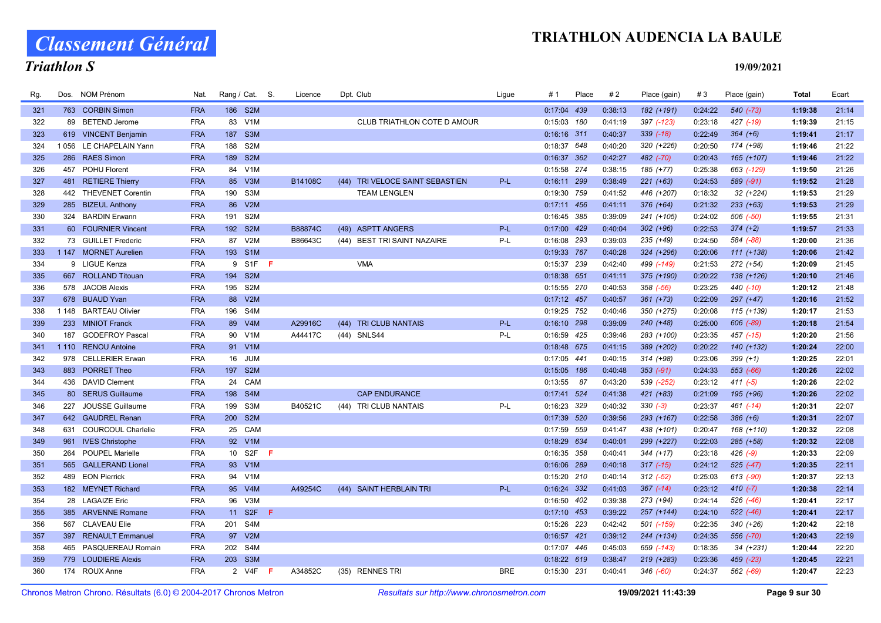Classement Général

# Triathlon S

| Rg. | Dos.    | <b>NOM Prénom</b>         | Nat.       | Rang / Cat. S.          | Licence | Dpt. Club                          | Ligue      | #1            | Place | #2      | Place (gain)  | #3      | Place (gain)  | <b>Total</b> | Ecart |
|-----|---------|---------------------------|------------|-------------------------|---------|------------------------------------|------------|---------------|-------|---------|---------------|---------|---------------|--------------|-------|
| 321 |         | 763 CORBIN Simon          | <b>FRA</b> | 186 S2M                 |         |                                    |            | 0:17:04 439   |       | 0:38:13 | 182 (+191)    | 0:24:22 | $540 (-73)$   | 1:19:38      | 21:14 |
| 322 |         | 89 BETEND Jerome          | <b>FRA</b> | 83 V1M                  |         | CLUB TRIATHLON COTE D AMOUR        |            | 0:15:03 180   |       | 0:41:19 | 397 (-123)    | 0:23:18 | 427 (-19)     | 1:19:39      | 21:15 |
| 323 |         | 619 VINCENT Benjamin      | <b>FRA</b> | S <sub>3</sub> M<br>187 |         |                                    |            | $0:16:16$ 311 |       | 0:40:37 | $339$ $(-18)$ | 0:22:49 | $364 (+6)$    | 1:19:41      | 21:17 |
| 324 | 1056    | LE CHAPELAIN Yann         | <b>FRA</b> | S <sub>2</sub> M<br>188 |         |                                    |            | 0:18:37 648   |       | 0:40:20 | 320 (+226)    | 0:20:50 | 174 (+98)     | 1:19:46      | 21:22 |
| 325 |         | 286 RAES Simon            | <b>FRA</b> | 189 S2M                 |         |                                    |            | 0:16:37 362   |       | 0:42:27 | 482 (-70)     | 0:20:43 | 165 (+107)    | 1:19:46      | 21:22 |
| 326 | 457     | <b>POHU Florent</b>       | <b>FRA</b> | 84<br>V1M               |         |                                    |            | 0:15:58 274   |       | 0:38:15 | 185 (+77)     | 0:25:38 | 663 (-129)    | 1:19:50      | 21:26 |
| 327 |         | 481 RETIERE Thierry       | <b>FRA</b> | 85<br>V3M               | B14108C | TRI VELOCE SAINT SEBASTIEN<br>(44) | P-L        | 0:16:11 299   |       | 0:38:49 | $221 (+63)$   | 0:24:53 | 589 (-91)     | 1:19:52      | 21:28 |
| 328 |         | 442 THEVENET Corentin     | <b>FRA</b> | S <sub>3</sub> M<br>190 |         | <b>TEAM LENGLEN</b>                |            | 0:19:30 759   |       | 0:41:52 | 446 (+207)    | 0:18:32 | 32 (+224)     | 1:19:53      | 21:29 |
| 329 |         | 285 BIZEUL Anthony        | <b>FRA</b> | V2M<br>86               |         |                                    |            | $0:17:11$ 456 |       | 0:41:11 | $376 (+64)$   | 0:21:32 | $233 (+63)$   | 1:19:53      | 21:29 |
| 330 |         | 324 BARDIN Erwann         | <b>FRA</b> | S <sub>2</sub> M<br>191 |         |                                    |            | 0:16:45 385   |       | 0:39:09 | 241 (+105)    | 0:24:02 | 506 (-50)     | 1:19:55      | 21:31 |
| 331 | 60      | <b>FOURNIER Vincent</b>   | <b>FRA</b> | 192 S2M                 | B88874C | (49) ASPTT ANGERS                  | $P-L$      | 0:17:00 429   |       | 0:40:04 | $302 (+96)$   | 0:22:53 | $374 (+2)$    | 1:19:57      | 21:33 |
| 332 |         | 73 GUILLET Frederic       | <b>FRA</b> | 87 V2M                  | B86643C | (44) BEST TRI SAINT NAZAIRE        | P-L        | 0:16:08 293   |       | 0:39:03 | 235 (+49)     | 0:24:50 | 584 (-88)     | 1:20:00      | 21:36 |
| 333 |         | 1 147 MORNET Aurelien     | <b>FRA</b> | 193 S1M                 |         |                                    |            | 0:19:33 767   |       | 0:40:28 | 324 (+296)    | 0:20:06 | $111 (+138)$  | 1:20:06      | 21:42 |
| 334 |         | 9 LIGUE Kenza             | <b>FRA</b> | 9 S1F<br>-F             |         | <b>VMA</b>                         |            | 0:15:37 239   |       | 0:42:40 | 499 (-149)    | 0:21:53 | $272 (+54)$   | 1:20:09      | 21:45 |
| 335 |         | 667 ROLLAND Titouan       | <b>FRA</b> | 194 S2M                 |         |                                    |            | 0:18:38 651   |       | 0:41:11 | 375 (+190)    | 0:20:22 | 138 (+126)    | 1:20:10      | 21:46 |
| 336 |         | 578 JACOB Alexis          | <b>FRA</b> | S <sub>2</sub> M<br>195 |         |                                    |            | 0:15:55 270   |       | 0:40:53 | 358 (-56)     | 0:23:25 | 440 (-10)     | 1:20:12      | 21:48 |
| 337 |         | 678 BUAUD Yvan            | <b>FRA</b> | 88<br>V2M               |         |                                    |            | $0:17:12$ 457 |       | 0:40:57 | $361 (+73)$   | 0:22:09 | $297 (+47)$   | 1:20:16      | 21:52 |
| 338 | 1 1 4 8 | <b>BARTEAU Olivier</b>    | <b>FRA</b> | S4M<br>196              |         |                                    |            | 0:19:25 752   |       | 0:40:46 | 350 (+275)    | 0:20:08 | 115 (+139)    | 1:20:17      | 21:53 |
| 339 |         | 233 MINIOT Franck         | <b>FRA</b> | 89 V4M                  | A29916C | <b>TRI CLUB NANTAIS</b><br>(44)    | $P-L$      | 0:16:10 298   |       | 0:39:09 | $240 (+48)$   | 0:25:00 | 606 (-89)     | 1:20:18      | 21:54 |
| 340 |         | 187 GODEFROY Pascal       | <b>FRA</b> | 90 V1M                  | A44417C | (44) SNLS44                        | P-L        | 0:16:59 425   |       | 0:39:46 | 283 (+100)    | 0:23:35 | $457$ $(-15)$ | 1:20:20      | 21:56 |
| 341 | 1 1 1 0 | <b>RENOU Antoine</b>      | <b>FRA</b> | 91 V1M                  |         |                                    |            | 0:18:48 675   |       | 0:41:15 | 389 (+202)    | 0:20:22 | 140 (+132)    | 1:20:24      | 22:00 |
| 342 |         | 978 CELLERIER Erwan       | <b>FRA</b> | 16 JUM                  |         |                                    |            | 0:17:05 441   |       | 0:40:15 | 314 (+98)     | 0:23:06 | $399 (+1)$    | 1:20:25      | 22:01 |
| 343 |         | 883 PORRET Theo           | <b>FRA</b> | 197<br>S <sub>2M</sub>  |         |                                    |            | $0:15:05$ 186 |       | 0:40:48 | $353(-91)$    | 0:24:33 | $553$ $(-66)$ | 1:20:26      | 22:02 |
| 344 | 436     | <b>DAVID Clement</b>      | <b>FRA</b> | CAM<br>24               |         |                                    |            | 0:13:55       | 87    | 0:43:20 | 539 (-252)    | 0:23:12 | $411 (-5)$    | 1:20:26      | 22:02 |
| 345 |         | 80 SERUS Guillaume        | <b>FRA</b> | 198 S4M                 |         | <b>CAP ENDURANCE</b>               |            | 0:17:41 524   |       | 0:41:38 | $421 (+83)$   | 0:21:09 | 195 (+96)     | 1:20:26      | 22:02 |
| 346 | 227     | JOUSSE Guillaume          | <b>FRA</b> | 199<br>S3M              | B40521C | (44) TRI CLUB NANTAIS              | P-L        | 0:16:23 329   |       | 0:40:32 | $330(-3)$     | 0:23:37 | $461$ (-14)   | 1:20:31      | 22:07 |
| 347 |         | 642 GAUDREL Renan         | <b>FRA</b> | 200 S2M                 |         |                                    |            | 0:17:39 520   |       | 0:39:56 | 293 (+167)    | 0:22:58 | $386 (+6)$    | 1:20:31      | 22:07 |
| 348 | 631     | <b>COURCOUL Charlelie</b> | <b>FRA</b> | 25 CAM                  |         |                                    |            | 0:17:59 559   |       | 0:41:47 | 438 (+101)    | 0:20:47 | 168 (+110)    | 1:20:32      | 22:08 |
| 349 |         | 961 IVES Christophe       | <b>FRA</b> | 92 V1M                  |         |                                    |            | 0:18:29 634   |       | 0:40:01 | 299 (+227)    | 0:22:03 | 285 (+58)     | 1:20:32      | 22:08 |
| 350 |         | 264 POUPEL Marielle       | <b>FRA</b> | 10 S2F<br>- F           |         |                                    |            | 0:16:35 358   |       | 0:40:41 | $344 (+17)$   | 0:23:18 | $426$ (-9)    | 1:20:33      | 22:09 |
| 351 | 565     | <b>GALLERAND Lionel</b>   | <b>FRA</b> | 93 V1M                  |         |                                    |            | 0:16:06 289   |       | 0:40:18 | $317$ $(-15)$ | 0:24:12 | $525$ $(-47)$ | 1:20:35      | 22:11 |
| 352 |         | 489 EON Pierrick          | <b>FRA</b> | 94 V1M                  |         |                                    |            | 0:15:20 210   |       | 0:40:14 | $312$ $(-52)$ | 0:25:03 | 613 (-90)     | 1:20:37      | 22:13 |
| 353 |         | 182 MEYNET Richard        | <b>FRA</b> | 95 V4M                  | A49254C | (44) SAINT HERBLAIN TRI            | P-L        | 0:16:24 332   |       | 0:41:03 | $367$ $(-14)$ | 0:23:12 | $410(-7)$     | 1:20:38      | 22:14 |
| 354 |         | 28 LAGAIZE Eric           | <b>FRA</b> | V3M<br>96               |         |                                    |            | 0:16:50 402   |       | 0:39:38 | 273 (+94)     | 0:24:14 | 526 (-46)     | 1:20:41      | 22:17 |
| 355 |         | 385 ARVENNE Romane        | <b>FRA</b> | 11 S2F<br>-F            |         |                                    |            | $0:17:10$ 453 |       | 0:39:22 | 257 (+144)    | 0:24:10 | 522 (-46)     | 1:20:41      | 22:17 |
| 356 |         | 567 CLAVEAU Elie          | <b>FRA</b> | S4M<br>201              |         |                                    |            | 0:15:26 223   |       | 0:42:42 | 501 (-159)    | 0:22:35 | $340 (+26)$   | 1:20:42      | 22:18 |
| 357 |         | 397 RENAULT Emmanuel      | <b>FRA</b> | 97 V2M                  |         |                                    |            | $0:16:57$ 421 |       | 0:39:12 | 244 (+134)    | 0:24:35 | 556 (-70)     | 1:20:43      | 22:19 |
| 358 | 465     | PASQUEREAU Romain         | <b>FRA</b> | 202<br>S <sub>4</sub> M |         |                                    |            | 0:17:07 446   |       | 0:45:03 | 659 (-143)    | 0:18:35 | $34 (+231)$   | 1:20:44      | 22:20 |
| 359 |         | 779 LOUDIERE Alexis       | <b>FRA</b> | 203 S3M                 |         |                                    |            | $0:18:22$ 619 |       | 0:38:47 | 219 (+283)    | 0:23:36 | 459 (-23)     | 1:20:45      | 22:21 |
| 360 |         | 174 ROUX Anne             | <b>FRA</b> | 2 V4F<br>- F            | A34852C | (35) RENNES TRI                    | <b>BRE</b> | 0:15:30 231   |       | 0:40:41 | 346 (-60)     | 0:24:37 | 562 (-69)     | 1:20:47      | 22:23 |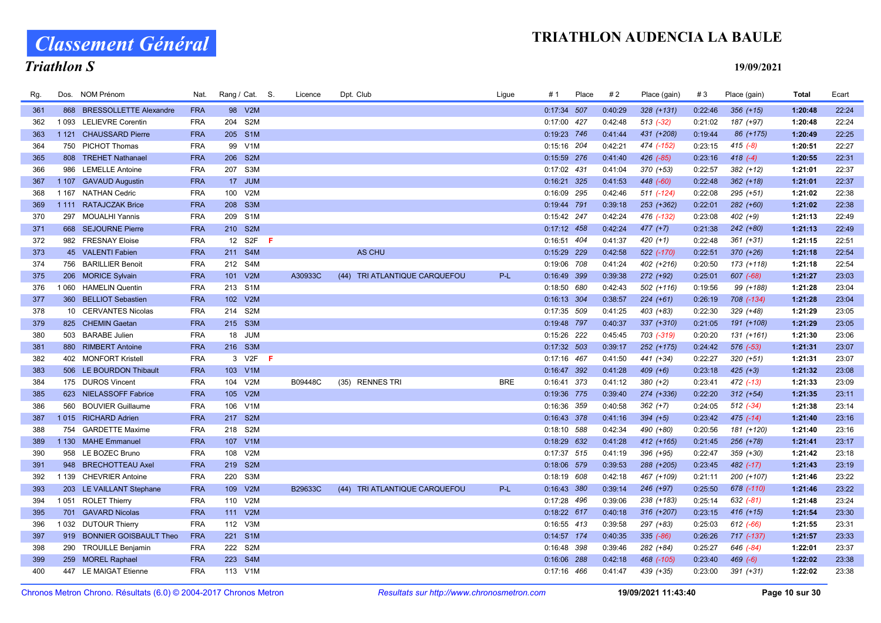Classement Général

# Triathlon S

| Rg. |         | Dos. NOM Prénom               | Nat.       | Rang / Cat. S. |                  |     | Licence | Dpt. Club                        | Lique      | # 1           | Place | #2      | Place (gain) | #3      | Place (gain) | Total   | Ecart |
|-----|---------|-------------------------------|------------|----------------|------------------|-----|---------|----------------------------------|------------|---------------|-------|---------|--------------|---------|--------------|---------|-------|
| 361 | 868     | <b>BRESSOLLETTE Alexandre</b> | <b>FRA</b> |                | 98 V2M           |     |         |                                  |            | $0:17:34$ 507 |       | 0:40:29 | $328 (+131)$ | 0:22:46 | $356 (+15)$  | 1:20:48 | 22:24 |
| 362 | 1 0 9 3 | <b>LELIEVRE Corentin</b>      | <b>FRA</b> | 204            | S <sub>2</sub> M |     |         |                                  |            | 0:17:00 427   |       | 0:42:48 | $513$ (-32)  | 0:21:02 | 187 (+97)    | 1:20:48 | 22:24 |
| 363 | 1 1 2 1 | <b>CHAUSSARD Pierre</b>       | <b>FRA</b> | 205 S1M        |                  |     |         |                                  |            | 0:19:23 746   |       | 0:41:44 | 431 (+208)   | 0:19:44 | 86 (+175)    | 1:20:49 | 22:25 |
| 364 | 750     | <b>PICHOT Thomas</b>          | <b>FRA</b> |                | 99 V1M           |     |         |                                  |            | 0:15:16 204   |       | 0:42:21 | 474 (-152)   | 0:23:15 | $415 (-8)$   | 1:20:51 | 22:27 |
| 365 | 808     | <b>TREHET Nathanael</b>       | <b>FRA</b> | 206            | S <sub>2M</sub>  |     |         |                                  |            | 0:15:59 276   |       | 0:41:40 | 426 (-85)    | 0:23:16 | 418 $(-4)$   | 1:20:55 | 22:31 |
| 366 | 986     | <b>LEMELLE Antoine</b>        | <b>FRA</b> | 207 S3M        |                  |     |         |                                  |            | 0:17:02 431   |       | 0:41:04 | 370 (+53)    | 0:22:57 | $382 (+12)$  | 1:21:01 | 22:37 |
| 367 | 1 1 0 7 | <b>GAVAUD Augustin</b>        | <b>FRA</b> |                | 17 JUM           |     |         |                                  |            | 0:16:21 325   |       | 0:41:53 | 448 (-60)    | 0:22:48 | $362 (+18)$  | 1:21:01 | 22:37 |
| 368 | 1 1 6 7 | <b>NATHAN Cedric</b>          | <b>FRA</b> | 100            | V2M              |     |         |                                  |            | 0:16:09 295   |       | 0:42:46 | 511 (-124)   | 0:22:08 | $295 (+51)$  | 1:21:02 | 22:38 |
| 369 |         | 1 111 RATAJCZAK Brice         | <b>FRA</b> | 208 S3M        |                  |     |         |                                  |            | 0:19:44 791   |       | 0:39:18 | 253 (+362)   | 0:22:01 | $282 (+60)$  | 1:21:02 | 22:38 |
| 370 | 297     | <b>MOUALHI Yannis</b>         | <b>FRA</b> | 209 S1M        |                  |     |         |                                  |            | 0:15:42 247   |       | 0:42:24 | 476 (-132)   | 0:23:08 | $402 (+9)$   | 1:21:13 | 22:49 |
| 371 |         | 668 SEJOURNE Pierre           | <b>FRA</b> | 210 S2M        |                  |     |         |                                  |            | $0:17:12$ 458 |       | 0:42:24 | $477 (+7)$   | 0:21:38 | 242 (+80)    | 1:21:13 | 22:49 |
| 372 |         | 982 FRESNAY Eloise            | <b>FRA</b> | 12             | S <sub>2F</sub>  | -F. |         |                                  |            | 0:16:51 404   |       | 0:41:37 | $420 (+1)$   | 0:22:48 | $361 (+31)$  | 1:21:15 | 22:51 |
| 373 |         | 45 VALENTI Fabien             | <b>FRA</b> | 211 S4M        |                  |     |         | <b>AS CHU</b>                    |            | 0:15:29 229   |       | 0:42:58 | 522 (-170)   | 0:22:51 | $370 (+26)$  | 1:21:18 | 22:54 |
| 374 | 756     | <b>BARILLIER Benoit</b>       | <b>FRA</b> | 212            | S4M              |     |         |                                  |            | 0:19:06 708   |       | 0:41:24 | 402 (+216)   | 0:20:50 | 173 (+118)   | 1:21:18 | 22:54 |
| 375 |         | 206 MORICE Sylvain            | <b>FRA</b> | 101 V2M        |                  |     | A30933C | TRI ATLANTIQUE CARQUEFOU<br>(44) | P-L        | 0:16:49 399   |       | 0:39:38 | 272 (+92)    | 0:25:01 | 607 (-68)    | 1:21:27 | 23:03 |
| 376 | 1 0 6 0 | <b>HAMELIN Quentin</b>        | <b>FRA</b> | 213 S1M        |                  |     |         |                                  |            | 0:18:50 680   |       | 0:42:43 | 502 (+116)   | 0:19:56 | 99 (+188)    | 1:21:28 | 23:04 |
| 377 |         | 360 BELLIOT Sebastien         | <b>FRA</b> | 102 V2M        |                  |     |         |                                  |            | 0:16:13 304   |       | 0:38:57 | $224 (+61)$  | 0:26:19 | 708 (-134)   | 1:21:28 | 23:04 |
| 378 |         | 10 CERVANTES Nicolas          | <b>FRA</b> | 214 S2M        |                  |     |         |                                  |            | 0:17:35 509   |       | 0:41:25 | 403 (+83)    | 0:22:30 | $329 (+48)$  | 1:21:29 | 23:05 |
| 379 |         | 825 CHEMIN Gaetan             | <b>FRA</b> | 215 S3M        |                  |     |         |                                  |            | 0:19:48 797   |       | 0:40:37 | 337 (+310)   | 0:21:05 | 191 (+108)   | 1:21:29 | 23:05 |
| 380 |         | 503 BARABE Julien             | <b>FRA</b> |                | 18 JUM           |     |         |                                  |            | 0:15:26 222   |       | 0:45:45 | 703 (-319)   | 0:20:20 | $131 (+161)$ | 1:21:30 | 23:06 |
| 381 |         | 880 RIMBERT Antoine           | <b>FRA</b> | 216 S3M        |                  |     |         |                                  |            | $0:17:32$ 503 |       | 0:39:17 | 252 (+175)   | 0:24:42 | 576 (-53)    | 1:21:31 | 23:07 |
| 382 |         | 402 MONFORT Kristell          | <b>FRA</b> |                | 3 V2F            | -F  |         |                                  |            | 0:17:16 467   |       | 0:41:50 | 441 (+34)    | 0:22:27 | $320 (+51)$  | 1:21:31 | 23:07 |
| 383 |         | 506 LE BOURDON Thibault       | <b>FRA</b> | 103            | V1M              |     |         |                                  |            | 0:16:47 392   |       | 0:41:28 | $409 (+6)$   | 0:23:18 | $425 (+3)$   | 1:21:32 | 23:08 |
| 384 |         | 175 DUROS Vincent             | <b>FRA</b> | 104            | V2M              |     | B09448C | (35) RENNES TRI                  | <b>BRE</b> | 0:16:41 373   |       | 0:41:12 | 380 (+2)     | 0:23:41 | 472 (-13)    | 1:21:33 | 23:09 |
| 385 |         | 623 NIELASSOFF Fabrice        | <b>FRA</b> | 105            | V2M              |     |         |                                  |            | 0:19:36 775   |       | 0:39:40 | 274 (+336)   | 0:22:20 | $312 (+54)$  | 1:21:35 | 23:11 |
| 386 | 560     | <b>BOUVIER Guillaume</b>      | <b>FRA</b> | 106            | V1M              |     |         |                                  |            | 0:16:36 359   |       | 0:40:58 | $362 (+7)$   | 0:24:05 | $512$ (-34)  | 1:21:38 | 23:14 |
| 387 | 1015    | <b>RICHARD Adrien</b>         | <b>FRA</b> | 217 S2M        |                  |     |         |                                  |            | 0:16:43 378   |       | 0:41:16 | $394 (+5)$   | 0:23:42 | $475$ (-14)  | 1:21:40 | 23:16 |
| 388 | 754     | <b>GARDETTE Maxime</b>        | <b>FRA</b> | 218            | S <sub>2</sub> M |     |         |                                  |            | 0:18:10 588   |       | 0:42:34 | 490 (+80)    | 0:20:56 | 181 (+120)   | 1:21:40 | 23:16 |
| 389 |         | 1 130 MAHE Emmanuel           | <b>FRA</b> | 107 V1M        |                  |     |         |                                  |            | 0:18:29 632   |       | 0:41:28 | 412 (+165)   | 0:21:45 | 256 (+78)    | 1:21:41 | 23:17 |
| 390 |         | 958 LE BOZEC Bruno            | <b>FRA</b> | 108            | V2M              |     |         |                                  |            | 0:17:37 515   |       | 0:41:19 | 396 (+95)    | 0:22:47 | 359 (+30)    | 1:21:42 | 23:18 |
| 391 | 948     | <b>BRECHOTTEAU Axel</b>       | <b>FRA</b> | 219 S2M        |                  |     |         |                                  |            | 0:18:06 579   |       | 0:39:53 | 288 (+205)   | 0:23:45 | 482 (-17)    | 1:21:43 | 23:19 |
| 392 |         | 1 139 CHEVRIER Antoine        | <b>FRA</b> | 220 S3M        |                  |     |         |                                  |            | $0:18:19$ 608 |       | 0:42:18 | 467 (+109)   | 0:21:11 | 200 (+107)   | 1:21:46 | 23:22 |
| 393 |         | 203 LE VAILLANT Stephane      | <b>FRA</b> | 109            | V2M              |     | B29633C | (44) TRI ATLANTIQUE CARQUEFOU    | P-L        | 0:16:43 380   |       | 0:39:14 | 246 (+97)    | 0:25:50 | 678 (-110)   | 1:21:46 | 23:22 |
| 394 | 1 0 5 1 | <b>ROLET Thierry</b>          | <b>FRA</b> | 110            | V2M              |     |         |                                  |            | 0:17:28 496   |       | 0:39:06 | 238 (+183)   | 0:25:14 | $632 (-81)$  | 1:21:48 | 23:24 |
| 395 |         | 701 GAVARD Nicolas            | <b>FRA</b> | 111 V2M        |                  |     |         |                                  |            | $0:18:22$ 617 |       | 0:40:18 | $316 (+207)$ | 0:23:15 | 416 (+15)    | 1:21:54 | 23:30 |
| 396 |         | 1032 DUTOUR Thierry           | <b>FRA</b> | 112 V3M        |                  |     |         |                                  |            | 0:16:55 413   |       | 0:39:58 | 297 (+83)    | 0:25:03 | $612 (-66)$  | 1:21:55 | 23:31 |
| 397 |         | 919 BONNIER GOISBAULT Theo    | <b>FRA</b> | 221 S1M        |                  |     |         |                                  |            | 0:14:57 174   |       | 0:40:35 | $335 (-86)$  | 0:26:26 | 717 (-137)   | 1:21:57 | 23:33 |
| 398 | 290     | <b>TROUILLE Benjamin</b>      | <b>FRA</b> | 222 S2M        |                  |     |         |                                  |            | 0:16:48 398   |       | 0:39:46 | 282 (+84)    | 0:25:27 | 646 (-84)    | 1:22:01 | 23:37 |
| 399 |         | 259 MOREL Raphael             | <b>FRA</b> | 223 S4M        |                  |     |         |                                  |            | 0:16:06 288   |       | 0:42:18 | 468 (-105)   | 0:23:40 | $469 (-6)$   | 1:22:02 | 23:38 |
| 400 |         | 447 LE MAIGAT Etienne         | <b>FRA</b> | 113 V1M        |                  |     |         |                                  |            | $0:17:16$ 466 |       | 0:41:47 | 439 (+35)    | 0:23:00 | $391 (+31)$  | 1:22:02 | 23:38 |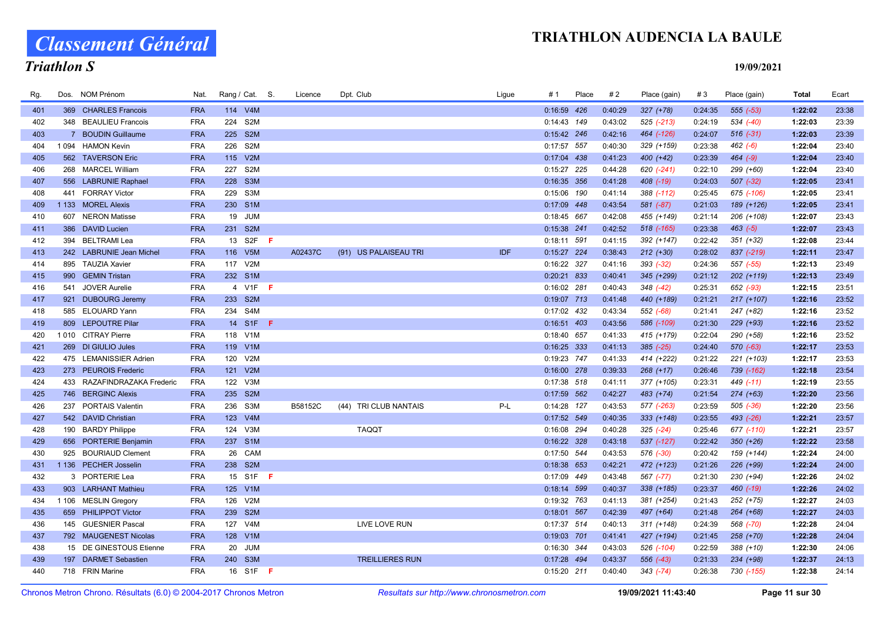Classement Général

# Triathlon S

| Rg. | Dos.        | NOM Prénom               | Nat.       | Rang / Cat. S.          | Licence | Dpt. Club              | Ligue | # 1           | Place | #2      | Place (gain)  | #3      | Place (gain)  | Total   | Ecart |
|-----|-------------|--------------------------|------------|-------------------------|---------|------------------------|-------|---------------|-------|---------|---------------|---------|---------------|---------|-------|
| 401 |             | 369 CHARLES Francois     | <b>FRA</b> | 114 V4M                 |         |                        |       | 0:16:59 426   |       | 0:40:29 | $327 (+78)$   | 0:24:35 | 555 (-53)     | 1:22:02 | 23:38 |
| 402 |             | 348 BEAULIEU Francois    | <b>FRA</b> | S <sub>2</sub> M<br>224 |         |                        |       | $0:14:43$ 149 |       | 0:43:02 | 525 (-213)    | 0:24:19 | 534 (-40)     | 1:22:03 | 23:39 |
| 403 | $7^{\circ}$ | <b>BOUDIN Guillaume</b>  | <b>FRA</b> | S <sub>2M</sub><br>225  |         |                        |       | 0:15:42 246   |       | 0:42:16 | 464 (-126)    | 0:24:07 | $516(-31)$    | 1:22:03 | 23:39 |
| 404 | 1 0 9 4     | <b>HAMON Kevin</b>       | <b>FRA</b> | S <sub>2</sub> M<br>226 |         |                        |       | 0:17:57 557   |       | 0:40:30 | 329 (+159)    | 0:23:38 | $462 (-6)$    | 1:22:04 | 23:40 |
| 405 |             | 562 TAVERSON Eric        | <b>FRA</b> | V2M<br>115              |         |                        |       | 0:17:04 438   |       | 0:41:23 | 400 (+42)     | 0:23:39 | $464 (-9)$    | 1:22:04 | 23:40 |
| 406 |             | 268 MARCEL William       | <b>FRA</b> | S <sub>2</sub> M<br>227 |         |                        |       | 0:15:27 225   |       | 0:44:28 | 620 (-241)    | 0:22:10 | 299 (+60)     | 1:22:04 | 23:40 |
| 407 |             | 556 LABRUNIE Raphael     | <b>FRA</b> | S <sub>3</sub> M<br>228 |         |                        |       | 0:16:35 356   |       | 0:41:28 | 408 (-19)     | 0:24:03 | $507 (-32)$   | 1:22:05 | 23:41 |
| 408 | 441         | <b>FORRAY Victor</b>     | <b>FRA</b> | S <sub>3</sub> M<br>229 |         |                        |       | $0:15:06$ 190 |       | 0:41:14 | 388 (-112)    | 0:25:45 | 675 (-106)    | 1:22:05 | 23:41 |
| 409 |             | 1 133 MOREL Alexis       | <b>FRA</b> | 230 S1M                 |         |                        |       | 0:17:09 448   |       | 0:43:54 | 581 (-87)     | 0:21:03 | 189 (+126)    | 1:22:05 | 23:41 |
| 410 |             | 607 NERON Matisse        | <b>FRA</b> | 19 JUM                  |         |                        |       | 0:18:45 667   |       | 0:42:08 | 455 (+149)    | 0:21:14 | 206 (+108)    | 1:22:07 | 23:43 |
| 411 |             | 386 DAVID Lucien         | <b>FRA</b> | 231 S2M                 |         |                        |       | 0:15:38 241   |       | 0:42:52 | 518 (-165)    | 0:23:38 | $463 (-5)$    | 1:22:07 | 23:43 |
| 412 | 394         | <b>BELTRAMI Lea</b>      | <b>FRA</b> | S2F<br>13<br>-F         |         |                        |       | 0:18:11 591   |       | 0:41:15 | 392 (+147)    | 0:22:42 | $351 (+32)$   | 1:22:08 | 23:44 |
| 413 |             | 242 LABRUNIE Jean Michel | <b>FRA</b> | 116<br>V5M              | A02437C | (91) US PALAISEAU TRI  | IDF   | $0:15:27$ 224 |       | 0:38:43 | $212 (+30)$   | 0:28:02 | 837 (-219)    | 1:22:11 | 23:47 |
| 414 |             | 895 TAUZIA Xavier        | <b>FRA</b> | 117 V2M                 |         |                        |       | 0:16:22 327   |       | 0:41:16 | $393(-32)$    | 0:24:36 | 557 (-55)     | 1:22:13 | 23:49 |
| 415 |             | 990 GEMIN Tristan        | <b>FRA</b> | 232 S1M                 |         |                        |       | 0:20:21 833   |       | 0:40:41 | 345 (+299)    | 0:21:12 | 202 (+119)    | 1:22:13 | 23:49 |
| 416 | 541         | <b>JOVER Aurelie</b>     | <b>FRA</b> | 4 V1F<br>- F            |         |                        |       | 0:16:02 281   |       | 0:40:43 | 348 (-42)     | 0:25:31 | 652 (-93)     | 1:22:15 | 23:51 |
| 417 |             | 921 DUBOURG Jeremy       | <b>FRA</b> | 233 S2M                 |         |                        |       | 0:19:07 713   |       | 0:41:48 | 440 (+189)    | 0:21:21 | $217 (+107)$  | 1:22:16 | 23:52 |
| 418 |             | 585 ELOUARD Yann         | <b>FRA</b> | 234 S4M                 |         |                        |       | 0:17:02 432   |       | 0:43:34 | 552 (-68)     | 0:21:41 | 247 (+82)     | 1:22:16 | 23:52 |
| 419 |             | 809 LEPOUTRE Pilar       | <b>FRA</b> | 14 S1F<br>-F.           |         |                        |       | 0:16:51 403   |       | 0:43:56 | 586 (-109)    | 0:21:30 | 229 (+93)     | 1:22:16 | 23:52 |
| 420 |             | 1010 CITRAY Pierre       | <b>FRA</b> | 118 V1M                 |         |                        |       | 0:18:40 657   |       | 0:41:33 | 415 (+179)    | 0:22:04 | 290 (+58)     | 1:22:16 | 23:52 |
| 421 |             | 269 DI GIULIO Jules      | <b>FRA</b> | 119 V1M                 |         |                        |       | $0:16:25$ 333 |       | 0:41:13 | $385$ $(-25)$ | 0:24:40 | $570 (-63)$   | 1:22:17 | 23:53 |
| 422 |             | 475 LEMANISSIER Adrien   | <b>FRA</b> | 120 V2M                 |         |                        |       | 0:19:23 747   |       | 0:41:33 | 414 (+222)    | 0:21:22 | 221 (+103)    | 1:22:17 | 23:53 |
| 423 |             | 273 PEUROIS Frederic     | <b>FRA</b> | 121 V2M                 |         |                        |       | 0:16:00 278   |       | 0:39:33 | $268 (+17)$   | 0:26:46 | 739 (-162)    | 1:22:18 | 23:54 |
| 424 | 433         | RAZAFINDRAZAKA Frederic  | <b>FRA</b> | V3M<br>122              |         |                        |       | 0:17:38 518   |       | 0:41:11 | 377 (+105)    | 0:23:31 | 449 (-11)     | 1:22:19 | 23:55 |
| 425 |             | 746 BERGINC Alexis       | <b>FRA</b> | 235 S2M                 |         |                        |       | 0:17:59 562   |       | 0:42:27 | 483 (+74)     | 0:21:54 | $274 (+63)$   | 1:22:20 | 23:56 |
| 426 | 237         | <b>PORTAIS Valentin</b>  | <b>FRA</b> | 236<br>S3M              | B58152C | (44) TRI CLUB NANTAIS  | P-L   | 0:14:28 127   |       | 0:43:53 | 577 (-263)    | 0:23:59 | $505$ $(-36)$ | 1:22:20 | 23:56 |
| 427 |             | 542 DAVID Christian      | <b>FRA</b> | 123<br>V4M              |         |                        |       | 0:17:52 549   |       | 0:40:35 | $333 (+148)$  | 0:23:55 | 493 (-26)     | 1:22:21 | 23:57 |
| 428 |             | 190 BARDY Philippe       | <b>FRA</b> | 124 V3M                 |         | <b>TAQQT</b>           |       | 0:16:08 294   |       | 0:40:28 | $325$ (-24)   | 0:25:46 | 677 (-110)    | 1:22:21 | 23:57 |
| 429 |             | 656 PORTERIE Benjamin    | <b>FRA</b> | 237 S1M                 |         |                        |       | 0:16:22 328   |       | 0:43:18 | 537 (-127)    | 0:22:42 | $350 (+26)$   | 1:22:22 | 23:58 |
| 430 | 925         | <b>BOURIAUD Clement</b>  | <b>FRA</b> | 26 CAM                  |         |                        |       | 0:17:50 544   |       | 0:43:53 | 576 (-30)     | 0:20:42 | 159 (+144)    | 1:22:24 | 24:00 |
| 431 |             | 1 136 PECHER Josselin    | <b>FRA</b> | 238 S2M                 |         |                        |       | 0:18:38 653   |       | 0:42:21 | 472 (+123)    | 0:21:26 | 226 (+99)     | 1:22:24 | 24:00 |
| 432 |             | 3 PORTERIE Lea           | <b>FRA</b> | 15 S1F <b>F</b>         |         |                        |       | 0:17:09 449   |       | 0:43:48 | 567 (-77)     | 0:21:30 | 230 (+94)     | 1:22:26 | 24:02 |
| 433 |             | 903 LARHANT Mathieu      | <b>FRA</b> | 125<br>V1M              |         |                        |       | 0:18:14 599   |       | 0:40:37 | 338 (+185)    | 0:23:37 | 460 (-19)     | 1:22:26 | 24:02 |
| 434 |             | 1 106 MESLIN Gregory     | <b>FRA</b> | V2M<br>126              |         |                        |       | 0:19:32 763   |       | 0:41:13 | 381 (+254)    | 0:21:43 | 252 (+75)     | 1:22:27 | 24:03 |
| 435 |             | 659 PHILIPPOT Victor     | <b>FRA</b> | 239 S2M                 |         |                        |       | 0:18:01 567   |       | 0:42:39 | 497 (+64)     | 0:21:48 | 264 (+68)     | 1:22:27 | 24:03 |
| 436 |             | 145 GUESNIER Pascal      | <b>FRA</b> | 127 V4M                 |         | LIVE LOVE RUN          |       | 0:17:37 514   |       | 0:40:13 | $311 (+148)$  | 0:24:39 | 568 (-70)     | 1:22:28 | 24:04 |
| 437 |             | 792 MAUGENEST Nicolas    | <b>FRA</b> | V1M<br>128              |         |                        |       | 0:19:03 701   |       | 0:41:41 | 427 (+194)    | 0:21:45 | 258 (+70)     | 1:22:28 | 24:04 |
| 438 |             | 15 DE GINESTOUS Etienne  | <b>FRA</b> | 20<br>JUM               |         |                        |       | 0:16:30 344   |       | 0:43:03 | 526 (-104)    | 0:22:59 | 388 (+10)     | 1:22:30 | 24:06 |
| 439 | 197         | <b>DARMET Sebastien</b>  | <b>FRA</b> | S <sub>3</sub> M<br>240 |         | <b>TREILLIERES RUN</b> |       | 0:17:28 494   |       | 0:43:37 | $556$ $(-43)$ | 0:21:33 | 234 (+98)     | 1:22:37 | 24:13 |
| 440 |             | 718 FRIN Marine          | <b>FRA</b> | 16 S1F <b>F</b>         |         |                        |       | $0:15:20$ 211 |       | 0:40:40 | $343$ $(-74)$ | 0:26:38 | 730 (-155)    | 1:22:38 | 24:14 |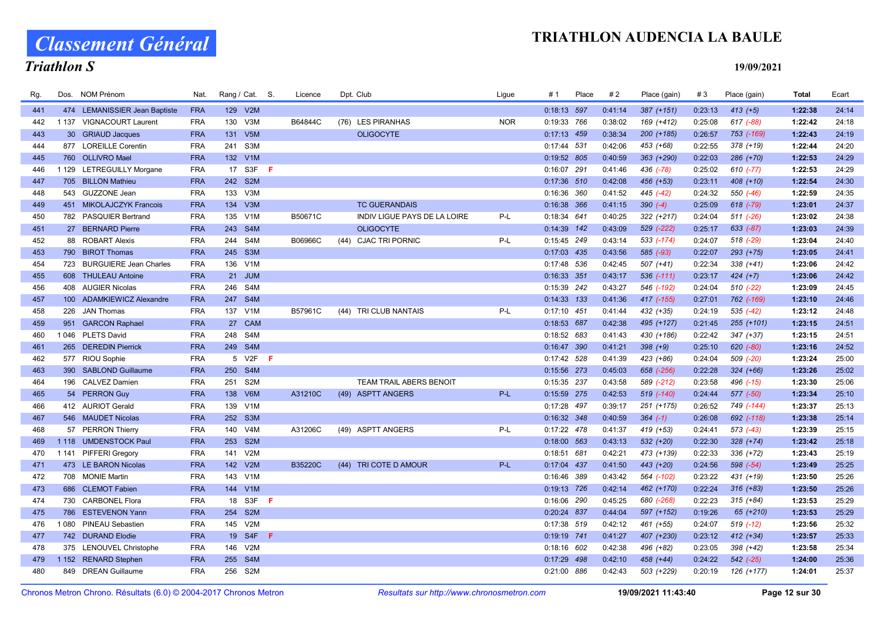# Classement Général

# Triathlon S

| Rg. |         | Dos. NOM Prénom                             | Nat.                     | Rang / Cat. S. |                  |    | Licence | Dpt. Club |                                | Ligue      | # 1                          | Place | #2                 | Place (gain) | #3      | Place (gain)  | Total              | Ecart          |
|-----|---------|---------------------------------------------|--------------------------|----------------|------------------|----|---------|-----------|--------------------------------|------------|------------------------------|-------|--------------------|--------------|---------|---------------|--------------------|----------------|
| 441 |         | 474 LEMANISSIER Jean Baptiste               | <b>FRA</b>               | 129 V2M        |                  |    |         |           |                                |            | 0:18:13 597                  |       | 0:41:14            | $387 (+151)$ | 0:23:13 | $413 (+5)$    | 1:22:38            | 24:14          |
| 442 | 1 1 3 7 | <b>VIGNACOURT Laurent</b>                   | <b>FRA</b>               | 130            | V3M              |    | B64844C |           | (76) LES PIRANHAS              | <b>NOR</b> | 0:19:33 766                  |       | 0:38:02            | 169 (+412)   | 0:25:08 | 617 (-88)     | 1:22:42            | 24:18          |
| 443 |         | 30 GRIAUD Jacques                           | <b>FRA</b>               | 131            | V5M              |    |         |           | <b>OLIGOCYTE</b>               |            | $0:17:13$ 459                |       | 0:38:34            | $200 (+185)$ | 0:26:57 | 753 (-169)    | 1:22:43            | 24:19          |
| 444 |         | 877 LOREILLE Corentin                       | <b>FRA</b>               | 241            | S3M              |    |         |           |                                |            | 0:17:44 531                  |       | 0:42:06            | 453 (+68)    | 0:22:55 | 378 (+19)     | 1:22:44            | 24:20          |
| 445 | 760     | <b>OLLIVRO Mael</b>                         | <b>FRA</b>               | 132 V1M        |                  |    |         |           |                                |            | 0:19:52 805                  |       | 0:40:59            | $363 (+290)$ | 0:22:03 | 286 (+70)     | 1:22:53            | 24:29          |
| 446 |         | 1 129 LETREGUILLY Morgane                   | <b>FRA</b>               |                | 17 S3F           | F. |         |           |                                |            | 0:16:07 291                  |       | 0:41:46            | 436 (-78)    | 0:25:02 | $610 (-77)$   | 1:22:53            | 24:29          |
| 447 |         | 705 BILLON Mathieu                          | <b>FRA</b>               | 242 S2M        |                  |    |         |           |                                |            | $0:17:36$ 510                |       | 0:42:08            | 456 (+53)    | 0:23:11 | 408 (+10)     | 1:22:54            | 24:30          |
| 448 | 543     | <b>GUZZONE Jean</b>                         | <b>FRA</b>               | 133            | V3M              |    |         |           |                                |            | 0:16:36 360                  |       | 0:41:52            | 445 (-42)    | 0:24:32 | 550 (-46)     | 1:22:59            | 24:35          |
| 449 |         | 451 MIKOLAJCZYK Francois                    | <b>FRA</b>               | 134 V3M        |                  |    |         |           | <b>TC GUERANDAIS</b>           |            | 0:16:38 366                  |       | 0:41:15            | $390 (-4)$   | 0:25:09 | $618$ $(-79)$ | 1:23:01            | 24:37          |
| 450 |         | 782 PASQUIER Bertrand                       | <b>FRA</b>               | 135 V1M        |                  |    | B50671C |           | INDIV LIGUE PAYS DE LA LOIRE   | P-L        | 0:18:34 641                  |       | 0:40:25            | $322 (+217)$ | 0:24:04 | $511 (-26)$   | 1:23:02            | 24:38          |
| 451 |         | 27 BERNARD Pierre                           | <b>FRA</b>               | 243 S4M        |                  |    |         |           | <b>OLIGOCYTE</b>               |            | $0:14:39$ 142                |       | 0:43:09            | 529 (-222)   | 0:25:17 | 633 (-87)     | 1:23:03            | 24:39          |
| 452 |         | 88 ROBART Alexis                            | <b>FRA</b>               | 244            | S <sub>4</sub> M |    | B06966C |           | (44) CJAC TRI PORNIC           | P-L        | 0:15:45 249                  |       | 0:43:14            | 533 (-174)   | 0:24:07 | 518 (-29)     | 1:23:04            | 24:40          |
| 453 |         | 790 BIROT Thomas                            | <b>FRA</b>               | 245 S3M        |                  |    |         |           |                                |            | $0:17:03$ 435                |       | 0:43:56            | 585 (-93)    | 0:22:07 | $293 (+75)$   | 1:23:05            | 24:41          |
| 454 | 723     | <b>BURGUIERE Jean Charles</b>               | <b>FRA</b>               | 136 V1M        |                  |    |         |           |                                |            | 0:17:48 536                  |       | 0:42:45            | 507 (+41)    | 0:22:34 | $338 (+41)$   | 1:23:06            | 24:42          |
| 455 |         | 608 THULEAU Antoine                         | <b>FRA</b>               |                | 21 JUM           |    |         |           |                                |            | 0:16:33 351                  |       | 0:43:17            | 536 (-111)   | 0:23:17 | $424 (+7)$    | 1:23:06            | 24:42          |
| 456 |         | 408 AUGIER Nicolas                          | <b>FRA</b>               | 246 S4M        |                  |    |         |           |                                |            | 0:15:39 242                  |       | 0:43:27            | 546 (-192)   | 0:24:04 | $510 (-22)$   | 1:23:09            | 24:45          |
| 457 |         | 100 ADAMKIEWICZ Alexandre                   | <b>FRA</b>               | 247            | S <sub>4</sub> M |    |         |           |                                |            | $0:14:33$ 133                |       | 0:41:36            | 417 (-155)   | 0:27:01 | 762 (-169)    | 1:23:10            | 24:46          |
| 458 | 226     | <b>JAN Thomas</b>                           | <b>FRA</b>               | 137            | V <sub>1</sub> M |    | B57961C |           | (44) TRI CLUB NANTAIS          | P-L        | $0:17:10$ 451                |       | 0:41:44            | 432 (+35)    | 0:24:19 | $535 (-42)$   | 1:23:12            | 24:48          |
| 459 |         | 951 GARCON Raphael                          | <b>FRA</b>               |                | 27 CAM           |    |         |           |                                |            | 0:18:53 687                  |       | 0:42:38            | 495 (+127)   | 0:21:45 | $255 (+101)$  | 1:23:15            | 24:51          |
| 460 |         | 1046 PLETS David                            | <b>FRA</b>               | 248 S4M        |                  |    |         |           |                                |            | $0:18:52$ 683                |       | 0:41:43            | 430 (+186)   | 0:22:42 | $347 (+37)$   | 1:23:15            | 24:51          |
| 461 | 265     | <b>DEREDIN Pierrick</b>                     | <b>FRA</b>               | 249 S4M        |                  |    |         |           |                                |            | 0:16:47 390                  |       | 0:41:21            | $398 (+9)$   | 0:25:10 | $620 (-80)$   | 1:23:16            | 24:52          |
| 462 |         | 577 RIOU Sophie                             | <b>FRA</b>               |                | 5 V2F            | F  |         |           |                                |            | 0:17:42 528                  |       | 0:41:39            | 423 (+86)    | 0:24:04 | 509 (-20)     | 1:23:24            | 25:00          |
| 463 | 390     | <b>SABLOND Guillaume</b>                    | <b>FRA</b>               | 250            | S4M              |    |         |           |                                |            | 0:15:56 273                  |       | 0:45:03            | 658 (-256)   | 0:22:28 | $324 (+66)$   | 1:23:26            | 25:02          |
| 464 |         | 196 CALVEZ Damien                           | <b>FRA</b>               | 251            | S <sub>2</sub> M |    |         |           | <b>TEAM TRAIL ABERS BENOIT</b> |            | 0:15:35 237                  |       | 0:43:58            | 589 (-212)   | 0:23:58 | 496 (-15)     | 1:23:30            | 25:06          |
| 465 |         | 54 PERRON Guy                               | <b>FRA</b>               | 138            | V6M              |    | A31210C |           | (49) ASPTT ANGERS              | P-L        | 0:15:59 275                  |       | 0:42:53            | 519 (-140)   | 0:24:44 | 577 (-50)     | 1:23:34            | 25:10          |
| 466 |         | 412 AURIOT Gerald                           | <b>FRA</b>               | 139 V1M        |                  |    |         |           |                                |            | 0:17:28 497                  |       | 0:39:17            | 251 (+175)   | 0:26:52 | 749 (-144)    | 1:23:37            | 25:13          |
| 467 |         | 546 MAUDET Nicolas                          | <b>FRA</b>               | 252 S3M        |                  |    |         |           |                                |            | 0:16:32 348                  |       | 0:40:59            | $364 (-1)$   | 0:26:08 | 692 (-118)    | 1:23:38            | 25:14          |
| 468 |         | 57 PERRON Thierry                           | <b>FRA</b>               | 140            | V <sub>4</sub> M |    | A31206C |           | (49) ASPTT ANGERS              | P-L        | $0:17:22$ 478                |       | 0:41:37            | 419 (+53)    | 0:24:41 | $573$ (-43)   | 1:23:39            | 25:15          |
| 469 | 1 1 1 8 | <b>UMDENSTOCK Paul</b>                      | <b>FRA</b>               | 253 S2M        |                  |    |         |           |                                |            | $0:18:00$ 563                |       | 0:43:13            | 532 (+20)    | 0:22:30 | $328 (+74)$   | 1:23:42            | 25:18          |
| 470 |         | 1 141 PIFFERI Gregory                       | <b>FRA</b>               | 141            | V2M              |    |         |           |                                |            | 0:18:51 681                  |       | 0:42:21            | 473 (+139)   | 0:22:33 | 336 (+72)     | 1:23:43            | 25:19          |
| 471 |         | 473 LE BARON Nicolas                        | <b>FRA</b>               | 142 V2M        |                  |    | B35220C |           | (44) TRI COTE D AMOUR          | $P-L$      | 0:17:04 437                  |       | 0:41:50            | 443 (+20)    | 0:24:56 | 598 (-54)     | 1:23:49            | 25:25          |
| 472 |         | 708 MONIE Martin                            | <b>FRA</b>               | 143 V1M        |                  |    |         |           |                                |            | 0:16:46 389                  |       | 0:43:42            | 564 (-102)   | 0:23:22 | 431 (+19)     | 1:23:50            | 25:26          |
| 473 | 686     | <b>CLEMOT Fabien</b>                        | <b>FRA</b>               | 144            | V1M<br>18 S3F    |    |         |           |                                |            | 0:19:13 726                  |       | 0:42:14            | 462 (+170)   | 0:22:24 | $316 (+83)$   | 1:23:50            | 25:26          |
| 474 |         | 730 CARBONEL Flora                          | <b>FRA</b>               |                | S <sub>2M</sub>  | F. |         |           |                                |            | 0:16:06 290                  |       | 0:45:25            | 680 (-268)   | 0:22:23 | $315 (+84)$   | 1:23:53            | 25:29<br>25:29 |
| 475 |         | 786 ESTEVENON Yann                          | <b>FRA</b>               | 254            | V2M              |    |         |           |                                |            | 0:20:24 837                  |       | 0:44:04            | 597 (+152)   | 0:19:26 | 65 (+210)     | 1:23:53            |                |
| 476 |         | 1080 PINEAU Sebastien                       | <b>FRA</b>               | 145            | 19 S4F           | -F |         |           |                                |            | 0:17:38 519                  |       | 0:42:12            | 461 (+55)    | 0:24:07 | $519$ $(-12)$ | 1:23:56            | 25:32          |
| 477 |         | 742 DURAND Elodie                           | <b>FRA</b>               |                |                  |    |         |           |                                |            | 0:19:19 741                  |       | 0:41:27            | 407 (+230)   | 0:23:12 | $412 (+34)$   | 1:23:57            | 25:33          |
| 478 |         | 375 LENOUVEL Christophe                     | <b>FRA</b><br><b>FRA</b> | 146 V2M<br>255 | S <sub>4</sub> M |    |         |           |                                |            | $0:18:16$ 602                |       | 0:42:38<br>0:42:10 | 496 (+82)    | 0:23:05 | 398 (+42)     | 1:23:58<br>1:24:00 | 25:34<br>25:36 |
| 479 |         | 1 152 RENARD Stephen<br>849 DREAN Guillaume | <b>FRA</b>               | 256 S2M        |                  |    |         |           |                                |            | $0:17:29$ 498<br>0:21:00 886 |       |                    | 458 (+44)    | 0:24:22 | 542 (-25)     |                    | 25:37          |
| 480 |         |                                             |                          |                |                  |    |         |           |                                |            |                              |       | 0:42:43            | 503 (+229)   | 0:20:19 | 126 (+177)    | 1:24:01            |                |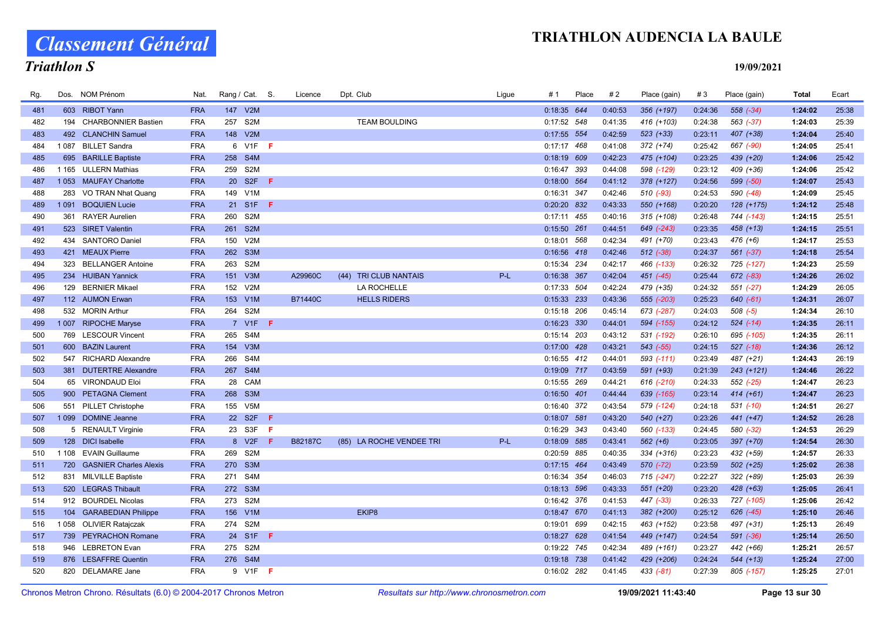# Classement Général

# Triathlon S

| Rg. | Dos.    | NOM Prénom                    | Nat.       |     | Rang / Cat. S.   |     | Licence        | Dpt. Club                       | Ligue | # 1           | Place | #2      | Place (gain)  | #3      | Place (gain)  | Total   | Ecart |
|-----|---------|-------------------------------|------------|-----|------------------|-----|----------------|---------------------------------|-------|---------------|-------|---------|---------------|---------|---------------|---------|-------|
| 481 |         | 603 RIBOT Yann                | <b>FRA</b> |     | 147 V2M          |     |                |                                 |       | 0:18:35 644   |       | 0:40:53 | 356 (+197)    | 0:24:36 | $558$ $(-34)$ | 1:24:02 | 25:38 |
| 482 | 194     | <b>CHARBONNIER Bastien</b>    | <b>FRA</b> | 257 | S <sub>2</sub> M |     |                | <b>TEAM BOULDING</b>            |       | 0:17:52 548   |       | 0:41:35 | 416 (+103)    | 0:24:38 | 563 (-37)     | 1:24:03 | 25:39 |
| 483 |         | 492 CLANCHIN Samuel           | <b>FRA</b> |     | 148 V2M          |     |                |                                 |       | 0:17:55 554   |       | 0:42:59 | $523 (+33)$   | 0:23:11 | 407 (+38)     | 1:24:04 | 25:40 |
| 484 |         | 1087 BILLET Sandra            | <b>FRA</b> |     | 6 V1F F          |     |                |                                 |       | $0:17:17$ 468 |       | 0:41:08 | 372 (+74)     | 0:25:42 | 667 (-90)     | 1:24:05 | 25:41 |
| 485 | 695     | <b>BARILLE Baptiste</b>       | <b>FRA</b> | 258 | S4M              |     |                |                                 |       | $0:18:19$ 609 |       | 0:42:23 | 475 (+104)    | 0:23:25 | 439 (+20)     | 1:24:06 | 25:42 |
| 486 |         | 1 165 ULLERN Mathias          | <b>FRA</b> |     | 259 S2M          |     |                |                                 |       | 0:16:47 393   |       | 0:44:08 | 598 (-129)    | 0:23:12 | 409 (+36)     | 1:24:06 | 25:42 |
| 487 | 1 0 5 3 | <b>MAUFAY Charlotte</b>       | <b>FRA</b> |     | 20 S2F           | F.  |                |                                 |       | 0:18:00 564   |       | 0:41:12 | $378 (+127)$  | 0:24:56 | 599 (-50)     | 1:24:07 | 25:43 |
| 488 | 283     | VO TRAN Nhat Quang            | <b>FRA</b> |     | 149 V1M          |     |                |                                 |       | 0:16:31 347   |       | 0:42:46 | 510 (-93)     | 0:24:53 | 590 (-48)     | 1:24:09 | 25:45 |
| 489 |         | 1091 BOQUIEN Lucie            | <b>FRA</b> |     | 21 S1F F         |     |                |                                 |       | 0:20:20 832   |       | 0:43:33 | 550 (+168)    | 0:20:20 | 128 (+175)    | 1:24:12 | 25:48 |
| 490 |         | 361 RAYER Aurelien            | <b>FRA</b> |     | 260 S2M          |     |                |                                 |       | $0:17:11$ 455 |       | 0:40:16 | $315 (+108)$  | 0:26:48 | 744 (-143)    | 1:24:15 | 25:51 |
| 491 |         | 523 SIRET Valentin            | <b>FRA</b> |     | 261 S2M          |     |                |                                 |       | $0:15:50$ 261 |       | 0:44:51 | 649 (-243)    | 0:23:35 | $458 (+13)$   | 1:24:15 | 25:51 |
| 492 |         | 434 SANTORO Daniel            | <b>FRA</b> | 150 | V2M              |     |                |                                 |       | 0:18:01 568   |       | 0:42:34 | 491 (+70)     | 0:23:43 | $476 (+6)$    | 1:24:17 | 25:53 |
| 493 |         | 421 MEAUX Pierre              | <b>FRA</b> |     | 262 S3M          |     |                |                                 |       | 0:16:56 418   |       | 0:42:46 | $512$ $(-38)$ | 0:24:37 | $561 (-37)$   | 1:24:18 | 25:54 |
| 494 | 323     | <b>BELLANGER Antoine</b>      | <b>FRA</b> | 263 | S <sub>2</sub> M |     |                |                                 |       | 0:15:34 234   |       | 0:42:17 | 466 (-133)    | 0:26:32 | 725 (-127)    | 1:24:23 | 25:59 |
| 495 |         | 234 HUIBAN Yannick            | <b>FRA</b> | 151 | V3M              |     | A29960C        | <b>TRI CLUB NANTAIS</b><br>(44) | $P-L$ | 0:16:38 367   |       | 0:42:04 | 451 (-45)     | 0:25:44 | 672 (-83)     | 1:24:26 | 26:02 |
| 496 |         | 129 BERNIER Mikael            | <b>FRA</b> | 152 | V2M              |     |                | <b>LA ROCHELLE</b>              |       | 0:17:33 504   |       | 0:42:24 | 479 (+35)     | 0:24:32 | $551 (-27)$   | 1:24:29 | 26:05 |
| 497 |         | 112 AUMON Erwan               | <b>FRA</b> |     | 153 V1M          |     | <b>B71440C</b> | <b>HELLS RIDERS</b>             |       | 0:15:33 233   |       | 0:43:36 | 555 (-203)    | 0:25:23 | 640 (-61)     | 1:24:31 | 26:07 |
| 498 |         | 532 MORIN Arthur              | <b>FRA</b> | 264 | S2M              |     |                |                                 |       | 0:15:18 206   |       | 0:45:14 | 673 (-287)    | 0:24:03 | $508 (-5)$    | 1:24:34 | 26:10 |
| 499 |         | 1007 RIPOCHE Maryse           | <b>FRA</b> |     | 7 V1F F          |     |                |                                 |       | 0:16:23 330   |       | 0:44:01 | 594 (-155)    | 0:24:12 | $524$ $(-14)$ | 1:24:35 | 26:11 |
| 500 |         | 769 LESCOUR Vincent           | <b>FRA</b> |     | 265 S4M          |     |                |                                 |       | $0:15:14$ 203 |       | 0:43:12 | 531 (-192)    | 0:26:10 | 695 (-105)    | 1:24:35 | 26:11 |
| 501 | 600     | <b>BAZIN Laurent</b>          | <b>FRA</b> | 154 | V3M              |     |                |                                 |       | 0:17:00 428   |       | 0:43:21 | 543 (-55)     | 0:24:15 | $527$ $(-18)$ | 1:24:36 | 26:12 |
| 502 |         | 547 RICHARD Alexandre         | <b>FRA</b> | 266 | S4M              |     |                |                                 |       | 0:16:55 412   |       | 0:44:01 | 593 (-111)    | 0:23:49 | 487 (+21)     | 1:24:43 | 26:19 |
| 503 |         | 381 DUTERTRE Alexandre        | <b>FRA</b> |     | 267 S4M          |     |                |                                 |       | 0:19:09 717   |       | 0:43:59 | 591 (+93)     | 0:21:39 | $243 (+121)$  | 1:24:46 | 26:22 |
| 504 | 65      | <b>VIRONDAUD Eloi</b>         | <b>FRA</b> |     | 28 CAM           |     |                |                                 |       | 0:15:55 269   |       | 0:44:21 | 616 (-210)    | 0:24:33 | 552 (-25)     | 1:24:47 | 26:23 |
| 505 |         | 900 PETAGNA Clement           | <b>FRA</b> |     | 268 S3M          |     |                |                                 |       | $0:16:50$ 401 |       | 0:44:44 | 639 (-165)    | 0:23:14 | 414 (+61)     | 1:24:47 | 26:23 |
| 506 |         | 551 PILLET Christophe         | <b>FRA</b> |     | 155 V5M          |     |                |                                 |       | 0:16:40 372   |       | 0:43:54 | 579 (-124)    | 0:24:18 | $531$ (-10)   | 1:24:51 | 26:27 |
| 507 |         | 1 099 DOMINE Jeanne           | <b>FRA</b> |     | 22 S2F           | - F |                |                                 |       | $0:18:07$ 581 |       | 0:43:20 | 540 (+27)     | 0:23:26 | 441 (+47)     | 1:24:52 | 26:28 |
| 508 |         | 5 RENAULT Virginie            | <b>FRA</b> |     | 23 S3F           | F   |                |                                 |       | 0:16:29 343   |       | 0:43:40 | 560 (-133)    | 0:24:45 | 580 (-32)     | 1:24:53 | 26:29 |
| 509 |         | 128 DICI Isabelle             | <b>FRA</b> |     | 8 V2F            | F.  | <b>B82187C</b> | (85) LA ROCHE VENDEE TRI        | $P-L$ | 0:18:09 585   |       | 0:43:41 | $562 (+6)$    | 0:23:05 | 397 (+70)     | 1:24:54 | 26:30 |
| 510 |         | 1 108 EVAIN Guillaume         | <b>FRA</b> |     | 269 S2M          |     |                |                                 |       | 0:20:59 885   |       | 0:40:35 | 334 (+316)    | 0:23:23 | 432 (+59)     | 1:24:57 | 26:33 |
| 511 | 720     | <b>GASNIER Charles Alexis</b> | <b>FRA</b> |     | 270 S3M          |     |                |                                 |       | $0:17:15$ 464 |       | 0:43:49 | $570$ (-72)   | 0:23:59 | $502 (+25)$   | 1:25:02 | 26:38 |
| 512 |         | 831 MILVILLE Baptiste         | <b>FRA</b> |     | 271 S4M          |     |                |                                 |       | 0:16:34 354   |       | 0:46:03 | 715 (-247)    | 0:22:27 | 322 (+89)     | 1:25:03 | 26:39 |
| 513 |         | 520 LEGRAS Thibault           | <b>FRA</b> |     | 272 S3M          |     |                |                                 |       | $0:18:13$ 596 |       | 0:43:33 | 551 (+20)     | 0:23:20 | $428 (+63)$   | 1:25:05 | 26:41 |
| 514 |         | 912 BOURDEL Nicolas           | <b>FRA</b> | 273 | S <sub>2</sub> M |     |                |                                 |       | 0:16:42 376   |       | 0:41:53 | 447 (-33)     | 0:26:33 | 727 (-105)    | 1:25:06 | 26:42 |
| 515 |         | 104 GARABEDIAN Philippe       | <b>FRA</b> |     | 156 V1M          |     |                | EKIP8                           |       | 0:18:47 670   |       | 0:41:13 | 382 (+200)    | 0:25:12 | 626 (-45)     | 1:25:10 | 26:46 |
| 516 |         | 1058 OLIVIER Ratajczak        | <b>FRA</b> |     | 274 S2M          |     |                |                                 |       | 0:19:01 699   |       | 0:42:15 | 463 (+152)    | 0:23:58 | 497 (+31)     | 1:25:13 | 26:49 |
| 517 |         | 739 PEYRACHON Romane          | <b>FRA</b> |     | 24 S1F F         |     |                |                                 |       | $0:18:27$ 628 |       | 0:41:54 | 449 (+147)    | 0:24:54 | $591 (-36)$   | 1:25:14 | 26:50 |
| 518 |         | 946 LEBRETON Evan             | <b>FRA</b> |     | 275 S2M          |     |                |                                 |       | 0:19:22 745   |       | 0:42:34 | 489 (+161)    | 0:23:27 | 442 (+66)     | 1:25:21 | 26:57 |
| 519 | 876     | <b>LESAFFRE Quentin</b>       | <b>FRA</b> |     | 276 S4M          |     |                |                                 |       | 0:19:18 738   |       | 0:41:42 | 429 (+206)    | 0:24:24 | $544 (+13)$   | 1:25:24 | 27:00 |
| 520 |         | 820 DELAMARE Jane             | <b>FRA</b> |     | 9 V1F F          |     |                |                                 |       | 0:16:02 282   |       | 0:41:45 | 433 (-81)     | 0:27:39 | 805 (-157)    | 1:25:25 | 27:01 |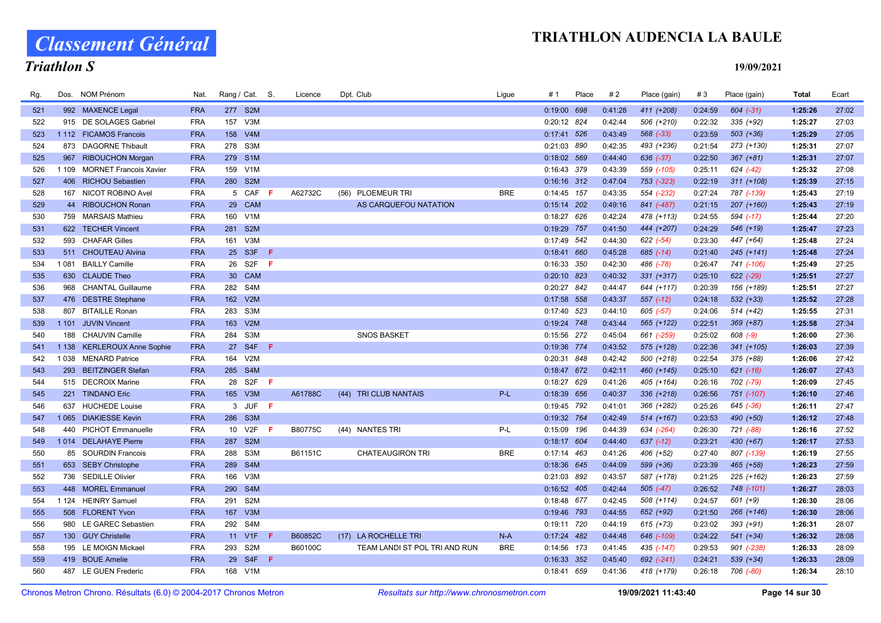Classement Général

# Triathlon S

| Rg. |         | Dos. NOM Prénom               | Nat.       | Rang / Cat. S.                | Licence | Dpt. Club                     | Ligue      | # 1           | Place | #2      | Place (gain)  | #3      | Place (gain)  | Total   | Ecart |
|-----|---------|-------------------------------|------------|-------------------------------|---------|-------------------------------|------------|---------------|-------|---------|---------------|---------|---------------|---------|-------|
| 521 |         | 992 MAXENCE Legal             | <b>FRA</b> | 277 S2M                       |         |                               |            | 0:19:00 698   |       | 0:41:28 | 411 (+208)    | 0:24:59 | $604 (-31)$   | 1:25:26 | 27:02 |
| 522 |         | 915 DE SOLAGES Gabriel        | <b>FRA</b> | V3M<br>157                    |         |                               |            | 0:20:12 824   |       | 0:42:44 | 506 (+210)    | 0:22:32 | 335 (+92)     | 1:25:27 | 27:03 |
| 523 |         | 1 112 FICAMOS Francois        | <b>FRA</b> | V4M<br>158                    |         |                               |            | $0:17:41$ 526 |       | 0:43:49 | 568 (-33)     | 0:23:59 | $503 (+36)$   | 1:25:29 | 27:05 |
| 524 |         | 873 DAGORNE Thibault          | <b>FRA</b> | S3M<br>278                    |         |                               |            | 0:21:03 890   |       | 0:42:35 | 493 (+236)    | 0:21:54 | 273 (+130)    | 1:25:31 | 27:07 |
| 525 | 967     | <b>RIBOUCHON Morgan</b>       | <b>FRA</b> | 279<br>S <sub>1</sub> M       |         |                               |            | $0:18:02$ 569 |       | 0:44:40 | 636 (-37)     | 0:22:50 | $367 (+81)$   | 1:25:31 | 27:07 |
| 526 | 1 1 0 9 | <b>MORNET Francois Xavier</b> | <b>FRA</b> | 159 V1M                       |         |                               |            | 0:16:43 379   |       | 0:43:39 | 559 (-105)    | 0:25:11 | $624$ $(-42)$ | 1:25:32 | 27:08 |
| 527 |         | 406 RICHOU Sebastien          | <b>FRA</b> | 280<br>S <sub>2M</sub>        |         |                               |            | $0:16:16$ 312 |       | 0:47:04 | 753 (-323)    | 0:22:19 | $311 (+108)$  | 1:25:39 | 27:15 |
| 528 |         | 167 NICOT ROBINO Avel         | <b>FRA</b> | 5 CAF<br>-F                   | A62732C | PLOEMEUR TRI<br>(56)          | <b>BRE</b> | $0:14:45$ 157 |       | 0:43:35 | 554 (-232)    | 0:27:24 | 787 (-139)    | 1:25:43 | 27:19 |
| 529 |         | 44 RIBOUCHON Ronan            | <b>FRA</b> | 29 CAM                        |         | AS CARQUEFOU NATATION         |            | $0:15:14$ 202 |       | 0:49:16 | 841 (-487)    | 0:21:15 | $207 (+160)$  | 1:25:43 | 27:19 |
| 530 |         | 759 MARSAIS Mathieu           | <b>FRA</b> | 160 V1M                       |         |                               |            | $0:18:27$ 626 |       | 0:42:24 | 478 (+113)    | 0:24:55 | 594 (-17)     | 1:25:44 | 27:20 |
| 531 |         | 622 TECHER Vincent            | <b>FRA</b> | S <sub>2M</sub><br>281        |         |                               |            | 0:19:29 757   |       | 0:41:50 | 444 (+207)    | 0:24:29 | 546 (+19)     | 1:25:47 | 27:23 |
| 532 | 593     | <b>CHAFAR Gilles</b>          | <b>FRA</b> | V3M<br>161                    |         |                               |            | 0:17:49 542   |       | 0:44:30 | $622 (-54)$   | 0:23:30 | 447 (+64)     | 1:25:48 | 27:24 |
| 533 | 511     | <b>CHOUTEAU Alvina</b>        | <b>FRA</b> | 25 S3F<br>F                   |         |                               |            | 0:18:41       | 660   | 0:45:28 | $685$ $(-14)$ | 0:21:40 | $245 (+141)$  | 1:25:48 | 27:24 |
| 534 | 1081    | <b>BAILLY Camille</b>         | <b>FRA</b> | S <sub>2</sub> F<br>26<br>-F. |         |                               |            | 0:16:33 350   |       | 0:42:30 | 486 (-78)     | 0:26:47 | 741 (-106)    | 1:25:49 | 27:25 |
| 535 |         | 630 CLAUDE Theo               | <b>FRA</b> | CAM<br>30 <sup>°</sup>        |         |                               |            | $0:20:10$ 823 |       | 0:40:32 | 331 (+317)    | 0:25:10 | $622$ $(-29)$ | 1:25:51 | 27:27 |
| 536 | 968     | <b>CHANTAL Guillaume</b>      | <b>FRA</b> | 282<br>S4M                    |         |                               |            | 0:20:27 842   |       | 0:44:47 | 644 (+117)    | 0:20:39 | 156 (+189)    | 1:25:51 | 27:27 |
| 537 |         | 476 DESTRE Stephane           | <b>FRA</b> | V2M<br>162                    |         |                               |            | 0:17:58 558   |       | 0:43:37 | 557 (-12)     | 0:24:18 | $532 (+33)$   | 1:25:52 | 27:28 |
| 538 | 807     | <b>BITAILLE Ronan</b>         | <b>FRA</b> | 283<br>S <sub>3</sub> M       |         |                               |            | $0:17:40$ 523 |       | 0:44:10 | $605$ $(-57)$ | 0:24:06 | $514 (+42)$   | 1:25:55 | 27:31 |
| 539 |         | 1 101 JUVIN Vincent           | <b>FRA</b> | 163<br>V2M                    |         |                               |            | 0:19:24 748   |       | 0:43:44 | 565 (+122)    | 0:22:51 | 369 (+87)     | 1:25:58 | 27:34 |
| 540 | 188     | <b>CHAUVIN Camille</b>        | <b>FRA</b> | 284 S3M                       |         | <b>SNOS BASKET</b>            |            | 0:15:56 272   |       | 0:45:04 | 661 (-259)    | 0:25:02 | $608$ $(-9)$  | 1:26:00 | 27:36 |
| 541 | 1 1 3 8 | <b>KERLEROUX Anne Sophie</b>  | <b>FRA</b> | 27 S4F<br>-F                  |         |                               |            | 0:19:36 774   |       | 0:43:52 | 575 (+128)    | 0:22:36 | $341 (+105)$  | 1:26:03 | 27:39 |
| 542 | 1038    | <b>MENARD Patrice</b>         | <b>FRA</b> | 164<br>V2M                    |         |                               |            | 0:20:31 848   |       | 0:42:42 | 500 (+218)    | 0:22:54 | 375 (+88)     | 1:26:06 | 27:42 |
| 543 | 293     | <b>BEITZINGER Stefan</b>      | <b>FRA</b> | S4M<br>285                    |         |                               |            | 0:18:47 672   |       | 0:42:11 | 460 (+145)    | 0:25:10 | $621$ $(-16)$ | 1:26:07 | 27:43 |
| 544 |         | 515 DECROIX Marine            | <b>FRA</b> | 28 S2F<br>-F                  |         |                               |            | 0:18:27 629   |       | 0:41:26 | 405 (+164)    | 0:26:16 | 702 (-79)     | 1:26:09 | 27:45 |
| 545 |         | 221 TINDANO Eric              | <b>FRA</b> | 165 V3M                       | A61788C | (44) TRI CLUB NANTAIS         | $P-L$      | 0:18:39 656   |       | 0:40:37 | 336 (+218)    | 0:26:56 | 751 (-107)    | 1:26:10 | 27:46 |
| 546 | 637     | <b>HUCHEDE Louise</b>         | <b>FRA</b> | 3 JUF<br>-F                   |         |                               |            | 0:19:45 792   |       | 0:41:01 | 366 (+282)    | 0:25:26 | $645$ $(-36)$ | 1:26:11 | 27:47 |
| 547 | 1 0 6 5 | <b>DIAKIESSE Kevin</b>        | <b>FRA</b> | 286<br>S <sub>3</sub> M       |         |                               |            | 0:19:32 764   |       | 0:42:49 | 514 (+167)    | 0:23:53 | 490 (+50)     | 1:26:12 | 27:48 |
| 548 | 440     | <b>PICHOT Emmanuelle</b>      | <b>FRA</b> | V <sub>2F</sub><br>10<br>-F   | B80775C | (44) NANTES TRI               | P-L        | 0:15:09 196   |       | 0:44:39 | 634 (-264)    | 0:26:30 | 721 (-88)     | 1:26:16 | 27:52 |
| 549 |         | 1014 DELAHAYE Pierre          | <b>FRA</b> | 287<br>S <sub>2M</sub>        |         |                               |            | 0:18:17 604   |       | 0:44:40 | $637$ $(-12)$ | 0:23:21 | 430 (+67)     | 1:26:17 | 27:53 |
| 550 |         | 85 SOURDIN Francois           | <b>FRA</b> | S <sub>3</sub> M<br>288       | B61151C | <b>CHATEAUGIRON TRI</b>       | <b>BRE</b> | $0:17:14$ 463 |       | 0:41:26 | 406 (+52)     | 0:27:40 | 807 (-139)    | 1:26:19 | 27:55 |
| 551 |         | 653 SEBY Christophe           | <b>FRA</b> | 289<br>S4M                    |         |                               |            | 0:18:36 645   |       | 0:44:09 | 599 (+36)     | 0:23:39 | 465 (+58)     | 1:26:23 | 27:59 |
| 552 |         | 736 SEDILLE Olivier           | <b>FRA</b> | 166<br>V3M                    |         |                               |            | 0:21:03 892   |       | 0:43:57 | 587 (+178)    | 0:21:25 | $225 (+162)$  | 1:26:23 | 27:59 |
| 553 |         | 448 MOREL Emmanuel            | <b>FRA</b> | 290<br>S4M                    |         |                               |            | 0:16:52 405   |       | 0:42:44 | $505$ $(-47)$ | 0:26:52 | 748 (-101)    | 1:26:27 | 28:03 |
| 554 |         | 1 124 HEINRY Samuel           | <b>FRA</b> | S <sub>2</sub> M<br>291       |         |                               |            | 0:18:48 677   |       | 0:42:45 | 508 (+114)    | 0:24:57 | $601 (+9)$    | 1:26:30 | 28:06 |
| 555 |         | 508 FLORENT Yvon              | <b>FRA</b> | V3M<br>167                    |         |                               |            | 0:19:46 793   |       | 0:44:55 | 652 (+92)     | 0:21:50 | 266 (+146)    | 1:26:30 | 28:06 |
| 556 |         | 980 LE GAREC Sebastien        | <b>FRA</b> | 292<br>S <sub>4</sub> M       |         |                               |            | 0:19:11 720   |       | 0:44:19 | $615 (+73)$   | 0:23:02 | 393 (+91)     | 1:26:31 | 28:07 |
| 557 |         | 130 GUY Christelle            | <b>FRA</b> | 11 V1F<br>-F                  | B60852C | (17) LA ROCHELLE TRI          | $N-A$      | $0:17:24$ 482 |       | 0:44:48 | 646 (-109)    | 0:24:22 | $541 (+34)$   | 1:26:32 | 28:08 |
| 558 |         | 195 LE MOIGN Mickael          | <b>FRA</b> | S <sub>2</sub> M<br>293       | B60100C | TEAM LANDI ST POL TRI AND RUN | <b>BRE</b> | 0:14:56 173   |       | 0:41:45 | 435 (-147)    | 0:29:53 | 901 (-238)    | 1:26:33 | 28:09 |
| 559 |         | 419 BOUE Amelie               | <b>FRA</b> | S <sub>4F</sub><br>29<br>-F.  |         |                               |            | 0:16:33 352   |       | 0:45:40 | 692 (-241)    | 0:24:21 | 539 (+34)     | 1:26:33 | 28:09 |
| 560 |         | 487 LE GUEN Frederic          | <b>FRA</b> | 168 V1M                       |         |                               |            | 0:18:41 659   |       | 0:41:36 | 418 (+179)    | 0:26:18 | 706 (-80)     | 1:26:34 | 28:10 |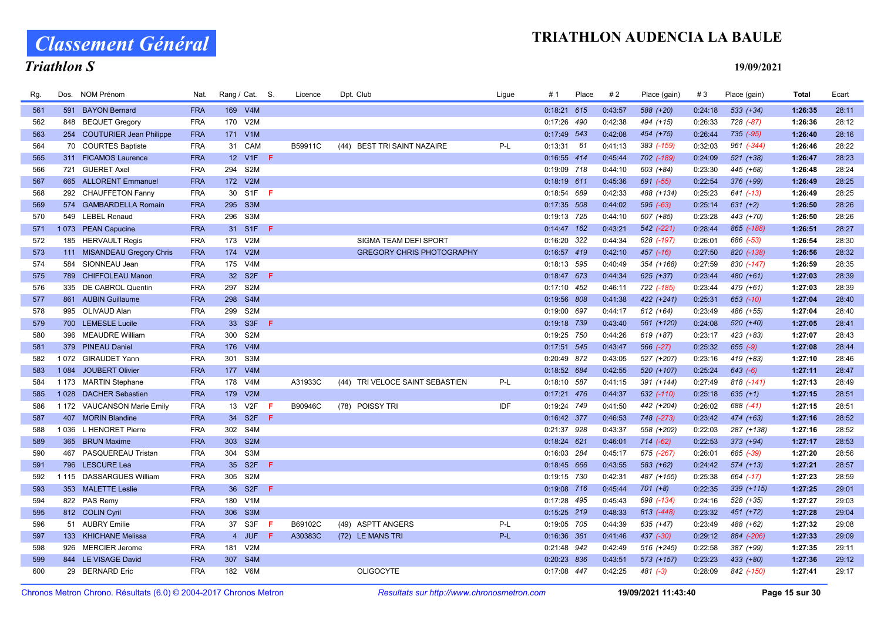Classement Général

# Triathlon S

| Rg. | Dos.    | NOM Prénom                  | Nat.       | Rang / Cat. S.  |                  |           | Licence | Dpt. Club                             | Ligue | # 1           | Place | #2      | Place (gain) | #3      | Place (gain)  | <b>Total</b> | Ecart |
|-----|---------|-----------------------------|------------|-----------------|------------------|-----------|---------|---------------------------------------|-------|---------------|-------|---------|--------------|---------|---------------|--------------|-------|
| 561 |         | 591 BAYON Bernard           | <b>FRA</b> | 169 V4M         |                  |           |         |                                       |       | $0:18:21$ 615 |       | 0:43:57 | 588 (+20)    | 0:24:18 | $533 (+34)$   | 1:26:35      | 28:11 |
| 562 |         | 848 BEQUET Gregory          | <b>FRA</b> | 170 V2M         |                  |           |         |                                       |       | 0:17:26 490   |       | 0:42:38 | 494 (+15)    | 0:26:33 | 728 (-87)     | 1:26:36      | 28:12 |
| 563 |         | 254 COUTURIER Jean Philippe | <b>FRA</b> | 171 V1M         |                  |           |         |                                       |       | $0:17:49$ 543 |       | 0:42:08 | 454 (+75)    | 0:26:44 | 735 (-95)     | 1:26:40      | 28:16 |
| 564 |         | 70 COURTES Baptiste         | <b>FRA</b> | 31 CAM          |                  |           | B59911C | (44)<br><b>BEST TRI SAINT NAZAIRE</b> | $P-L$ | 0:13:31       | 61    | 0:41:13 | 383 (-159)   | 0:32:03 | 961 (-344)    | 1:26:46      | 28:22 |
| 565 |         | 311 FICAMOS Laurence        | <b>FRA</b> |                 | 12 V1F <b>F</b>  |           |         |                                       |       | 0:16:55 414   |       | 0:45:44 | 702 (-189)   | 0:24:09 | $521 (+38)$   | 1:26:47      | 28:23 |
| 566 |         | 721 GUERET Axel             | <b>FRA</b> | 294             | S <sub>2</sub> M |           |         |                                       |       | 0:19:09 718   |       | 0:44:10 | 603 (+84)    | 0:23:30 | 445 (+68)     | 1:26:48      | 28:24 |
| 567 |         | 665 ALLORENT Emmanuel       | <b>FRA</b> | 172 V2M         |                  |           |         |                                       |       | $0:18:19$ 611 |       | 0:45:36 | 691 (-55)    | 0:22:54 | 376 (+99)     | 1:26:49      | 28:25 |
| 568 |         | 292 CHAUFFETON Fanny        | <b>FRA</b> | 30              | S <sub>1</sub> F | -F        |         |                                       |       | 0:18:54       | 689   | 0:42:33 | 488 (+134)   | 0:25:23 | 641 (-13)     | 1:26:49      | 28:25 |
| 569 |         | 574 GAMBARDELLA Romain      | <b>FRA</b> | 295 S3M         |                  |           |         |                                       |       | $0:17:35$ 508 |       | 0:44:02 | $595 (-63)$  | 0:25:14 | $631 (+2)$    | 1:26:50      | 28:26 |
| 570 | 549     | <b>LEBEL Renaud</b>         | <b>FRA</b> | 296 S3M         |                  |           |         |                                       |       | 0:19:13 725   |       | 0:44:10 | 607 (+85)    | 0:23:28 | 443 (+70)     | 1:26:50      | 28:26 |
| 571 | 1073    | <b>PEAN Capucine</b>        | <b>FRA</b> | 31 S1F          |                  | -F        |         |                                       |       | $0:14:47$ 162 |       | 0:43:21 | 542 (-221)   | 0:28:44 | 865 (-188)    | 1:26:51      | 28:27 |
| 572 |         | 185 HERVAULT Regis          | <b>FRA</b> | 173 V2M         |                  |           |         | SIGMA TEAM DEFI SPORT                 |       | 0:16:20 322   |       | 0:44:34 | 628 (-197)   | 0:26:01 | 686 (-53)     | 1:26:54      | 28:30 |
| 573 |         | 111 MISANDEAU Gregory Chris | <b>FRA</b> | 174 V2M         |                  |           |         | <b>GREGORY CHRIS PHOTOGRAPHY</b>      |       | 0:16:57 419   |       | 0:42:10 | 457 (-16)    | 0:27:50 | 820 (-138)    | 1:26:56      | 28:32 |
| 574 |         | 584 SIONNEAU Jean           | <b>FRA</b> | 175             | V4M              |           |         |                                       |       | 0:18:13 595   |       | 0:40:49 | 354 (+168)   | 0:27:59 | 830 (-147)    | 1:26:59      | 28:35 |
| 575 |         | 789 CHIFFOLEAU Manon        | <b>FRA</b> | 32 S2F          |                  | -F        |         |                                       |       | 0:18:47 673   |       | 0:44:34 | 625 (+37)    | 0:23:44 | 480 (+61)     | 1:27:03      | 28:39 |
| 576 |         | 335 DE CABROL Quentin       | <b>FRA</b> | 297             | S <sub>2</sub> M |           |         |                                       |       | 0:17:10 452   |       | 0:46:11 | 722 (-185)   | 0:23:44 | 479 (+61)     | 1:27:03      | 28:39 |
| 577 |         | 861 AUBIN Guillaume         | <b>FRA</b> | 298             | S <sub>4</sub> M |           |         |                                       |       | 0:19:56 808   |       | 0:41:38 | 422 (+241)   | 0:25:31 | $653$ $(-10)$ | 1:27:04      | 28:40 |
| 578 |         | 995 OLIVAUD Alan            | <b>FRA</b> | 299             | S <sub>2</sub> M |           |         |                                       |       | 0:19:00 697   |       | 0:44:17 | $612 (+64)$  | 0:23:49 | 486 (+55)     | 1:27:04      | 28:40 |
| 579 |         | 700 LEMESLE Lucile          | <b>FRA</b> | 33 S3F          |                  | $\bullet$ |         |                                       |       | 0:19:18 739   |       | 0:43:40 | 561 (+120)   | 0:24:08 | 520 (+40)     | 1:27:05      | 28:41 |
| 580 |         | 396 MEAUDRE William         | <b>FRA</b> | 300             | S <sub>2</sub> M |           |         |                                       |       | 0:19:25 750   |       | 0:44:26 | 619 (+87)    | 0:23:17 | 423 (+83)     | 1:27:07      | 28:43 |
| 581 | 379     | <b>PINEAU Daniel</b>        | <b>FRA</b> | 176             | V4M              |           |         |                                       |       | 0:17:51 545   |       | 0:43:47 | 566 (-27)    | 0:25:32 | $655 (-9)$    | 1:27:08      | 28:44 |
| 582 |         | 1072 GIRAUDET Yann          | <b>FRA</b> | 301             | S3M              |           |         |                                       |       | 0:20:49 872   |       | 0:43:05 | 527 (+207)   | 0:23:16 | 419 (+83)     | 1:27:10      | 28:46 |
| 583 | 1 0 8 4 | JOUBERT Olivier             | <b>FRA</b> | 177 V4M         |                  |           |         |                                       |       | 0:18:52 684   |       | 0:42:55 | 520 (+107)   | 0:25:24 | $643 (-6)$    | 1:27:11      | 28:47 |
| 584 | 1 1 7 3 | <b>MARTIN Stephane</b>      | <b>FRA</b> | 178             | V <sub>4</sub> M |           | A31933C | (44) TRI VELOCE SAINT SEBASTIEN       | P-L   | 0:18:10 587   |       | 0:41:15 | 391 (+144)   | 0:27:49 | 818 (-141)    | 1:27:13      | 28:49 |
| 585 | 1028    | <b>DACHER Sebastien</b>     | <b>FRA</b> | 179 V2M         |                  |           |         |                                       |       | $0:17:21$ 476 |       | 0:44:37 | 632 (-110)   | 0:25:18 | $635 (+1)$    | 1:27:15      | 28:51 |
| 586 |         | 1 172 VAUCANSON Marie Emily | <b>FRA</b> | 13 V2F          |                  |           | B90946C | (78) POISSY TRI                       | IDF   | 0:19:24 749   |       | 0:41:50 | 442 (+204)   | 0:26:02 | 688 (-41)     | 1:27:15      | 28:51 |
| 587 | 407     | <b>MORIN Blandine</b>       | <b>FRA</b> |                 | 34 S2F F         |           |         |                                       |       | 0:16:42 377   |       | 0:46:53 | 748 (-273)   | 0:23:42 | $474 (+63)$   | 1:27:16      | 28:52 |
| 588 |         | 1036 L HENORET Pierre       | <b>FRA</b> | 302             | S <sub>4</sub> M |           |         |                                       |       | 0:21:37 928   |       | 0:43:37 | 558 (+202)   | 0:22:03 | 287 (+138)    | 1:27:16      | 28:52 |
| 589 |         | 365 BRUN Maxime             | <b>FRA</b> | 303 S2M         |                  |           |         |                                       |       | 0:18:24 621   |       | 0:46:01 | 714 (-62)    | 0:22:53 | $373 (+94)$   | 1:27:17      | 28:53 |
| 590 |         | 467 PASQUEREAU Tristan      | <b>FRA</b> | 304 S3M         |                  |           |         |                                       |       | 0:16:03 284   |       | 0:45:17 | 675 (-267)   | 0:26:01 | 685 (-39)     | 1:27:20      | 28:56 |
| 591 | 796     | <b>LESCURE Lea</b>          | <b>FRA</b> | 35 S2F          |                  | -F        |         |                                       |       | $0:18:45$ 666 |       | 0:43:55 | $583 (+62)$  | 0:24:42 | $574 (+13)$   | 1:27:21      | 28:57 |
| 592 |         | 1115 DASSARGUES William     | <b>FRA</b> | 305 S2M         |                  |           |         |                                       |       | 0:19:15 730   |       | 0:42:31 | 487 (+155)   | 0:25:38 | 664 (-17)     | 1:27:23      | 28:59 |
| 593 |         | 353 MALETTE Leslie          | <b>FRA</b> | 36 <sup>°</sup> | S <sub>2F</sub>  | F.        |         |                                       |       | 0:19:08 716   |       | 0:45:44 | $701 (+8)$   | 0:22:35 | 339 (+115)    | 1:27:25      | 29:01 |
| 594 |         | 822 PAS Remv                | <b>FRA</b> | 180             | V1M              |           |         |                                       |       | $0:17:28$ 495 |       | 0:45:43 | 698 (-134)   | 0:24:16 | 528 (+35)     | 1:27:27      | 29:03 |
| 595 |         | 812 COLIN Cyril             | <b>FRA</b> | 306 S3M         |                  |           |         |                                       |       | 0:15:25 219   |       | 0:48:33 | 813 (-448)   | 0:23:32 | 451 (+72)     | 1:27:28      | 29:04 |
| 596 |         | 51 AUBRY Emilie             | <b>FRA</b> | 37 S3F          |                  | -F        | B69102C | (49) ASPTT ANGERS                     | P-L   | 0:19:05 705   |       | 0:44:39 | 635 (+47)    | 0:23:49 | 488 (+62)     | 1:27:32      | 29:08 |
| 597 |         | 133 KHICHANE Melissa        | <b>FRA</b> |                 | 4 JUF            | - F       | A30383C | (72) LE MANS TRI                      | P-L   | 0:16:36 361   |       | 0:41:46 | $437 (-30)$  | 0:29:12 | 884 (-206)    | 1:27:33      | 29:09 |
| 598 |         | 926 MERCIER Jerome          | <b>FRA</b> | 181             | V <sub>2</sub> M |           |         |                                       |       | 0:21:48 942   |       | 0:42:49 | 516 (+245)   | 0:22:58 | 387 (+99)     | 1:27:35      | 29:11 |
| 599 |         | 844 LE VISAGE David         | <b>FRA</b> | 307             | S <sub>4</sub> M |           |         |                                       |       | 0:20:23 836   |       | 0:43:51 | 573 (+157)   | 0:23:23 | 433 (+80)     | 1:27:36      | 29:12 |
| 600 |         | 29 BERNARD Eric             | <b>FRA</b> | 182 V6M         |                  |           |         | <b>OLIGOCYTE</b>                      |       | 0:17:08 447   |       | 0:42:25 | $481 (-3)$   | 0:28:09 | 842 (-150)    | 1:27:41      | 29:17 |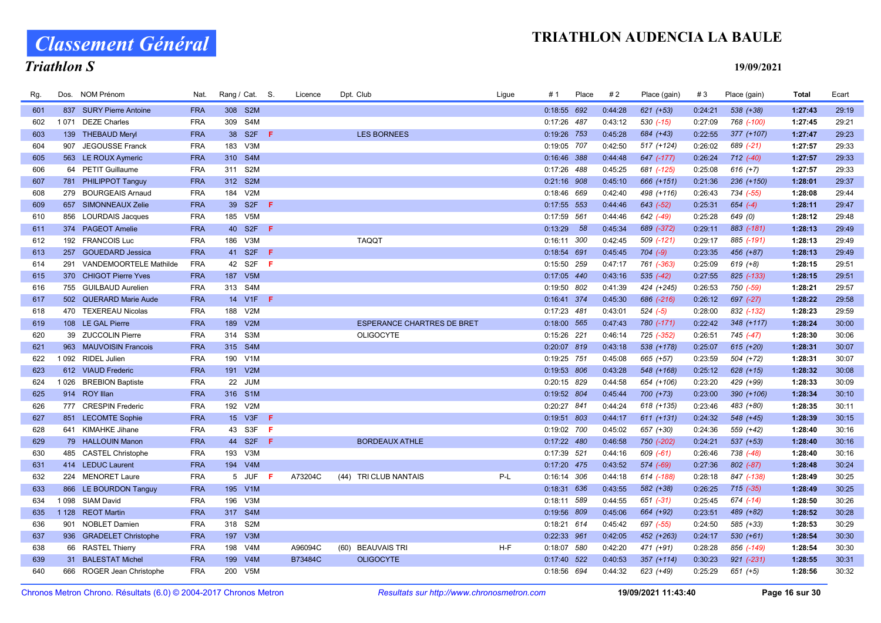Classement Général

# Triathlon S

| Rg. |         | Dos. NOM Prénom           | Nat.       | Rang / Cat. S. |                  |     | Licence | Dpt. Club                         | Lique | # 1           | Place | #2      | Place (gain)  | #3      | Place (gain)  | Total   | Ecart |
|-----|---------|---------------------------|------------|----------------|------------------|-----|---------|-----------------------------------|-------|---------------|-------|---------|---------------|---------|---------------|---------|-------|
| 601 |         | 837 SURY Pierre Antoine   | <b>FRA</b> |                | 308 S2M          |     |         |                                   |       | $0:18:55$ 692 |       | 0:44:28 | $621 (+53)$   | 0:24:21 | 538 (+38)     | 1:27:43 | 29:19 |
| 602 | 1071    | <b>DEZE Charles</b>       | <b>FRA</b> | 309            | S4M              |     |         |                                   |       | 0:17:26 487   |       | 0:43:12 | $530(-15)$    | 0:27:09 | 768 (-100)    | 1:27:45 | 29:21 |
| 603 |         | 139 THEBAUD Meryl         | <b>FRA</b> |                | 38 S2F           | -F. |         | <b>LES BORNEES</b>                |       | 0:19:26 753   |       | 0:45:28 | 684 (+43)     | 0:22:55 | $377 (+107)$  | 1:27:47 | 29:23 |
| 604 | 907     | <b>JEGOUSSE Franck</b>    | <b>FRA</b> | 183            | V3M              |     |         |                                   |       | 0:19:05 707   |       | 0:42:50 | 517 (+124)    | 0:26:02 | 689 (-21)     | 1:27:57 | 29:33 |
| 605 |         | 563 LE ROUX Aymeric       | <b>FRA</b> | 310            | S4M              |     |         |                                   |       | $0:16:46$ 388 |       | 0:44:48 | 647 (-177)    | 0:26:24 | $712$ $(-40)$ | 1:27:57 | 29:33 |
| 606 |         | 64 PETIT Guillaume        | <b>FRA</b> |                | 311 S2M          |     |         |                                   |       | 0:17:26 488   |       | 0:45:25 | 681 (-125)    | 0:25:08 | $616 (+7)$    | 1:27:57 | 29:33 |
| 607 |         | 781 PHILIPPOT Tanguy      | <b>FRA</b> | 312 S2M        |                  |     |         |                                   |       | $0:21:16$ 908 |       | 0:45:10 | 666 (+151)    | 0:21:36 | 236 (+150)    | 1:28:01 | 29:37 |
| 608 | 279     | <b>BOURGEAIS Arnaud</b>   | <b>FRA</b> | 184            | V2M              |     |         |                                   |       | 0:18:46 669   |       | 0:42:40 | 498 (+116)    | 0:26:43 | 734 (-55)     | 1:28:08 | 29:44 |
| 609 |         | 657 SIMONNEAUX Zelie      | <b>FRA</b> |                | 39 S2F           | - F |         |                                   |       | $0:17:55$ 553 |       | 0:44:46 | 643 (-52)     | 0:25:31 | $654 (-4)$    | 1:28:11 | 29:47 |
| 610 |         | 856 LOURDAIS Jacques      | <b>FRA</b> | 185 V5M        |                  |     |         |                                   |       | 0:17:59 561   |       | 0:44:46 | 642 (-49)     | 0:25:28 | 649 (0)       | 1:28:12 | 29:48 |
| 611 |         | 374 PAGEOT Amelie         | <b>FRA</b> |                | 40 S2F <b>F</b>  |     |         |                                   |       | 0:13:29       | - 58  | 0:45:34 | 689 (-372)    | 0:29:11 | 883 (-181)    | 1:28:13 | 29:49 |
| 612 |         | 192 FRANCOIS Luc          | <b>FRA</b> | 186            | V3M              |     |         | <b>TAQQT</b>                      |       | 0:16:11 300   |       | 0:42:45 | 509 (-121)    | 0:29:17 | 885 (-191)    | 1:28:13 | 29:49 |
| 613 | 257     | <b>GOUEDARD Jessica</b>   | <b>FRA</b> |                | 41 S2F           | F   |         |                                   |       | 0:18:54 691   |       | 0:45:45 | $704 (-9)$    | 0:23:35 | 456 (+87)     | 1:28:13 | 29:49 |
| 614 | 291     | VANDEMOORTELE Mathilde    | <b>FRA</b> |                | 42 S2F           | F   |         |                                   |       | 0:15:50 259   |       | 0:47:17 | 761 (-363)    | 0:25:09 | $619 (+8)$    | 1:28:15 | 29:51 |
| 615 |         | 370 CHIGOT Pierre Yves    | <b>FRA</b> |                | 187 V5M          |     |         |                                   |       | 0:17:05 440   |       | 0:43:16 | $535 (-42)$   | 0:27:55 | 825 (-133)    | 1:28:15 | 29:51 |
| 616 |         | 755 GUILBAUD Aurelien     | <b>FRA</b> | 313 S4M        |                  |     |         |                                   |       | 0:19:50 802   |       | 0:41:39 | 424 (+245)    | 0:26:53 | 750 (-59)     | 1:28:21 | 29:57 |
| 617 |         | 502 QUERARD Marie Aude    | <b>FRA</b> |                | 14 V1F F         |     |         |                                   |       | 0:16:41 374   |       | 0:45:30 | 686 (-216)    | 0:26:12 | 697 (-27)     | 1:28:22 | 29:58 |
| 618 |         | 470 TEXEREAU Nicolas      | <b>FRA</b> | 188            | V2M              |     |         |                                   |       | 0:17:23 481   |       | 0:43:01 | $524 (-5)$    | 0:28:00 | 832 (-132)    | 1:28:23 | 29:59 |
| 619 |         | 108 LE GAL Pierre         | <b>FRA</b> |                | 189 V2M          |     |         | <b>ESPERANCE CHARTRES DE BRET</b> |       | 0:18:00 565   |       | 0:47:43 | 780 (-171)    | 0:22:42 | 348 (+117)    | 1:28:24 | 30:00 |
| 620 |         | 39 ZUCCOLIN Pierre        | <b>FRA</b> | 314 S3M        |                  |     |         | <b>OLIGOCYTE</b>                  |       | 0:15:26 221   |       | 0:46:14 | 725 (-352)    | 0:26:51 | 745 (-47)     | 1:28:30 | 30:06 |
| 621 |         | 963 MAUVOISIN Francois    | <b>FRA</b> |                | 315 S4M          |     |         |                                   |       | 0:20:07 819   |       | 0:43:18 | 538 (+178)    | 0:25:07 | $615 (+20)$   | 1:28:31 | 30:07 |
| 622 |         | 1092 RIDEL Julien         | <b>FRA</b> |                | 190 V1M          |     |         |                                   |       | 0:19:25 751   |       | 0:45:08 | 665 (+57)     | 0:23:59 | 504 (+72)     | 1:28:31 | 30:07 |
| 623 |         | 612 VIAUD Frederic        | <b>FRA</b> | 191            | V2M              |     |         |                                   |       | 0:19:53 806   |       | 0:43:28 | 548 (+168)    | 0:25:12 | $628 (+15)$   | 1:28:32 | 30:08 |
| 624 | 1026    | <b>BREBION Baptiste</b>   | <b>FRA</b> | 22             | <b>JUM</b>       |     |         |                                   |       | 0:20:15 829   |       | 0:44:58 | 654 (+106)    | 0:23:20 | 429 (+99)     | 1:28:33 | 30:09 |
| 625 |         | 914 ROY Illan             | <b>FRA</b> |                | 316 S1M          |     |         |                                   |       | 0:19:52 804   |       | 0:45:44 | $700 (+73)$   | 0:23:00 | 390 (+106)    | 1:28:34 | 30:10 |
| 626 |         | 777 CRESPIN Frederic      | <b>FRA</b> |                | 192 V2M          |     |         |                                   |       | 0:20:27 841   |       | 0:44:24 | 618 (+135)    | 0:23:46 | 483 (+80)     | 1:28:35 | 30:11 |
| 627 |         | 851 LECOMTE Sophie        | <b>FRA</b> |                | 15 V3F           | - F |         |                                   |       | 0:19:51 803   |       | 0:44:17 | $611 (+131)$  | 0:24:32 | 548 (+45)     | 1:28:39 | 30:15 |
| 628 |         | 641 KIMAHKE Jihane        | <b>FRA</b> | 43             | S3F              | F   |         |                                   |       | 0:19:02 700   |       | 0:45:02 | 657 (+30)     | 0:24:36 | 559 (+42)     | 1:28:40 | 30:16 |
| 629 |         | 79 HALLOUIN Manon         | <b>FRA</b> |                | 44 S2F           | -F. |         | <b>BORDEAUX ATHLE</b>             |       | $0:17:22$ 480 |       | 0:46:58 | 750 (-202)    | 0:24:21 | 537 (+53)     | 1:28:40 | 30:16 |
| 630 |         | 485 CASTEL Christophe     | <b>FRA</b> |                | 193 V3M          |     |         |                                   |       | 0:17:39 521   |       | 0:44:16 | $609$ $(-61)$ | 0:26:46 | 738 (-48)     | 1:28:40 | 30:16 |
| 631 |         | 414 LEDUC Laurent         | <b>FRA</b> |                | 194 V4M          |     |         |                                   |       | 0:17:20 475   |       | 0:43:52 | 574 (-69)     | 0:27:36 | 802 (-87)     | 1:28:48 | 30:24 |
| 632 |         | 224 MENORET Laure         | <b>FRA</b> |                | 5 JUF            | -F  | A73204C | (44) TRI CLUB NANTAIS             | P-L   | 0:16:14 306   |       | 0:44:18 | 614 (-188)    | 0:28:18 | 847 (-138)    | 1:28:49 | 30:25 |
| 633 |         | 866 LE BOURDON Tanguy     | <b>FRA</b> | 195 V1M        |                  |     |         |                                   |       | 0:18:31 636   |       | 0:43:55 | 582 (+38)     | 0:26:25 | $715$ (-35)   | 1:28:49 | 30:25 |
| 634 | 1098    | <b>SIAM David</b>         | <b>FRA</b> | 196            | V3M              |     |         |                                   |       | 0:18:11 589   |       | 0:44:55 | 651 (-31)     | 0:25:45 | 674 (-14)     | 1:28:50 | 30:26 |
| 635 | 1 1 2 8 | <b>REOT Martin</b>        | <b>FRA</b> |                | 317 S4M          |     |         |                                   |       | 0:19:56 809   |       | 0:45:06 | 664 (+92)     | 0:23:51 | 489 (+82)     | 1:28:52 | 30:28 |
| 636 | 901     | <b>NOBLET Damien</b>      | <b>FRA</b> | 318            | S <sub>2</sub> M |     |         |                                   |       | $0:18:21$ 614 |       | 0:45:42 | 697 (-55)     | 0:24:50 | 585 (+33)     | 1:28:53 | 30:29 |
| 637 |         | 936 GRADELET Christophe   | <b>FRA</b> | 197            | V3M              |     |         |                                   |       | 0:22:33 961   |       | 0:42:05 | 452 (+263)    | 0:24:17 | $530 (+61)$   | 1:28:54 | 30:30 |
| 638 |         | 66 RASTEL Thierry         | <b>FRA</b> | 198            | V <sub>4</sub> M |     | A96094C | <b>BEAUVAIS TRI</b><br>(60)       | $H-F$ | 0:18:07       | 580   | 0:42:20 | 471 (+91)     | 0:28:28 | 856 (-149)    | 1:28:54 | 30:30 |
| 639 | 31      | <b>BALESTAT Michel</b>    | <b>FRA</b> | 199            | V4M              |     | B73484C | <b>OLIGOCYTE</b>                  |       | 0:17:40       | 522   | 0:40:53 | $357 (+114)$  | 0:30:23 | $921 (-231)$  | 1:28:55 | 30:31 |
| 640 |         | 666 ROGER Jean Christophe | <b>FRA</b> |                | 200 V5M          |     |         |                                   |       | 0:18:56 694   |       | 0:44:32 | 623 (+49)     | 0:25:29 | $651 (+5)$    | 1:28:56 | 30:32 |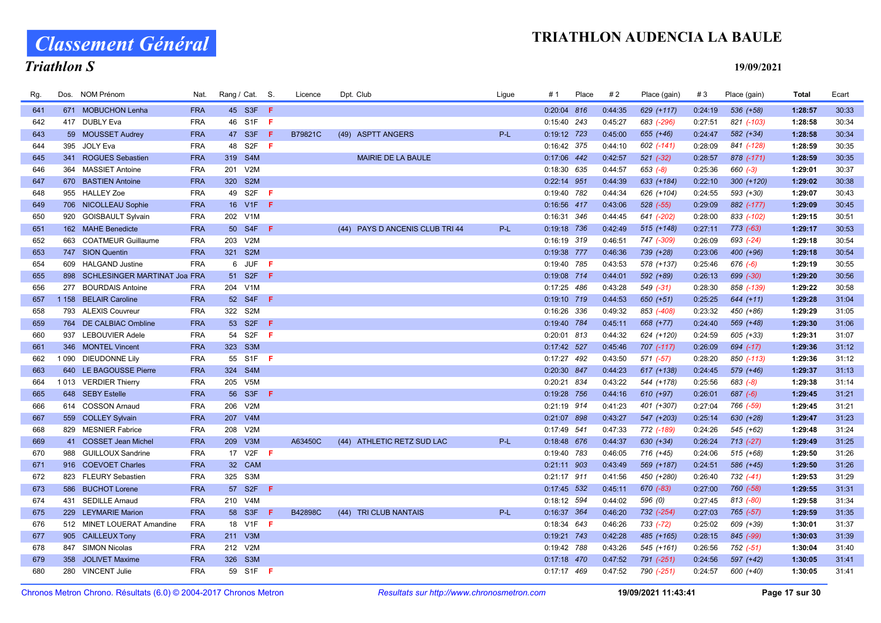# Classement Général

# Triathlon S

| Rg. |     | Dos. NOM Prénom                  | Nat.       | Rang / Cat. S. |          |     | Licence | Dpt. Club                       | Ligue | #1            | Place | #2      | Place (gain)  | #3      | Place (gain)  | <b>Total</b> | Ecart |
|-----|-----|----------------------------------|------------|----------------|----------|-----|---------|---------------------------------|-------|---------------|-------|---------|---------------|---------|---------------|--------------|-------|
| 641 |     | 671 MOBUCHON Lenha               | <b>FRA</b> |                | 45 S3F F |     |         |                                 |       | 0:20:04 816   |       | 0:44:35 | 629 (+117)    | 0:24:19 | 536 (+58)     | 1:28:57      | 30:33 |
| 642 |     | 417 DUBLY Eva                    | <b>FRA</b> |                | 46 S1F   | -F  |         |                                 |       | $0:15:40$ 243 |       | 0:45:27 | 683 (-296)    | 0:27:51 | 821 (-103)    | 1:28:58      | 30:34 |
| 643 |     | 59 MOUSSET Audrey                | <b>FRA</b> |                | 47 S3F   | -F  | B79821C | (49) ASPTT ANGERS               | $P-L$ | 0:19:12 723   |       | 0:45:00 | $655 (+46)$   | 0:24:47 | $582 (+34)$   | 1:28:58      | 30:34 |
| 644 | 395 | JOLY Eva                         | <b>FRA</b> |                | 48 S2F   | F   |         |                                 |       | 0:16:42 375   |       | 0:44:10 | 602 (-141)    | 0:28:09 | 841 (-128)    | 1:28:59      | 30:35 |
| 645 |     | 341 ROGUES Sebastien             | <b>FRA</b> | 319 S4M        |          |     |         | <b>MAIRIE DE LA BAULE</b>       |       | 0:17:06 442   |       | 0:42:57 | $521 (-32)$   | 0:28:57 | 878 (-171)    | 1:28:59      | 30:35 |
| 646 |     | 364 MASSIET Antoine              | <b>FRA</b> | 201 V2M        |          |     |         |                                 |       | 0:18:30 635   |       | 0:44:57 | $653 (-8)$    | 0:25:36 | 660 (-3)      | 1:29:01      | 30:37 |
| 647 |     | 670 BASTIEN Antoine              | <b>FRA</b> | 320 S2M        |          |     |         |                                 |       | 0:22:14 951   |       | 0:44:39 | 633 (+184)    | 0:22:10 | $300 (+120)$  | 1:29:02      | 30:38 |
| 648 |     | 955 HALLEY Zoe                   | <b>FRA</b> |                | 49 S2F   | F   |         |                                 |       | 0:19:40 782   |       | 0:44:34 | 626 (+104)    | 0:24:55 | 593 (+30)     | 1:29:07      | 30:43 |
| 649 |     | 706 NICOLLEAU Sophie             | <b>FRA</b> |                | 16 V1F   | F.  |         |                                 |       | 0:16:56 417   |       | 0:43:06 | $528$ $(-55)$ | 0:29:09 | 882 (-177)    | 1:29:09      | 30:45 |
| 650 |     | 920 GOISBAULT Sylvain            | <b>FRA</b> | 202 V1M        |          |     |         |                                 |       | 0:16:31 346   |       | 0:44:45 | 641 (-202)    | 0:28:00 | 833 (-102)    | 1:29:15      | 30:51 |
| 651 |     | 162 MAHE Benedicte               | <b>FRA</b> |                | 50 S4F   | - F |         | (44) PAYS D ANCENIS CLUB TRI 44 | P-L   | 0:19:18 736   |       | 0:42:49 | 515 (+148)    | 0:27:11 | $773$ $(-63)$ | 1:29:17      | 30:53 |
| 652 |     | 663 COATMEUR Guillaume           | <b>FRA</b> | 203 V2M        |          |     |         |                                 |       | 0:16:19 319   |       | 0:46:51 | 747 (-309)    | 0:26:09 | 693 (-24)     | 1:29:18      | 30:54 |
| 653 |     | 747 SION Quentin                 | <b>FRA</b> | 321 S2M        |          |     |         |                                 |       | 0:19:38 777   |       | 0:46:36 | 739 (+28)     | 0:23:06 | 400 (+96)     | 1:29:18      | 30:54 |
| 654 |     | 609 HALGAND Justine              | <b>FRA</b> |                | 6 JUF    | F.  |         |                                 |       | 0:19:40 785   |       | 0:43:53 | 578 (+137)    | 0:25:46 | $676(-6)$     | 1:29:19      | 30:55 |
| 655 |     | 898 SCHLESINGER MARTINAT Joa FRA |            |                | 51 S2F   | - F |         |                                 |       | 0:19:08 714   |       | 0:44:01 | 592 (+89)     | 0:26:13 | 699 (-30)     | 1:29:20      | 30:56 |
| 656 |     | 277 BOURDAIS Antoine             | <b>FRA</b> | 204 V1M        |          |     |         |                                 |       | $0:17:25$ 486 |       | 0:43:28 | 549 (-31)     | 0:28:30 | 858 (-139)    | 1:29:22      | 30:58 |
| 657 |     | 1 158 BELAIR Caroline            | <b>FRA</b> |                | 52 S4F F |     |         |                                 |       | 0:19:10 719   |       | 0:44:53 | 650 (+51)     | 0:25:25 | $644 (+11)$   | 1:29:28      | 31:04 |
| 658 |     | 793 ALEXIS Couvreur              | <b>FRA</b> | 322 S2M        |          |     |         |                                 |       | 0:16:26 336   |       | 0:49:32 | 853 (-408)    | 0:23:32 | 450 (+86)     | 1:29:29      | 31:05 |
| 659 |     | 764 DE CALBIAC Ombline           | <b>FRA</b> |                | 53 S2F   | F   |         |                                 |       | 0:19:40 784   |       | 0:45:11 | 668 (+77)     | 0:24:40 | 569 (+48)     | 1:29:30      | 31:06 |
| 660 | 937 | <b>LEBOUVIER Adele</b>           | <b>FRA</b> |                | 54 S2F   | F.  |         |                                 |       | 0:20:01 813   |       | 0:44:32 | 624 (+120)    | 0:24:59 | 605 (+33)     | 1:29:31      | 31:07 |
| 661 |     | 346 MONTEL Vincent               | <b>FRA</b> | 323 S3M        |          |     |         |                                 |       | 0:17:42 527   |       | 0:45:46 | 707 (-117)    | 0:26:09 | 694 (-17)     | 1:29:36      | 31:12 |
| 662 |     | 1 090 DIEUDONNE Lily             | <b>FRA</b> |                | 55 S1F   | - F |         |                                 |       | $0:17:27$ 492 |       | 0:43:50 | 571 (-57)     | 0:28:20 | 850 (-113)    | 1:29:36      | 31:12 |
| 663 |     | 640 LE BAGOUSSE Pierre           | <b>FRA</b> | 324 S4M        |          |     |         |                                 |       | 0:20:30 847   |       | 0:44:23 | 617 (+138)    | 0:24:45 | 579 (+46)     | 1:29:37      | 31:13 |
| 664 |     | 1013 VERDIER Thierry             | <b>FRA</b> | 205 V5M        |          |     |         |                                 |       | 0:20:21 834   |       | 0:43:22 | 544 (+178)    | 0:25:56 | $683 (-8)$    | 1:29:38      | 31:14 |
| 665 |     | 648 SEBY Estelle                 | <b>FRA</b> |                | 56 S3F   | - F |         |                                 |       | 0:19:28 756   |       | 0:44:16 | $610 (+97)$   | 0:26:01 | $687 (-6)$    | 1:29:45      | 31:21 |
| 666 |     | 614 COSSON Arnaud                | <b>FRA</b> | 206            | V2M      |     |         |                                 |       | 0:21:19 914   |       | 0:41:23 | 401 (+307)    | 0:27:04 | 766 (-59)     | 1:29:45      | 31:21 |
| 667 |     | 559 COLLEY Sylvain               | <b>FRA</b> | 207            | V4M      |     |         |                                 |       | 0:21:07 898   |       | 0:43:27 | 547 (+203)    | 0:25:14 | 630 (+28)     | 1:29:47      | 31:23 |
| 668 |     | 829 MESNIER Fabrice              | <b>FRA</b> | 208            | V2M      |     |         |                                 |       | 0:17:49 541   |       | 0:47:33 | 772 (-189)    | 0:24:26 | 545 (+62)     | 1:29:48      | 31:24 |
| 669 |     | 41 COSSET Jean Michel            | <b>FRA</b> | 209 V3M        |          |     | A63450C | (44) ATHLETIC RETZ SUD LAC      | P-L   | 0:18:48 676   |       | 0:44:37 | 630 (+34)     | 0:26:24 | $713 (-27)$   | 1:29:49      | 31:25 |
| 670 | 988 | <b>GUILLOUX Sandrine</b>         | <b>FRA</b> |                | 17 V2F   | - F |         |                                 |       | 0:19:40 783   |       | 0:46:05 | 716 (+45)     | 0:24:06 | 515 (+68)     | 1:29:50      | 31:26 |
| 671 |     | 916 COEVOET Charles              | <b>FRA</b> |                | 32 CAM   |     |         |                                 |       | $0:21:11$ 903 |       | 0:43:49 | 569 (+187)    | 0:24:51 | 586 (+45)     | 1:29:50      | 31:26 |
| 672 |     | 823 FLEURY Sebastien             | <b>FRA</b> | 325 S3M        |          |     |         |                                 |       | $0:21:17$ 911 |       | 0:41:56 | 450 (+280)    | 0:26:40 | 732 (-41)     | 1:29:53      | 31:29 |
| 673 |     | 586 BUCHOT Lorene                | <b>FRA</b> |                | 57 S2F F |     |         |                                 |       | $0:17:45$ 532 |       | 0:45:11 | 670 (-83)     | 0:27:00 | 760 (-58)     | 1:29:55      | 31:31 |
| 674 |     | 431 SEDILLE Arnaud               | <b>FRA</b> | 210 V4M        |          |     |         |                                 |       | 0:18:12 594   |       | 0:44:02 | 596 (0)       | 0:27:45 | 813 (-80)     | 1:29:58      | 31:34 |
| 675 |     | 229 LEYMARIE Marion              | <b>FRA</b> |                | 58 S3F   | F   | B42898C | (44) TRI CLUB NANTAIS           | P-L   | 0:16:37 364   |       | 0:46:20 | 732 (-254)    | 0:27:03 | 765 (-57)     | 1:29:59      | 31:35 |
| 676 |     | 512 MINET LOUERAT Amandine       | <b>FRA</b> |                | 18 V1F F |     |         |                                 |       | $0:18:34$ 643 |       | 0:46:26 | 733 (-72)     | 0:25:02 | 609 (+39)     | 1:30:01      | 31:37 |
| 677 |     | 905 CAILLEUX Tony                | <b>FRA</b> | 211 V3M        |          |     |         |                                 |       | 0:19:21 743   |       | 0:42:28 | 485 (+165)    | 0:28:15 | 845 (-99)     | 1:30:03      | 31:39 |
| 678 |     | 847 SIMON Nicolas                | <b>FRA</b> | 212 V2M        |          |     |         |                                 |       | 0:19:42 788   |       | 0:43:26 | 545 (+161)    | 0:26:56 | 752 (-51)     | 1:30:04      | 31:40 |
| 679 | 358 | <b>JOLIVET Maxime</b>            | <b>FRA</b> | 326 S3M        |          |     |         |                                 |       | $0:17:18$ 470 |       | 0:47:52 | 791 (-251)    | 0:24:56 | 597 (+42)     | 1:30:05      | 31:41 |
| 680 |     | 280 VINCENT Julie                | <b>FRA</b> |                | 59 S1F F |     |         |                                 |       | $0:17:17$ 469 |       | 0:47:52 | 790 (-251)    | 0:24:57 | 600 (+40)     | 1:30:05      | 31:41 |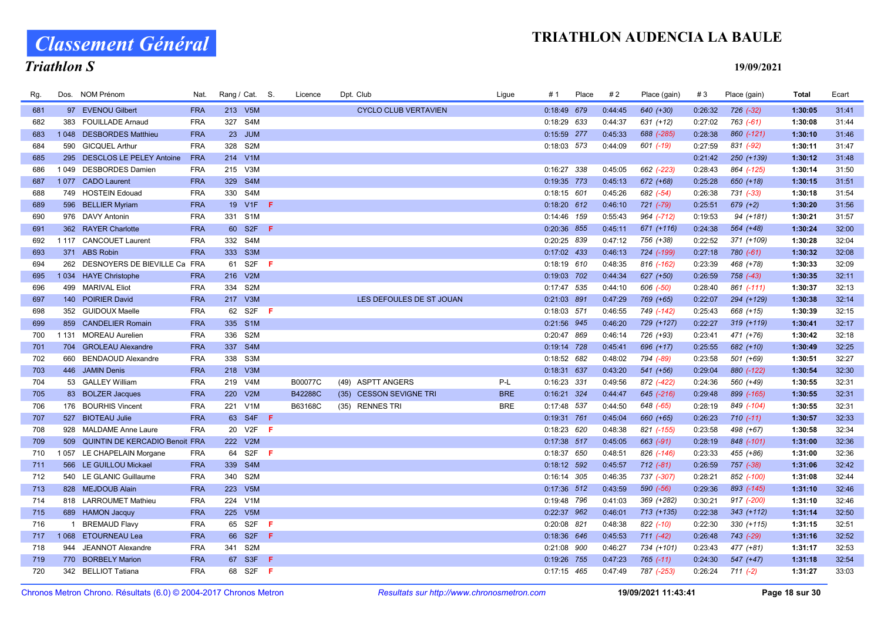Classement Général

# Triathlon S

| Rg. |      | Dos. NOM Prénom                    | Nat.       | Rang / Cat. S. |                  |              | Licence | Dpt. Club                   | Ligue      | # 1           | Place | #2      | Place (gain)  | #3      | Place (gain) | Total   | Ecart |
|-----|------|------------------------------------|------------|----------------|------------------|--------------|---------|-----------------------------|------------|---------------|-------|---------|---------------|---------|--------------|---------|-------|
| 681 |      | 97 EVENOU Gilbert                  | <b>FRA</b> | 213 V5M        |                  |              |         | <b>CYCLO CLUB VERTAVIEN</b> |            | 0:18:49 679   |       | 0:44:45 | 640 (+30)     | 0:26:32 | $726 (-32)$  | 1:30:05 | 31:41 |
| 682 | 383  | <b>FOUILLADE Arnaud</b>            | <b>FRA</b> | 327 S4M        |                  |              |         |                             |            | $0:18:29$ 633 |       | 0:44:37 | $631 (+12)$   | 0:27:02 | 763 (-61)    | 1:30:08 | 31:44 |
| 683 | 1048 | <b>DESBORDES Matthieu</b>          | <b>FRA</b> |                | 23 JUM           |              |         |                             |            | 0:15:59 277   |       | 0:45:33 | 688 (-285)    | 0:28:38 | 860 (-121)   | 1:30:10 | 31:46 |
| 684 | 590  | <b>GICQUEL Arthur</b>              | <b>FRA</b> | 328 S2M        |                  |              |         |                             |            | 0:18:03 573   |       | 0:44:09 | 601 (-19)     | 0:27:59 | 831 (-92)    | 1:30:11 | 31:47 |
| 685 | 295  | <b>DESCLOS LE PELEY Antoine</b>    | <b>FRA</b> | 214 V1M        |                  |              |         |                             |            |               |       |         |               | 0:21:42 | 250 (+139)   | 1:30:12 | 31:48 |
| 686 | 1049 | <b>DESBORDES Damien</b>            | <b>FRA</b> | 215 V3M        |                  |              |         |                             |            | 0:16:27 338   |       | 0:45:05 | 662 (-223)    | 0:28:43 | 864 (-125)   | 1:30:14 | 31:50 |
| 687 | 1077 | <b>CADO Laurent</b>                | <b>FRA</b> | 329            | S4M              |              |         |                             |            | 0:19:35 773   |       | 0:45:13 | 672 (+68)     | 0:25:28 | 650 (+18)    | 1:30:15 | 31:51 |
| 688 | 749  | <b>HOSTEIN Edouad</b>              | <b>FRA</b> | 330 S4M        |                  |              |         |                             |            | $0:18:15$ 601 |       | 0:45:26 | 682 (-54)     | 0:26:38 | 731 (-33)    | 1:30:18 | 31:54 |
| 689 |      | 596 BELLIER Myriam                 | <b>FRA</b> |                | 19 V1F <b>F</b>  |              |         |                             |            | $0:18:20$ 612 |       | 0:46:10 | 721 (-79)     | 0:25:51 | $679 (+2)$   | 1:30:20 | 31:56 |
| 690 |      | 976 DAVY Antonin                   | <b>FRA</b> | 331 S1M        |                  |              |         |                             |            | 0:14:46 159   |       | 0:55:43 | 964 (-712)    | 0:19:53 | 94 (+181)    | 1:30:21 | 31:57 |
| 691 |      | 362 RAYER Charlotte                | <b>FRA</b> |                | 60 S2F F         |              |         |                             |            | 0:20:36 855   |       | 0:45:11 | 671 (+116)    | 0:24:38 | 564 (+48)    | 1:30:24 | 32:00 |
| 692 |      | 1 117 CANCOUET Laurent             | <b>FRA</b> | 332 S4M        |                  |              |         |                             |            | 0:20:25 839   |       | 0:47:12 | 756 (+38)     | 0:22:52 | 371 (+109)   | 1:30:28 | 32:04 |
| 693 |      | 371 ABS Robin                      | <b>FRA</b> | 333 S3M        |                  |              |         |                             |            | 0:17:02 433   |       | 0:46:13 | 724 (-199)    | 0:27:18 | $780 (-61)$  | 1:30:32 | 32:08 |
| 694 | 262  | DESNOYERS DE BIEVILLE Ca FRA       |            |                | 61 S2F           | -F           |         |                             |            | $0:18:19$ 610 |       | 0:48:35 | 816 (-162)    | 0:23:39 | 468 (+78)    | 1:30:33 | 32:09 |
| 695 |      | 1034 HAYE Christophe               | <b>FRA</b> | 216 V2M        |                  |              |         |                             |            | 0:19:03 702   |       | 0:44:34 | 627 (+50)     | 0:26:59 | 758 (-43)    | 1:30:35 | 32:11 |
| 696 |      | 499 MARIVAL Eliot                  | <b>FRA</b> | 334 S2M        |                  |              |         |                             |            | 0:17:47 535   |       | 0:44:10 | 606 (-50)     | 0:28:40 | 861 (-111)   | 1:30:37 | 32:13 |
| 697 |      | 140 POIRIER David                  | <b>FRA</b> | 217 V3M        |                  |              |         | LES DEFOULES DE ST JOUAN    |            | 0:21:03 891   |       | 0:47:29 | 769 (+65)     | 0:22:07 | 294 (+129)   | 1:30:38 | 32:14 |
| 698 |      | 352 GUIDOUX Maelle                 | <b>FRA</b> | 62             | S2F              | $\mathbf{F}$ |         |                             |            | 0:18:03 571   |       | 0:46:55 | 749 (-142)    | 0:25:43 | 668 (+15)    | 1:30:39 | 32:15 |
| 699 |      | 859 CANDELIER Romain               | <b>FRA</b> | 335 S1M        |                  |              |         |                             |            | 0:21:56 945   |       | 0:46:20 | 729 (+127)    | 0:22:27 | $319 (+119)$ | 1:30:41 | 32:17 |
| 700 |      | 1 131 MOREAU Aurelien              | <b>FRA</b> | 336 S2M        |                  |              |         |                             |            | 0:20:47 869   |       | 0:46:14 | 726 (+93)     | 0:23:41 | 471 (+76)    | 1:30:42 | 32:18 |
| 701 | 704  | <b>GROLEAU Alexandre</b>           | <b>FRA</b> | 337 S4M        |                  |              |         |                             |            | 0:19:14 728   |       | 0:45:41 | 696 (+17)     | 0:25:55 | 682 (+10)    | 1:30:49 | 32:25 |
| 702 |      | 660 BENDAOUD Alexandre             | <b>FRA</b> | 338 S3M        |                  |              |         |                             |            | 0:18:52 682   |       | 0:48:02 | 794 (-89)     | 0:23:58 | 501 (+69)    | 1:30:51 | 32:27 |
| 703 |      | 446 JAMIN Denis                    | <b>FRA</b> | 218 V3M        |                  |              |         |                             |            | 0:18:31 637   |       | 0:43:20 | 541 (+56)     | 0:29:04 | 880 (-122)   | 1:30:54 | 32:30 |
| 704 |      | 53 GALLEY William                  | <b>FRA</b> | 219            | V <sub>4</sub> M |              | B00077C | (49) ASPTT ANGERS           | $P-L$      | 0:16:23 331   |       | 0:49:56 | 872 (-422)    | 0:24:36 | 560 (+49)    | 1:30:55 | 32:31 |
| 705 |      | 83 BOLZER Jacques                  | <b>FRA</b> | 220 V2M        |                  |              | B42288C | (35) CESSON SEVIGNE TRI     | <b>BRE</b> | 0:16:21 324   |       | 0:44:47 | 645 (-216)    | 0:29:48 | 899 (-165)   | 1:30:55 | 32:31 |
| 706 |      | 176 BOURHIS Vincent                | <b>FRA</b> | 221 V1M        |                  |              | B63168C | (35) RENNES TRI             | <b>BRE</b> | 0:17:48 537   |       | 0:44:50 | 648 (-65)     | 0:28:19 | 849 (-104)   | 1:30:55 | 32:31 |
| 707 |      | 527 BIOTEAU Julie                  | <b>FRA</b> |                | 63 S4F F         |              |         |                             |            | 0:19:31 761   |       | 0:45:04 | 660 (+65)     | 0:26:23 | $710(-11)$   | 1:30:57 | 32:33 |
| 708 |      | 928 MALDAME Anne Laure             | <b>FRA</b> |                | 20 V2F           | -F           |         |                             |            | 0:18:23 620   |       | 0:48:38 | 821 (-155)    | 0:23:58 | 498 (+67)    | 1:30:58 | 32:34 |
| 709 |      | 509 QUINTIN DE KERCADIO Benoit FRA |            | 222 V2M        |                  |              |         |                             |            | 0:17:38 517   |       | 0:45:05 | $663$ (-91)   | 0:28:19 | 848 (-101)   | 1:31:00 | 32:36 |
| 710 |      | 1 057 LE CHAPELAIN Morgane         | <b>FRA</b> |                | 64 S2F           | - F          |         |                             |            | 0:18:37 650   |       | 0:48:51 | 826 (-146)    | 0:23:33 | 455 (+86)    | 1:31:00 | 32:36 |
| 711 |      | 566 LE GUILLOU Mickael             | <b>FRA</b> | 339 S4M        |                  |              |         |                             |            | $0:18:12$ 592 |       | 0:45:57 | $712 (-81)$   | 0:26:59 | 757 (-38)    | 1:31:06 | 32:42 |
| 712 |      | 540 LE GLANIC Guillaume            | <b>FRA</b> | 340 S2M        |                  |              |         |                             |            | $0:16:14$ 305 |       | 0:46:35 | 737 (-307)    | 0:28:21 | 852 (-100)   | 1:31:08 | 32:44 |
| 713 |      | 828 MEJDOUB Alain                  | <b>FRA</b> | 223 V5M        |                  |              |         |                             |            | 0:17:36 512   |       | 0:43:59 | 590 (-56)     | 0:29:36 | 893 (-145)   | 1:31:10 | 32:46 |
| 714 |      | 818 LARROUMET Mathieu              | <b>FRA</b> | 224            | V1M              |              |         |                             |            | 0:19:48 796   |       | 0:41:03 | 369 (+282)    | 0:30:21 | 917 (-200)   | 1:31:10 | 32:46 |
| 715 |      | 689 HAMON Jacquy                   | <b>FRA</b> | 225 V5M        |                  |              |         |                             |            | 0:22:37 962   |       | 0:46:01 | $713 (+135)$  | 0:22:38 | 343 (+112)   | 1:31:14 | 32:50 |
| 716 |      | 1 BREMAUD Flavy                    | <b>FRA</b> |                | 65 S2F           | -F           |         |                             |            | 0:20:08 821   |       | 0:48:38 | 822 (-10)     | 0:22:30 | $330 (+115)$ | 1:31:15 | 32:51 |
| 717 |      | 1068 ETOURNEAU Lea                 | <b>FRA</b> | 66             | S <sub>2F</sub>  | - F          |         |                             |            | 0:18:36 646   |       | 0:45:53 | 711 (-42)     | 0:26:48 | 743 (-29)    | 1:31:16 | 32:52 |
| 718 | 944  | <b>JEANNOT Alexandre</b>           | <b>FRA</b> | 341 S2M        |                  |              |         |                             |            | 0:21:08 900   |       | 0:46:27 | 734 (+101)    | 0:23:43 | 477 (+81)    | 1:31:17 | 32:53 |
| 719 | 770  | <b>BORBELY Marion</b>              | <b>FRA</b> |                | 67 S3F           | -F.          |         |                             |            | 0:19:26 755   |       | 0:47:23 | $765$ $(-11)$ | 0:24:30 | 547 (+47)    | 1:31:18 | 32:54 |
| 720 |      | 342 BELLIOT Tatiana                | <b>FRA</b> |                | 68 S2F           | - F          |         |                             |            | $0:17:15$ 465 |       | 0:47:49 | 787 (-253)    | 0:26:24 | $711(-2)$    | 1:31:27 | 33:03 |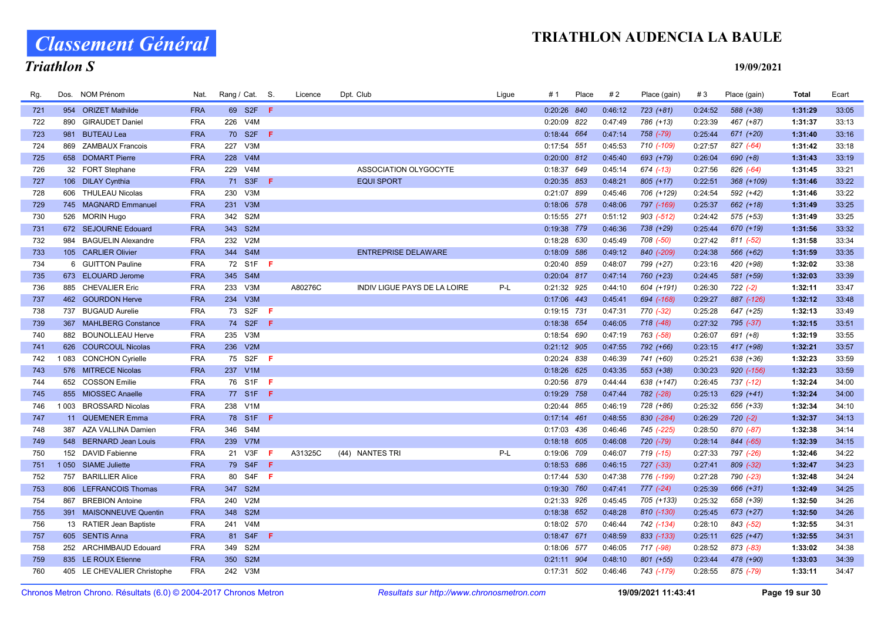Classement Général

# Triathlon S

| Rg. | Dos.    | NOM Prénom                  | Nat.       |     | Rang / Cat. S.   |                              | Licence | Dpt. Club                           | Ligue | # 1           | Place | #2      | Place (gain)   | #3      | Place (gain) | Total   | Ecart |
|-----|---------|-----------------------------|------------|-----|------------------|------------------------------|---------|-------------------------------------|-------|---------------|-------|---------|----------------|---------|--------------|---------|-------|
| 721 |         | 954 ORIZET Mathilde         | <b>FRA</b> |     | 69 S2F F         |                              |         |                                     |       | 0:20:26 840   |       | 0:46:12 | $723 (+81)$    | 0:24:52 | 588 (+38)    | 1:31:29 | 33:05 |
| 722 | 890     | <b>GIRAUDET Daniel</b>      | <b>FRA</b> |     | 226 V4M          |                              |         |                                     |       | 0:20:09 822   |       | 0:47:49 | 786 (+13)      | 0:23:39 | 467 (+87)    | 1:31:37 | 33:13 |
| 723 | 981     | <b>BUTEAU Lea</b>           | <b>FRA</b> |     | 70 S2F           | -F                           |         |                                     |       | 0:18:44 664   |       | 0:47:14 | 758 (-79)      | 0:25:44 | 671 (+20)    | 1:31:40 | 33:16 |
| 724 | 869     | <b>ZAMBAUX Francois</b>     | <b>FRA</b> |     | 227 V3M          |                              |         |                                     |       | 0:17:54 551   |       | 0:45:53 | 710 (-109)     | 0:27:57 | 827 (-64)    | 1:31:42 | 33:18 |
| 725 |         | 658 DOMART Pierre           | <b>FRA</b> | 228 | V4M              |                              |         |                                     |       | 0:20:00 812   |       | 0:45:40 | 693 (+79)      | 0:26:04 | $690 (+8)$   | 1:31:43 | 33:19 |
| 726 |         | 32 FORT Stephane            | <b>FRA</b> |     | 229 V4M          |                              |         | ASSOCIATION OLYGOCYTE               |       | 0:18:37 649   |       | 0:45:14 | 674 (-13)      | 0:27:56 | 826 (-64)    | 1:31:45 | 33:21 |
| 727 |         | 106 DILAY Cynthia           | <b>FRA</b> | 71  | S3F              | -F                           |         | <b>EQUI SPORT</b>                   |       | 0:20:35 853   |       | 0:48:21 | $805 (+17)$    | 0:22:51 | 368 (+109)   | 1:31:46 | 33:22 |
| 728 |         | 606 THULEAU Nicolas         | <b>FRA</b> | 230 | V3M              |                              |         |                                     |       | 0:21:07 899   |       | 0:45:46 | 706 (+129)     | 0:24:54 | 592 (+42)    | 1:31:46 | 33:22 |
| 729 |         | 745 MAGNARD Emmanuel        | <b>FRA</b> |     | 231 V3M          |                              |         |                                     |       | 0:18:06 578   |       | 0:48:06 | 797 (-169)     | 0:25:37 | $662 (+18)$  | 1:31:49 | 33:25 |
| 730 |         | 526 MORIN Hugo              | <b>FRA</b> |     | 342 S2M          |                              |         |                                     |       | 0:15:55 271   |       | 0:51:12 | $903$ $(-512)$ | 0:24:42 | 575 (+53)    | 1:31:49 | 33:25 |
| 731 |         | 672 SEJOURNE Edouard        | <b>FRA</b> |     | 343 S2M          |                              |         |                                     |       | 0:19:38 779   |       | 0:46:36 | 738 (+29)      | 0:25:44 | 670 (+19)    | 1:31:56 | 33:32 |
| 732 |         | 984 BAGUELIN Alexandre      | <b>FRA</b> |     | 232 V2M          |                              |         |                                     |       | 0:18:28 630   |       | 0:45:49 | 708 (-50)      | 0:27:42 | 811 (-52)    | 1:31:58 | 33:34 |
| 733 |         | 105 CARLIER Olivier         | <b>FRA</b> |     | 344 S4M          |                              |         | <b>ENTREPRISE DELAWARE</b>          |       | 0:18:09 586   |       | 0:49:12 | 840 (-209)     | 0:24:38 | 566 (+62)    | 1:31:59 | 33:35 |
| 734 |         | 6 GUITTON Pauline           | <b>FRA</b> |     | 72 S1F           | - F                          |         |                                     |       | 0:20:40 859   |       | 0:48:07 | 799 (+27)      | 0:23:16 | 420 (+98)    | 1:32:02 | 33:38 |
| 735 |         | 673 ELOUARD Jerome          | <b>FRA</b> |     | 345 S4M          |                              |         |                                     |       | 0:20:04 817   |       | 0:47:14 | 760 (+23)      | 0:24:45 | 581 (+59)    | 1:32:03 | 33:39 |
| 736 |         | 885 CHEVALIER Eric          | <b>FRA</b> | 233 | V3M              |                              | A80276C | <b>INDIV LIGUE PAYS DE LA LOIRE</b> | P-L   | 0:21:32 925   |       | 0:44:10 | 604 (+191)     | 0:26:30 | $722 (-2)$   | 1:32:11 | 33:47 |
| 737 |         | 462 GOURDON Herve           | <b>FRA</b> |     | 234 V3M          |                              |         |                                     |       | 0:17:06 443   |       | 0:45:41 | 694 (-168)     | 0:29:27 | 887 (-126)   | 1:32:12 | 33:48 |
| 738 | 737     | <b>BUGAUD Aurelie</b>       | <b>FRA</b> | 73  | S2F              | -F.                          |         |                                     |       | 0:19:15 731   |       | 0:47:31 | 770 (-32)      | 0:25:28 | 647 (+25)    | 1:32:13 | 33:49 |
| 739 |         | 367 MAHLBERG Constance      | <b>FRA</b> |     | 74 S2F           | -F                           |         |                                     |       | 0:18:38 654   |       | 0:46:05 | 718 (-48)      | 0:27:32 | 795 (-37)    | 1:32:15 | 33:51 |
| 740 |         | 882 BOUNOLLEAU Herve        | <b>FRA</b> |     | 235 V3M          |                              |         |                                     |       | 0:18:54 690   |       | 0:47:19 | 763 (-58)      | 0:26:07 | 691 (+8)     | 1:32:19 | 33:55 |
| 741 | 626     | <b>COURCOUL Nicolas</b>     | <b>FRA</b> |     | 236 V2M          |                              |         |                                     |       | 0:21:12 905   |       | 0:47:55 | 792 (+66)      | 0:23:15 | 417 (+98)    | 1:32:21 | 33:57 |
| 742 |         | 1083 CONCHON Cyrielle       | <b>FRA</b> |     | 75 S2F           | - F                          |         |                                     |       | 0:20:24 838   |       | 0:46:39 | 741 (+60)      | 0:25:21 | 638 (+36)    | 1:32:23 | 33:59 |
| 743 |         | 576 MITRECE Nicolas         | <b>FRA</b> |     | 237 V1M          |                              |         |                                     |       | $0:18:26$ 625 |       | 0:43:35 | 553 (+38)      | 0:30:23 | $920$ (-156) | 1:32:23 | 33:59 |
| 744 | 652     | <b>COSSON Emilie</b>        | <b>FRA</b> |     | 76 S1F           | - F                          |         |                                     |       | 0:20:56 879   |       | 0:44:44 | 638 (+147)     | 0:26:45 | 737 (-12)    | 1:32:24 | 34:00 |
| 745 |         | 855 MIOSSEC Anaelle         | <b>FRA</b> |     | 77 S1F F         |                              |         |                                     |       | 0:19:29 758   |       | 0:47:44 | 782 (-28)      | 0:25:13 | $629 (+41)$  | 1:32:24 | 34:00 |
| 746 | 1 0 0 3 | <b>BROSSARD Nicolas</b>     | <b>FRA</b> |     | 238 V1M          |                              |         |                                     |       | 0:20:44 865   |       | 0:46:19 | 728 (+86)      | 0:25:32 | 656 (+33)    | 1:32:34 | 34:10 |
| 747 |         | 11 QUEMENER Emma            | <b>FRA</b> |     | 78 S1F F         |                              |         |                                     |       | $0:17:14$ 461 |       | 0:48:55 | 830 (-284)     | 0:26:29 | $720 (-2)$   | 1:32:37 | 34:13 |
| 748 |         | 387 AZA VALLINA Damien      | <b>FRA</b> | 346 | S <sub>4</sub> M |                              |         |                                     |       | 0:17:03 436   |       | 0:46:46 | 745 (-225)     | 0:28:50 | 870 (-87)    | 1:32:38 | 34:14 |
| 749 |         | 548 BERNARD Jean Louis      | <b>FRA</b> |     | 239 V7M          |                              |         |                                     |       | $0:18:18$ 605 |       | 0:46:08 | 720 (-79)      | 0:28:14 | 844 (-65)    | 1:32:39 | 34:15 |
| 750 |         | 152 DAVID Fabienne          | <b>FRA</b> |     | 21 V3F           | $\langle \mathsf{F} \rangle$ | A31325C | (44) NANTES TRI                     | P-L   | 0:19:06 709   |       | 0:46:07 | 719 (-15)      | 0:27:33 | 797 (-26)    | 1:32:46 | 34:22 |
| 751 |         | 1 050 SIAME Juliette        | <b>FRA</b> |     | 79 S4F           | - F                          |         |                                     |       | 0:18:53 686   |       | 0:46:15 | 727 (-33)      | 0:27:41 | 809 (-32)    | 1:32:47 | 34:23 |
| 752 | 757     | <b>BARILLIER Alice</b>      | <b>FRA</b> | 80  | S4F F            |                              |         |                                     |       | 0:17:44 530   |       | 0:47:38 | 776 (-199)     | 0:27:28 | 790 (-23)    | 1:32:48 | 34:24 |
| 753 |         | 806 LEFRANCOIS Thomas       | <b>FRA</b> |     | 347 S2M          |                              |         |                                     |       | 0:19:30 760   |       | 0:47:41 | $777 (-24)$    | 0:25:39 | 666 (+31)    | 1:32:49 | 34:25 |
| 754 | 867     | <b>BREBION Antoine</b>      | <b>FRA</b> | 240 | V2M              |                              |         |                                     |       | 0:21:33 926   |       | 0:45:45 | 705 (+133)     | 0:25:32 | 658 (+39)    | 1:32:50 | 34:26 |
| 755 |         | 391 MAISONNEUVE Quentin     | <b>FRA</b> |     | 348 S2M          |                              |         |                                     |       | 0:18:38 652   |       | 0:48:28 | 810 (-130)     | 0:25:45 | 673 (+27)    | 1:32:50 | 34:26 |
| 756 |         | 13 RATIER Jean Baptiste     | <b>FRA</b> |     | 241 V4M          |                              |         |                                     |       | 0:18:02 570   |       | 0:46:44 | 742 (-134)     | 0:28:10 | 843 (-52)    | 1:32:55 | 34:31 |
| 757 |         | 605 SENTIS Anna             | <b>FRA</b> |     | 81 S4F           | ⊕                            |         |                                     |       | 0:18:47 671   |       | 0:48:59 | 833 (-133)     | 0:25:11 | $625 (+47)$  | 1:32:55 | 34:31 |
| 758 |         | 252 ARCHIMBAUD Edouard      | <b>FRA</b> |     | 349 S2M          |                              |         |                                     |       | 0:18:06 577   |       | 0:46:05 | 717 (-98)      | 0:28:52 | 873 (-83)    | 1:33:02 | 34:38 |
| 759 |         | 835 LE ROUX Etienne         | <b>FRA</b> | 350 | S <sub>2M</sub>  |                              |         |                                     |       | $0:21:11$ 904 |       | 0:48:10 | 801 (+55)      | 0:23:44 | 478 (+90)    | 1:33:03 | 34:39 |
| 760 |         | 405 LE CHEVALIER Christophe | <b>FRA</b> |     | 242 V3M          |                              |         |                                     |       | 0:17:31 502   |       | 0:46:46 | 743 (-179)     | 0:28:55 | 875 (-79)    | 1:33:11 | 34:47 |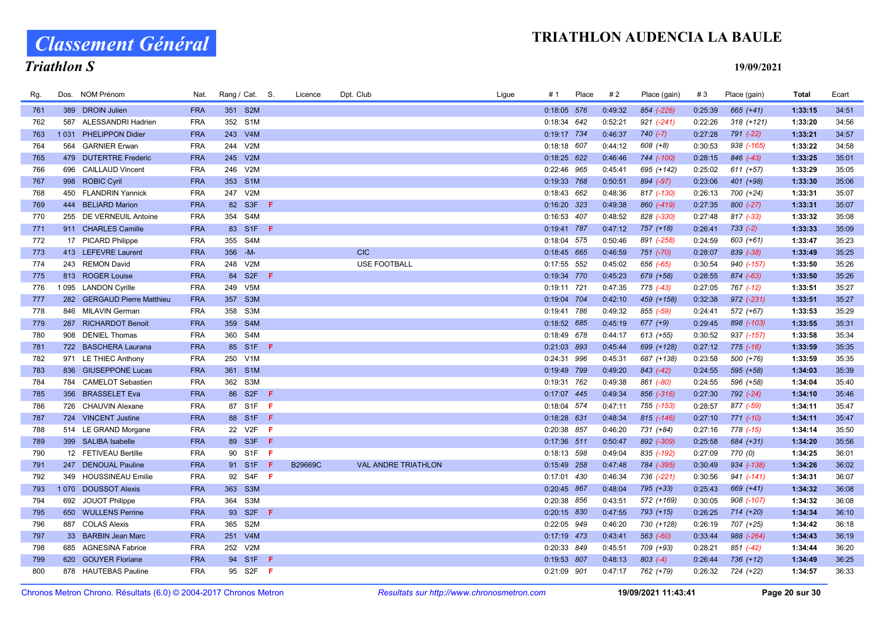Classement Général

# Triathlon S

| Rg. |      | Dos. NOM Prénom             | Nat.       | Rang / Cat. S. |                  |     | Licence | Dpt. Club  |                            | Ligue | # 1           | Place | #2      | Place (gain) | #3      | Place (gain)  | Total   | Ecart |
|-----|------|-----------------------------|------------|----------------|------------------|-----|---------|------------|----------------------------|-------|---------------|-------|---------|--------------|---------|---------------|---------|-------|
| 761 |      | 389 DROIN Julien            | <b>FRA</b> | 351 S2M        |                  |     |         |            |                            |       | 0:18:05 576   |       | 0:49:32 | 854 (-226)   | 0:25:39 | $665 (+41)$   | 1:33:15 | 34:51 |
| 762 | 587  | <b>ALESSANDRI Hadrien</b>   | <b>FRA</b> | 352 S1M        |                  |     |         |            |                            |       | 0:18:34 642   |       | 0:52:21 | $921 (-241)$ | 0:22:26 | $318 (+121)$  | 1:33:20 | 34:56 |
| 763 | 1031 | <b>PHELIPPON Didier</b>     | <b>FRA</b> | 243 V4M        |                  |     |         |            |                            |       | 0:19:17 734   |       | 0:46:37 | $740(-7)$    | 0:27:28 | 791 (-22)     | 1:33:21 | 34:57 |
| 764 |      | 564 GARNIER Erwan           | <b>FRA</b> | 244            | V2M              |     |         |            |                            |       | 0:18:18 607   |       | 0:44:12 | 608 (+8)     | 0:30:53 | 938 (-165)    | 1:33:22 | 34:58 |
| 765 |      | 479 DUTERTRE Frederic       | <b>FRA</b> | 245            | V2M              |     |         |            |                            |       | $0:18:25$ 622 |       | 0:46:46 | 744 (-100)   | 0:28:15 | 846 (-43)     | 1:33:25 | 35:01 |
| 766 |      | 696 CAILLAUD Vincent        | <b>FRA</b> | 246 V2M        |                  |     |         |            |                            |       | 0:22:46 965   |       | 0:45:41 | 695 (+142)   | 0:25:02 | $611 (+57)$   | 1:33:29 | 35:05 |
| 767 |      | 998 ROBIC Cyril             | <b>FRA</b> | 353 S1M        |                  |     |         |            |                            |       | 0:19:33 768   |       | 0:50:51 | 894 (-97)    | 0:23:06 | 401 (+98)     | 1:33:30 | 35:06 |
| 768 |      | 450 FLANDRIN Yannick        | <b>FRA</b> | 247            | V2M              |     |         |            |                            |       | $0:18:43$ 662 |       | 0:48:36 | 817 (-130)   | 0:26:13 | 700 (+24)     | 1:33:31 | 35:07 |
| 769 |      | 444 BELIARD Marion          | <b>FRA</b> | 82 S3F         |                  | - F |         |            |                            |       | $0:16:20$ 323 |       | 0:49:38 | 860 (-419)   | 0:27:35 | $800 (-27)$   | 1:33:31 | 35:07 |
| 770 |      | 255 DE VERNEUIL Antoine     | <b>FRA</b> | 354 S4M        |                  |     |         |            |                            |       | 0:16:53 407   |       | 0:48:52 | 828 (-330)   | 0:27:48 | $817$ $(-33)$ | 1:33:32 | 35:08 |
| 771 |      | 911 CHARLES Camille         | <b>FRA</b> |                | 83 S1F F         |     |         |            |                            |       | 0:19:41 787   |       | 0:47:12 | 757 (+18)    | 0:26:41 | $733 (-2)$    | 1:33:33 | 35:09 |
| 772 |      | 17 PICARD Philippe          | <b>FRA</b> | 355 S4M        |                  |     |         |            |                            |       | 0:18:04 575   |       | 0:50:46 | 891 (-258)   | 0:24:59 | $603 (+61)$   | 1:33:47 | 35:23 |
| 773 |      | 413 LEFEVRE Laurent         | <b>FRA</b> | 356 - M-       |                  |     |         | <b>CIC</b> |                            |       | $0:18:45$ 665 |       | 0:46:59 | 751 (-70)    | 0:28:07 | $839$ $(-38)$ | 1:33:49 | 35:25 |
| 774 |      | 243 REMON David             | <b>FRA</b> | 248            | V2M              |     |         |            | <b>USE FOOTBALL</b>        |       | 0:17:55 552   |       | 0:45:02 | 656 (-65)    | 0:30:54 | 940 (-157)    | 1:33:50 | 35:26 |
| 775 |      | 813 ROGER Louise            | <b>FRA</b> | 84 S2F         |                  | F   |         |            |                            |       | 0:19:34 770   |       | 0:45:23 | 679 (+58)    | 0:28:55 | 874 (-63)     | 1:33:50 | 35:26 |
| 776 |      | 1095 LANDON Cyrille         | <b>FRA</b> | 249            | V <sub>5</sub> M |     |         |            |                            |       | 0:19:11 721   |       | 0:47:35 | 775 (-43)    | 0:27:05 | 767 (-12)     | 1:33:51 | 35:27 |
| 777 |      | 282 GERGAUD Pierre Matthieu | <b>FRA</b> | 357 S3M        |                  |     |         |            |                            |       | 0:19:04 704   |       | 0:42:10 | 459 (+158)   | 0:32:38 | $972$ (-231)  | 1:33:51 | 35:27 |
| 778 |      | 846 MILAVIN German          | <b>FRA</b> | 358            | S3M              |     |         |            |                            |       | 0:19:41 786   |       | 0:49:32 | 855 (-59)    | 0:24:41 | 572 (+67)     | 1:33:53 | 35:29 |
| 779 |      | 287 RICHARDOT Benoit        | <b>FRA</b> | 359 S4M        |                  |     |         |            |                            |       | 0:18:52 685   |       | 0:45:19 | $677 (+9)$   | 0:29:45 | 898 (-103)    | 1:33:55 | 35:31 |
| 780 |      | 908 DENIEL Thomas           | <b>FRA</b> | 360 S4M        |                  |     |         |            |                            |       | 0:18:49 678   |       | 0:44:17 | $613 (+55)$  | 0:30:52 | 937 (-157)    | 1:33:58 | 35:34 |
| 781 |      | 722 BASCHERA Laurana        | <b>FRA</b> |                | 85 S1F F         |     |         |            |                            |       | 0:21:03 893   |       | 0:45:44 | 699 (+128)   | 0:27:12 | $775$ (-16)   | 1:33:59 | 35:35 |
| 782 |      | 971 LE THIEC Anthony        | <b>FRA</b> | 250 V1M        |                  |     |         |            |                            |       | 0:24:31 996   |       | 0:45:31 | 687 (+138)   | 0:23:58 | 500 (+76)     | 1:33:59 | 35:35 |
| 783 |      | 836 GIUSEPPONE Lucas        | <b>FRA</b> | 361 S1M        |                  |     |         |            |                            |       | 0:19:49 799   |       | 0:49:20 | $843$ (-42)  | 0:24:55 | 595 (+58)     | 1:34:03 | 35:39 |
| 784 |      | 784 CAMELOT Sebastien       | <b>FRA</b> | 362 S3M        |                  |     |         |            |                            |       | 0:19:31 762   |       | 0:49:38 | 861 (-80)    | 0:24:55 | 596 (+58)     | 1:34:04 | 35:40 |
| 785 |      | 356 BRASSELET Eva           | <b>FRA</b> | 86 S2F         |                  | - F |         |            |                            |       | 0:17:07 445   |       | 0:49:34 | 856 (-316)   | 0:27:30 | $792 (-24)$   | 1:34:10 | 35:46 |
| 786 |      | 726 CHAUVIN Alexane         | <b>FRA</b> | 87 S1F         |                  | - F |         |            |                            |       | 0:18:04 574   |       | 0:47:11 | 755 (-153)   | 0:28:57 | 877 (-59)     | 1:34:11 | 35:47 |
| 787 |      | 724 VINCENT Justine         | <b>FRA</b> |                | 88 S1F F         |     |         |            |                            |       | $0:18:28$ 631 |       | 0:48:34 | $815$ (-146) | 0:27:10 | 771 (-10)     | 1:34:11 | 35:47 |
| 788 |      | 514 LE GRAND Morgane        | <b>FRA</b> | 22 V2F         |                  | F.  |         |            |                            |       | 0:20:38 857   |       | 0:46:20 | 731 (+84)    | 0:27:16 | 778 (-15)     | 1:34:14 | 35:50 |
| 789 |      | 399 SALIBA Isabelle         | <b>FRA</b> | 89 S3F         |                  | -F  |         |            |                            |       | $0:17:36$ 511 |       | 0:50:47 | 892 (-309)   | 0:25:58 | 684 (+31)     | 1:34:20 | 35:56 |
| 790 |      | 12 FETIVEAU Bertille        | <b>FRA</b> | 90 S1F         |                  | - F |         |            |                            |       | 0:18:13 598   |       | 0:49:04 | 835 (-192)   | 0:27:09 | 770 (0)       | 1:34:25 | 36:01 |
| 791 |      | 247 DENOUAL Pauline         | <b>FRA</b> | 91 S1F         |                  | -F  | B29669C |            | <b>VAL ANDRE TRIATHLON</b> |       | 0:15:49 258   |       | 0:47:48 | 784 (-395)   | 0:30:49 | 934 (-138)    | 1:34:26 | 36:02 |
| 792 |      | 349 HOUSSINEAU Emilie       | <b>FRA</b> | 92 S4F         |                  | - F |         |            |                            |       | 0:17:01 430   |       | 0:46:34 | 736 (-221)   | 0:30:56 | $941 (+141)$  | 1:34:31 | 36:07 |
| 793 |      | 1070 DOUSSOT Alexis         | <b>FRA</b> | 363 S3M        |                  |     |         |            |                            |       | 0:20:45 867   |       | 0:48:04 | 795 (+33)    | 0:25:43 | 669 (+41)     | 1:34:32 | 36:08 |
| 794 |      | 692 JOUOT Philippe          | <b>FRA</b> | 364            | S3M              |     |         |            |                            |       | 0:20:38 856   |       | 0:43:51 | 572 (+169)   | 0:30:05 | 908 (-107)    | 1:34:32 | 36:08 |
| 795 |      | 650 WULLENS Perrine         | <b>FRA</b> | 93 S2F         |                  | - F |         |            |                            |       | 0:20:15 830   |       | 0:47:55 | 793 (+15)    | 0:26:25 | 714 (+20)     | 1:34:34 | 36:10 |
| 796 |      | 887 COLAS Alexis            | <b>FRA</b> | 365            | S <sub>2</sub> M |     |         |            |                            |       | 0:22:05 949   |       | 0:46:20 | 730 (+128)   | 0:26:19 | 707 (+25)     | 1:34:42 | 36:18 |
| 797 |      | 33 BARBIN Jean Marc         | <b>FRA</b> | 251            | V4M              |     |         |            |                            |       | $0:17:19$ 473 |       | 0:43:41 | 563 (-60)    | 0:33:44 | 988 (-264)    | 1:34:43 | 36:19 |
| 798 |      | 685 AGNESINA Fabrice        | <b>FRA</b> | 252            | V2M              |     |         |            |                            |       | 0:20:33 849   |       | 0:45:51 | 709 (+93)    | 0:28:21 | 851 (-42)     | 1:34:44 | 36:20 |
| 799 | 620  | <b>GOUYER Floriane</b>      | <b>FRA</b> | 94 S1F         |                  | F   |         |            |                            |       | 0:19:53 807   |       | 0:48:13 | $803(-4)$    | 0:26:44 | 736 (+12)     | 1:34:49 | 36:25 |
| 800 |      | 878 HAUTEBAS Pauline        | <b>FRA</b> | 95 S2F         |                  | -F. |         |            |                            |       | 0:21:09 901   |       | 0:47:17 | 762 (+79)    | 0:26:32 | 724 (+22)     | 1:34:57 | 36:33 |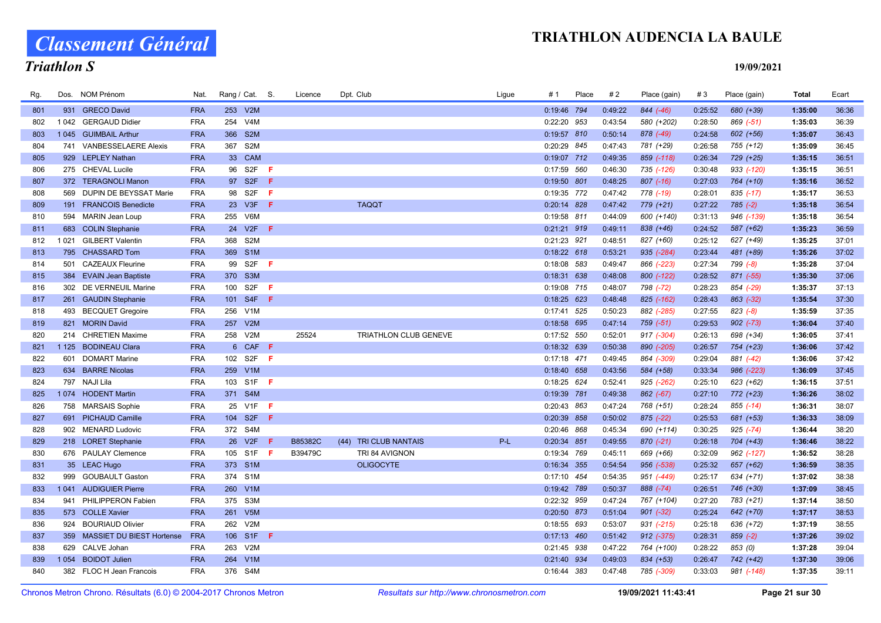Classement Général

# Triathlon S

| Rg. |         | Dos. NOM Prénom               | Nat.       | Rang / Cat. S.                 |     | Licence | Dpt. Club             | Ligue | # 1           | Place | #2      | Place (gain)  | #3      | Place (gain)  | Total   | Ecart |
|-----|---------|-------------------------------|------------|--------------------------------|-----|---------|-----------------------|-------|---------------|-------|---------|---------------|---------|---------------|---------|-------|
| 801 |         | 931 GRECO David               | <b>FRA</b> | 253<br>V2M                     |     |         |                       |       | 0:19:46 794   |       | 0:49:22 | 844 (-46)     | 0:25:52 | 680 (+39)     | 1:35:00 | 36:36 |
| 802 | 1 0 4 2 | <b>GERGAUD Didier</b>         | <b>FRA</b> | 254<br>V4M                     |     |         |                       |       | 0:22:20 953   |       | 0:43:54 | 580 (+202)    | 0:28:50 | 869 (-51)     | 1:35:03 | 36:39 |
| 803 |         | 1045 GUIMBAIL Arthur          | <b>FRA</b> | 366<br>S <sub>2</sub> M        |     |         |                       |       | 0:19:57 810   |       | 0:50:14 | 878 (-49)     | 0:24:58 | $602 (+56)$   | 1:35:07 | 36:43 |
| 804 |         | 741 VANBESSELAERE Alexis      | <b>FRA</b> | 367<br>S <sub>2</sub> M        |     |         |                       |       | 0:20:29 845   |       | 0:47:43 | 781 (+29)     | 0:26:58 | 755 (+12)     | 1:35:09 | 36:45 |
| 805 |         | 929 LEPLEY Nathan             | <b>FRA</b> | 33 CAM                         |     |         |                       |       | 0:19:07 712   |       | 0:49:35 | 859 (-118)    | 0:26:34 | 729 (+25)     | 1:35:15 | 36:51 |
| 806 |         | 275 CHEVAL Lucile             | <b>FRA</b> | S2F<br>96                      | -F. |         |                       |       | 0:17:59 560   |       | 0:46:30 | 735 (-126)    | 0:30:48 | 933 (-120)    | 1:35:15 | 36:51 |
| 807 |         | 372 TERAGNOLI Manon           | <b>FRA</b> | 97 S2F                         | -F  |         |                       |       | 0:19:50 801   |       | 0:48:25 | $807$ $(-16)$ | 0:27:03 | 764 (+10)     | 1:35:16 | 36:52 |
| 808 |         | 569 DUPIN DE BEYSSAT Marie    | <b>FRA</b> | 98<br>S <sub>2</sub> F         | F   |         |                       |       | 0:19:35 772   |       | 0:47:42 | 778 (-19)     | 0:28:01 | $835$ (-17)   | 1:35:17 | 36:53 |
| 809 |         | 191 FRANCOIS Benedicte        | <b>FRA</b> | 23 V3F                         | -F. |         | <b>TAQQT</b>          |       | 0:20:14 828   |       | 0:47:42 | 779 (+21)     | 0:27:22 | $785 (-2)$    | 1:35:18 | 36:54 |
| 810 |         | 594 MARIN Jean Loup           | <b>FRA</b> | 255 V6M                        |     |         |                       |       | 0:19:58 811   |       | 0:44:09 | 600 (+140)    | 0:31:13 | 946 (-139)    | 1:35:18 | 36:54 |
| 811 |         | 683 COLIN Stephanie           | <b>FRA</b> | V2F<br>24<br>-F                |     |         |                       |       | 0:21:21 919   |       | 0:49:11 | 838 (+46)     | 0:24:52 | 587 (+62)     | 1:35:23 | 36:59 |
| 812 |         | 1021 GILBERT Valentin         | <b>FRA</b> | 368<br>S <sub>2</sub> M        |     |         |                       |       | 0:21:23 921   |       | 0:48:51 | 827 (+60)     | 0:25:12 | 627 (+49)     | 1:35:25 | 37:01 |
| 813 |         | 795 CHASSARD Tom              | <b>FRA</b> | S <sub>1</sub> M<br>369        |     |         |                       |       | $0:18:22$ 618 |       | 0:53:21 | 935 (-284)    | 0:23:44 | 481 (+89)     | 1:35:26 | 37:02 |
| 814 | 501     | <b>CAZEAUX Fleurine</b>       | <b>FRA</b> | S <sub>2F</sub><br>99          | -F  |         |                       |       | 0:18:08 583   |       | 0:49:47 | 866 (-223)    | 0:27:34 | 799 (-8)      | 1:35:28 | 37:04 |
| 815 |         | 384 EVAIN Jean Baptiste       | <b>FRA</b> | 370 S3M                        |     |         |                       |       | 0:18:31 638   |       | 0:48:08 | 800 (-122)    | 0:28:52 | 871 (-55)     | 1:35:30 | 37:06 |
| 816 |         | 302 DE VERNEUIL Marine        | <b>FRA</b> | S <sub>2F</sub><br>100         | -F. |         |                       |       | 0:19:08 715   |       | 0:48:07 | 798 (-72)     | 0:28:23 | 854 (-29)     | 1:35:37 | 37:13 |
| 817 |         | 261 GAUDIN Stephanie          | <b>FRA</b> | 101 S4F F                      |     |         |                       |       | $0:18:25$ 623 |       | 0:48:48 | 825 (-162)    | 0:28:43 | 863 (-32)     | 1:35:54 | 37:30 |
| 818 |         | 493 BECQUET Gregoire          | <b>FRA</b> | 256<br>V1M                     |     |         |                       |       | 0:17:41       | 525   | 0:50:23 | 882 (-285)    | 0:27:55 | $823(-8)$     | 1:35:59 | 37:35 |
| 819 |         | 821 MORIN David               | <b>FRA</b> | V2M<br>257                     |     |         |                       |       | 0:18:58 695   |       | 0:47:14 | 759 (-51)     | 0:29:53 | $902 (-73)$   | 1:36:04 | 37:40 |
| 820 |         | 214 CHRETIEN Maxime           | <b>FRA</b> | 258 V2M                        |     | 25524   | TRIATHLON CLUB GENEVE |       | 0:17:52 550   |       | 0:52:01 | 917 (-304)    | 0:26:13 | 698 (+34)     | 1:36:05 | 37:41 |
| 821 |         | 1 125 BODINEAU Clara          | <b>FRA</b> | 6 CAF F                        |     |         |                       |       | 0:18:32 639   |       | 0:50:38 | 890 (-205)    | 0:26:57 | 754 (+23)     | 1:36:06 | 37:42 |
| 822 | 601     | <b>DOMART Marine</b>          | <b>FRA</b> | 102 S2F                        | -F  |         |                       |       | $0:17:18$ 471 |       | 0:49:45 | 864 (-309)    | 0:29:04 | 881 (-42)     | 1:36:06 | 37:42 |
| 823 |         | 634 BARRE Nicolas             | <b>FRA</b> | 259 V1M                        |     |         |                       |       | $0:18:40$ 658 |       | 0:43:56 | 584 (+58)     | 0:33:34 | 986 (-223)    | 1:36:09 | 37:45 |
| 824 | 797     | NAJI Lila                     | <b>FRA</b> | S <sub>1</sub> F<br>- F<br>103 |     |         |                       |       | 0:18:25 624   |       | 0:52:41 | 925 (-262)    | 0:25:10 | 623 (+62)     | 1:36:15 | 37:51 |
| 825 |         | 1074 HODENT Martin            | <b>FRA</b> | 371 S4M                        |     |         |                       |       | 0:19:39 781   |       | 0:49:38 | 862 (-67)     | 0:27:10 | 772 (+23)     | 1:36:26 | 38:02 |
| 826 |         | 758 MARSAIS Sophie            | <b>FRA</b> | 25 V1F                         | −Ē. |         |                       |       | 0:20:43 863   |       | 0:47:24 | 768 (+51)     | 0:28:24 | 855 (-14)     | 1:36:31 | 38:07 |
| 827 |         | 691 PICHAUD Camille           | <b>FRA</b> | 104 S2F<br>-F.                 |     |         |                       |       | 0:20:39 858   |       | 0:50:02 | $875$ (-22)   | 0:25:53 | 681 (+53)     | 1:36:33 | 38:09 |
| 828 |         | 902 MENARD Ludovic            | <b>FRA</b> | 372 S4M                        |     |         |                       |       | 0:20:46 868   |       | 0:45:34 | 690 (+114)    | 0:30:25 | $925$ $(-74)$ | 1:36:44 | 38:20 |
| 829 |         | 218 LORET Stephanie           | <b>FRA</b> | 26<br>V2F                      | -F  | B85382C | (44) TRI CLUB NANTAIS | P-L   | 0:20:34 851   |       | 0:49:55 | $870(-21)$    | 0:26:18 | 704 (+43)     | 1:36:46 | 38:22 |
| 830 |         | 676 PAULAY Clemence           | <b>FRA</b> | 105 S1F                        | F.  | B39479C | TRI 84 AVIGNON        |       | 0:19:34 769   |       | 0:45:11 | 669 (+66)     | 0:32:09 | 962 (-127)    | 1:36:52 | 38:28 |
| 831 |         | 35 LEAC Hugo                  | <b>FRA</b> | 373 S1M                        |     |         | <b>OLIGOCYTE</b>      |       | 0:16:34 355   |       | 0:54:54 | 956 (-538)    | 0:25:32 | 657 (+62)     | 1:36:59 | 38:35 |
| 832 | 999     | <b>GOUBAULT Gaston</b>        | <b>FRA</b> | 374 S1M                        |     |         |                       |       | $0:17:10$ 454 |       | 0:54:35 | 951 (-449)    | 0:25:17 | 634 (+71)     | 1:37:02 | 38:38 |
| 833 |         | 1041 AUDIGUIER Pierre         | <b>FRA</b> | 260<br>V1M                     |     |         |                       |       | 0:19:42 789   |       | 0:50:37 | 888 (-74)     | 0:26:51 | 746 (+30)     | 1:37:09 | 38:45 |
| 834 | 941     | PHILIPPERON Fabien            | <b>FRA</b> | S3M<br>375                     |     |         |                       |       | 0:22:32 959   |       | 0:47:24 | 767 (+104)    | 0:27:20 | 783 (+21)     | 1:37:14 | 38:50 |
| 835 |         | 573 COLLE Xavier              | <b>FRA</b> | 261<br>V <sub>5M</sub>         |     |         |                       |       | 0:20:50 873   |       | 0:51:04 | $901 (-32)$   | 0:25:24 | 642 (+70)     | 1:37:17 | 38:53 |
| 836 |         | 924 BOURIAUD Olivier          | <b>FRA</b> | 262 V2M                        |     |         |                       |       | $0:18:55$ 693 |       | 0:53:07 | 931 (-215)    | 0:25:18 | 636 (+72)     | 1:37:19 | 38:55 |
| 837 |         | 359 MASSIET DU BIEST Hortense | <b>FRA</b> | S1F<br>106<br>-F               |     |         |                       |       | $0:17:13$ 460 |       | 0:51:42 | 912 (-375)    | 0:28:31 | $859(-2)$     | 1:37:26 | 39:02 |
| 838 |         | 629 CALVE Johan               | <b>FRA</b> | 263 V2M                        |     |         |                       |       | 0:21:45 938   |       | 0:47:22 | 764 (+100)    | 0:28:22 | 853 (0)       | 1:37:28 | 39:04 |
| 839 | 1 0 5 4 | <b>BOIDOT Julien</b>          | <b>FRA</b> | V1M<br>264                     |     |         |                       |       | 0:21:40 934   |       | 0:49:03 | 834 (+53)     | 0:26:47 | 742 (+42)     | 1:37:30 | 39:06 |
| 840 |         | 382 FLOC H Jean Francois      | <b>FRA</b> | S4M<br>376                     |     |         |                       |       | 0:16:44 383   |       | 0:47:48 | 785 (-309)    | 0:33:03 | 981 (-148)    | 1:37:35 | 39:11 |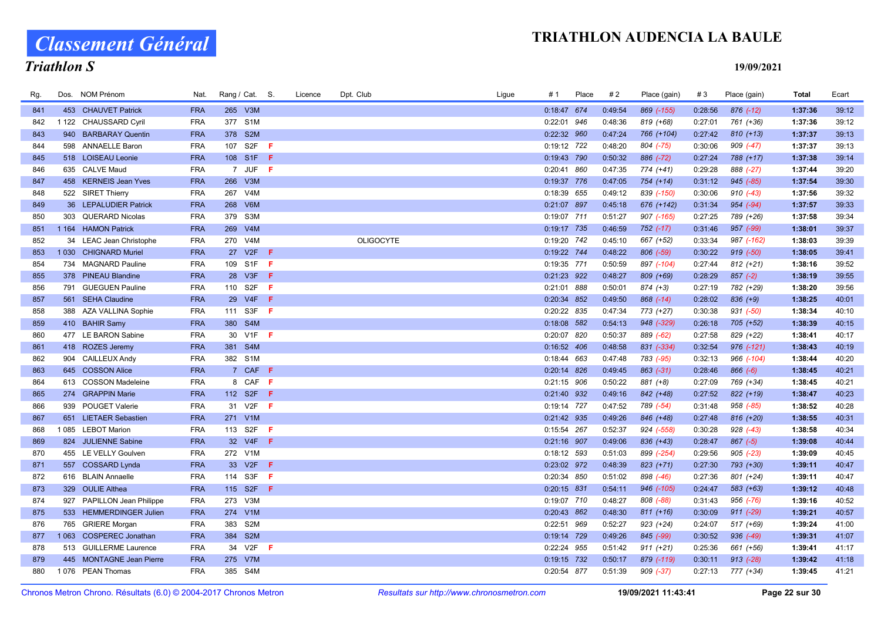Classement Général

# Triathlon S

| Rg. |         | Dos. NOM Prénom             | Nat.       |     | Rang / Cat. S.   |             | Licence | Dpt. Club        | Ligue | # 1           | Place | #2      | Place (gain)  | #3      | Place (gain)   | Total   | Ecart |
|-----|---------|-----------------------------|------------|-----|------------------|-------------|---------|------------------|-------|---------------|-------|---------|---------------|---------|----------------|---------|-------|
| 841 |         | 453 CHAUVET Patrick         | <b>FRA</b> |     | 265 V3M          |             |         |                  |       | 0:18:47 674   |       | 0:49:54 | 869 (-155)    | 0:28:56 | $876$ $(-12)$  | 1:37:36 | 39:12 |
| 842 |         | 1 122 CHAUSSARD Cyril       | <b>FRA</b> |     | 377 S1M          |             |         |                  |       | 0:22:01 946   |       | 0:48:36 | 819 (+68)     | 0:27:01 | 761 (+36)      | 1:37:36 | 39:12 |
| 843 |         | 940 BARBARAY Quentin        | <b>FRA</b> |     | 378 S2M          |             |         |                  |       | 0:22:32 960   |       | 0:47:24 | 766 (+104)    | 0:27:42 | $810 (+13)$    | 1:37:37 | 39:13 |
| 844 |         | 598 ANNAELLE Baron          | <b>FRA</b> |     | 107 S2F <b>F</b> |             |         |                  |       | 0:19:12 722   |       | 0:48:20 | 804 (-75)     | 0:30:06 | $909 (-47)$    | 1:37:37 | 39:13 |
| 845 |         | 518 LOISEAU Leonie          | <b>FRA</b> |     | 108 S1F          | - F         |         |                  |       | 0:19:43 790   |       | 0:50:32 | 886 (-72)     | 0:27:24 | 788 (+17)      | 1:37:38 | 39:14 |
| 846 |         | 635 CALVE Maud              | <b>FRA</b> |     | 7 JUF F          |             |         |                  |       | 0:20:41 860   |       | 0:47:35 | 774 (+41)     | 0:29:28 | 888 (-27)      | 1:37:44 | 39:20 |
| 847 |         | 458 KERNEIS Jean Yves       | <b>FRA</b> |     | 266 V3M          |             |         |                  |       | 0:19:37 776   |       | 0:47:05 | $754 (+14)$   | 0:31:12 | 945 (-85)      | 1:37:54 | 39:30 |
| 848 |         | 522 SIRET Thierry           | <b>FRA</b> | 267 | V <sub>4</sub> M |             |         |                  |       | 0:18:39 655   |       | 0:49:12 | 839 (-150)    | 0:30:06 | $910(-43)$     | 1:37:56 | 39:32 |
| 849 |         | 36 LEPALUDIER Patrick       | <b>FRA</b> |     | 268 V6M          |             |         |                  |       | 0:21:07 897   |       | 0:45:18 | 676 (+142)    | 0:31:34 | $954 (-94)$    | 1:37:57 | 39:33 |
| 850 |         | 303 QUERARD Nicolas         | <b>FRA</b> |     | 379 S3M          |             |         |                  |       | 0:19:07 711   |       | 0:51:27 | 907 (-165)    | 0:27:25 | 789 (+26)      | 1:37:58 | 39:34 |
| 851 |         | 1 164 HAMON Patrick         | <b>FRA</b> | 269 | V4M              |             |         |                  |       | 0:19:17 735   |       | 0:46:59 | $752$ $(-17)$ | 0:31:46 | 957 (-99)      | 1:38:01 | 39:37 |
| 852 |         | 34 LEAC Jean Christophe     | <b>FRA</b> |     | 270 V4M          |             |         | <b>OLIGOCYTE</b> |       | 0:19:20 742   |       | 0:45:10 | 667 (+52)     | 0:33:34 | 987 (-162)     | 1:38:03 | 39:39 |
| 853 | 1 0 3 0 | <b>CHIGNARD Muriel</b>      | <b>FRA</b> |     | 27 V2F           | $\bigoplus$ |         |                  |       | 0:19:22 744   |       | 0:48:22 | 806 (-59)     | 0:30:22 | $919(-50)$     | 1:38:05 | 39:41 |
| 854 |         | 734 MAGNARD Pauline         | <b>FRA</b> |     | 109 S1F          | - F         |         |                  |       | 0:19:35 771   |       | 0:50:59 | 897 (-104)    | 0:27:44 | $812 (+21)$    | 1:38:16 | 39:52 |
| 855 |         | 378 PINEAU Blandine         | <b>FRA</b> |     | 28 V3F F         |             |         |                  |       | 0:21:23 922   |       | 0:48:27 | 809 (+69)     | 0:28:29 | $857 (-2)$     | 1:38:19 | 39:55 |
| 856 |         | 791 GUEGUEN Pauline         | <b>FRA</b> |     | 110 S2F          | - F         |         |                  |       | 0:21:01 888   |       | 0:50:01 | 874 (+3)      | 0:27:19 | 782 (+29)      | 1:38:20 | 39:56 |
| 857 |         | 561 SEHA Claudine           | <b>FRA</b> |     | 29 V4F <b>F</b>  |             |         |                  |       | 0:20:34 852   |       | 0:49:50 | $868$ $(-14)$ | 0:28:02 | $836 (+9)$     | 1:38:25 | 40:01 |
| 858 |         | 388 AZA VALLINA Sophie      | <b>FRA</b> |     | 111 S3F          | - F         |         |                  |       | 0:20:22 835   |       | 0:47:34 | 773 (+27)     | 0:30:38 | 931 (-50)      | 1:38:34 | 40:10 |
| 859 |         | 410 BAHIR Samy              | <b>FRA</b> |     | 380 S4M          |             |         |                  |       | 0:18:08 582   |       | 0:54:13 | 948 (-329)    | 0:26:18 | 705 (+52)      | 1:38:39 | 40:15 |
| 860 |         | 477 LE BARON Sabine         | <b>FRA</b> |     | 30 V1F F         |             |         |                  |       | 0:20:07 820   |       | 0:50:37 | 889 (-62)     | 0:27:58 | 829 (+22)      | 1:38:41 | 40:17 |
| 861 |         | 418 ROZES Jeremy            | <b>FRA</b> |     | 381 S4M          |             |         |                  |       | 0:16:52 406   |       | 0:48:58 | 831 (-334)    | 0:32:54 | $976$ $(-121)$ | 1:38:43 | 40:19 |
| 862 |         | 904 CAILLEUX Andy           | <b>FRA</b> |     | 382 S1M          |             |         |                  |       | 0:18:44 663   |       | 0:47:48 | 783 (-95)     | 0:32:13 | 966 (-104)     | 1:38:44 | 40:20 |
| 863 |         | 645 COSSON Alice            | <b>FRA</b> |     | 7 CAF F          |             |         |                  |       | $0:20:14$ 826 |       | 0:49:45 | $863$ $(-31)$ | 0:28:46 | $866 (-6)$     | 1:38:45 | 40:21 |
| 864 |         | 613 COSSON Madeleine        | <b>FRA</b> |     | 8 CAF            | - F         |         |                  |       | 0:21:15 906   |       | 0:50:22 | 881 (+8)      | 0:27:09 | 769 (+34)      | 1:38:45 | 40:21 |
| 865 |         | 274 GRAPPIN Marie           | <b>FRA</b> |     | 112 S2F F        |             |         |                  |       | 0:21:40 932   |       | 0:49:16 | 842 (+48)     | 0:27:52 | 822 (+19)      | 1:38:47 | 40:23 |
| 866 |         | 939 POUGET Valerie          | <b>FRA</b> |     | 31 V2F <b>F</b>  |             |         |                  |       | 0:19:14 727   |       | 0:47:52 | 789 (-54)     | 0:31:48 | 958 (-85)      | 1:38:52 | 40:28 |
| 867 |         | 651 LIETAER Sebastien       | <b>FRA</b> |     | 271 V1M          |             |         |                  |       | 0:21:42 935   |       | 0:49:26 | 846 (+48)     | 0:27:48 | 816 (+20)      | 1:38:55 | 40:31 |
| 868 |         | 1085 LEBOT Marion           | <b>FRA</b> |     | 113 S2F          | -F.         |         |                  |       | 0:15:54 267   |       | 0:52:37 | 924 (-558)    | 0:30:28 | $928$ $(-43)$  | 1:38:58 | 40:34 |
| 869 |         | 824 JULIENNE Sabine         | <b>FRA</b> |     | 32 V4F           | -F          |         |                  |       | 0:21:16 907   |       | 0:49:06 | 836 (+43)     | 0:28:47 | $867 (-5)$     | 1:39:08 | 40:44 |
| 870 |         | 455 LE VELLY Goulven        | <b>FRA</b> |     | 272 V1M          |             |         |                  |       | 0:18:12 593   |       | 0:51:03 | 899 (-254)    | 0:29:56 | $905$ (-23)    | 1:39:09 | 40:45 |
| 871 |         | 557 COSSARD Lynda           | <b>FRA</b> |     | 33 V2F           | - F         |         |                  |       | 0:23:02 972   |       | 0:48:39 | 823 (+71)     | 0:27:30 | 793 (+30)      | 1:39:11 | 40:47 |
| 872 |         | 616 BLAIN Annaelle          | <b>FRA</b> |     | 114 S3F          | - F         |         |                  |       | 0:20:34 850   |       | 0:51:02 | 898 (-46)     | 0:27:36 | 801 (+24)      | 1:39:11 | 40:47 |
| 873 |         | 329 OULIE Althea            | <b>FRA</b> |     | 115 S2F <b>F</b> |             |         |                  |       | $0:20:15$ 831 |       | 0:54:11 | 946 (-105)    | 0:24:47 | 583 (+63)      | 1:39:12 | 40:48 |
| 874 |         | 927 PAPILLON Jean Philippe  | <b>FRA</b> |     | 273 V3M          |             |         |                  |       | 0:19:07 710   |       | 0:48:27 | 808 (-88)     | 0:31:43 | 956 (-76)      | 1:39:16 | 40:52 |
| 875 |         | 533 HEMMERDINGER Julien     | <b>FRA</b> |     | 274 V1M          |             |         |                  |       | 0:20:43 862   |       | 0:48:30 | $811 (+16)$   | 0:30:09 | $911 (-29)$    | 1:39:21 | 40:57 |
| 876 |         | 765 GRIERE Morgan           | <b>FRA</b> | 383 | S <sub>2</sub> M |             |         |                  |       | 0:22:51 969   |       | 0:52:27 | $923 (+24)$   | 0:24:07 | 517 (+69)      | 1:39:24 | 41:00 |
| 877 | 1 0 6 3 | <b>COSPEREC Jonathan</b>    | <b>FRA</b> | 384 | S <sub>2M</sub>  |             |         |                  |       | 0:19:14 729   |       | 0:49:26 | 845 (-99)     | 0:30:52 | $936 (-49)$    | 1:39:31 | 41:07 |
| 878 |         | 513 GUILLERME Laurence      | <b>FRA</b> |     | 34 V2F           | - F         |         |                  |       | 0:22:24 955   |       | 0:51:42 | $911 (+21)$   | 0:25:36 | 661 (+56)      | 1:39:41 | 41:17 |
| 879 | 445     | <b>MONTAGNE Jean Pierre</b> | <b>FRA</b> |     | 275 V7M          |             |         |                  |       | 0:19:15 732   |       | 0:50:17 | 879 (-119)    | 0:30:11 | $913$ $(-28)$  | 1:39:42 | 41:18 |
| 880 |         | 1076 PEAN Thomas            | <b>FRA</b> |     | 385 S4M          |             |         |                  |       | 0:20:54 877   |       | 0:51:39 | $909 (-37)$   | 0:27:13 | 777 (+34)      | 1:39:45 | 41:21 |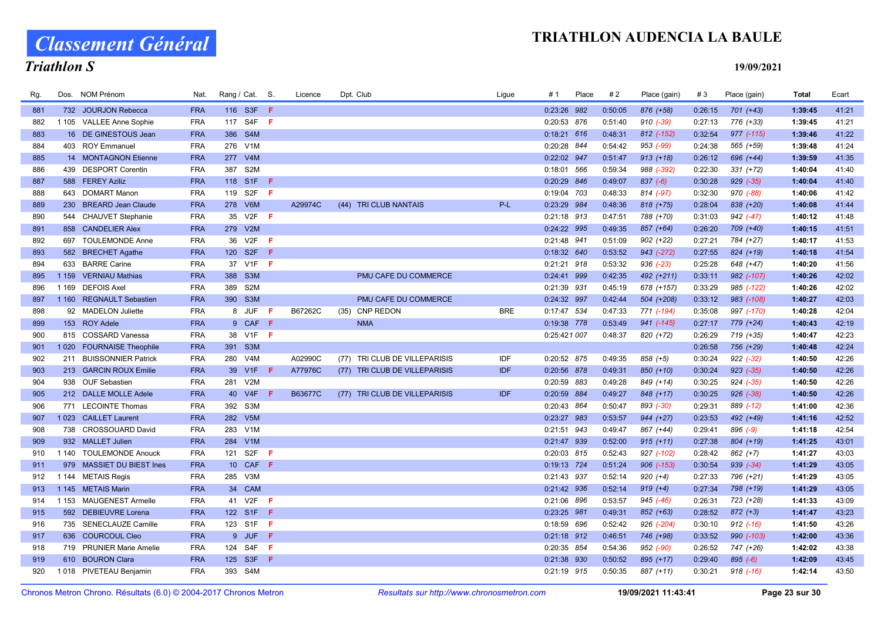Classement Général

# Triathlon S

| Rg. |         | Dos. NOM Prénom            | Nat.       | Rang / Cat. S.          |                              | Licence | Dpt. Club                     | Ligue      | # 1           | Place | #2      | Place (gain)   | #3      | Place (gain)  | Total   | Ecart |
|-----|---------|----------------------------|------------|-------------------------|------------------------------|---------|-------------------------------|------------|---------------|-------|---------|----------------|---------|---------------|---------|-------|
| 881 |         | 732 JOURJON Rebecca        | <b>FRA</b> | 116 S3F <b>F</b>        |                              |         |                               |            | 0:23:26 982   |       | 0:50:05 | 876 (+58)      | 0:26:15 | 701 (+43)     | 1:39:45 | 41:21 |
| 882 |         | 1 105 VALLEE Anne Sophie   | <b>FRA</b> | 117                     | S4F<br>- F                   |         |                               |            | 0:20:53 876   |       | 0:51:40 | $910 (-39)$    | 0:27:13 | 776 (+33)     | 1:39:45 | 41:21 |
| 883 |         | 16 DE GINESTOUS Jean       | <b>FRA</b> | 386 S4M                 |                              |         |                               |            | $0:18:21$ 616 |       | 0:48:31 | 812 (-152)     | 0:32:54 | 977 (-115)    | 1:39:46 | 41:22 |
| 884 |         | 403 ROY Emmanuel           | <b>FRA</b> | 276 V1M                 |                              |         |                               |            | 0:20:28 844   |       | 0:54:42 | 953 (-99)      | 0:24:38 | 565 (+59)     | 1:39:48 | 41:24 |
| 885 |         | 14 MONTAGNON Etienne       | <b>FRA</b> | 277 V4M                 |                              |         |                               |            | 0:22:02 947   |       | 0:51:47 | $913 (+18)$    | 0:26:12 | 696 (+44)     | 1:39:59 | 41:35 |
| 886 |         | 439 DESPORT Corentin       | <b>FRA</b> | S <sub>2</sub> M<br>387 |                              |         |                               |            | 0:18:01 566   |       | 0:59:34 | 988 (-392)     | 0:22:30 | $331 (+72)$   | 1:40:04 | 41:40 |
| 887 |         | 588 FEREY Aziliz           | <b>FRA</b> | 118 S1F F               |                              |         |                               |            | 0:20:29 846   |       | 0:49:07 | $837 (-6)$     | 0:30:28 | $929 (-35)$   | 1:40:04 | 41:40 |
| 888 |         | 643 DOMART Manon           | <b>FRA</b> | 119<br>S2F              | -F                           |         |                               |            | 0:19:04 703   |       | 0:48:33 | 814 (-97)      | 0:32:30 | 970 (-88)     | 1:40:06 | 41:42 |
| 889 | 230     | <b>BREARD Jean Claude</b>  | <b>FRA</b> | 278 V6M                 |                              | A29974C | (44) TRI CLUB NANTAIS         | $P-L$      | 0:23:29 984   |       | 0:48:36 | 818 (+75)      | 0:28:04 | 838 (+20)     | 1:40:08 | 41:44 |
| 890 | 544     | <b>CHAUVET Stephanie</b>   | <b>FRA</b> | 35 V2F <b>F</b>         |                              |         |                               |            | $0:21:18$ 913 |       | 0:47:51 | 788 (+70)      | 0:31:03 | $942$ (-47)   | 1:40:12 | 41:48 |
| 891 | 858     | <b>CANDELIER Alex</b>      | <b>FRA</b> | 279 V2M                 |                              |         |                               |            | 0:24:22 995   |       | 0:49:35 | 857 (+64)      | 0:26:20 | 709 (+40)     | 1:40:15 | 41:51 |
| 892 |         | 697 TOULEMONDE Anne        | <b>FRA</b> | 36 V2F                  | - F                          |         |                               |            | 0:21:48 941   |       | 0:51:09 | $902 (+22)$    | 0:27:21 | 784 (+27)     | 1:40:17 | 41:53 |
| 893 |         | 582 BRECHET Agathe         | <b>FRA</b> | 120 S2F                 | -F                           |         |                               |            | 0:18:32 640   |       | 0:53:52 | 943 (-272)     | 0:27:55 | 824 (+19)     | 1:40:18 | 41:54 |
| 894 | 633     | <b>BARRE Carine</b>        | <b>FRA</b> | 37 V1F                  | - F                          |         |                               |            | $0:21:21$ 918 |       | 0:53:32 | $936$ $(-23)$  | 0:25:28 | 648 (+47)     | 1:40:20 | 41:56 |
| 895 | 1 1 5 9 | <b>VERNIAU Mathias</b>     | <b>FRA</b> | 388<br>S <sub>3</sub> M |                              |         | PMU CAFE DU COMMERCE          |            | 0:24:41 999   |       | 0:42:35 | 492 (+211)     | 0:33:11 | 982 (-107)    | 1:40:26 | 42:02 |
| 896 | 1 1 6 9 | <b>DEFOIS Axel</b>         | <b>FRA</b> | 389<br>S <sub>2</sub> M |                              |         |                               |            | 0:21:39 931   |       | 0:45:19 | 678 (+157)     | 0:33:29 | 985 (-122)    | 1:40:26 | 42:02 |
| 897 | 1 1 6 0 | <b>REGNAULT Sebastien</b>  | <b>FRA</b> | 390 S3M                 |                              |         | PMU CAFE DU COMMERCE          |            | 0:24:32 997   |       | 0:42:44 | 504 (+208)     | 0:33:12 | 983 (-108)    | 1:40:27 | 42:03 |
| 898 |         | 92 MADELON Juliette        | <b>FRA</b> | 8 JUF                   | $\langle \mathsf{F} \rangle$ | B67262C | <b>CNP REDON</b><br>(35)      | <b>BRE</b> | 0:17:47 534   |       | 0:47:33 | 771 (-194)     | 0:35:08 | 997 (-170)    | 1:40:28 | 42:04 |
| 899 |         | 153 ROY Adele              | <b>FRA</b> |                         | 9 CAF F                      |         | <b>NMA</b>                    |            | 0:19:38 778   |       | 0:53:49 | 941 (-145)     | 0:27:17 | 779 (+24)     | 1:40:43 | 42:19 |
| 900 |         | 815 COSSARD Vanessa        | <b>FRA</b> | 38 V1F F                |                              |         |                               |            | 0:25:421 007  |       | 0:48:37 | 820 (+72)      | 0:26:29 | 719 (+35)     | 1:40:47 | 42:23 |
| 901 | 1 0 2 0 | <b>FOURNAISE Theophile</b> | <b>FRA</b> | 391 S3M                 |                              |         |                               |            |               |       |         |                | 0:26:58 | 756 (+29)     | 1:40:48 | 42:24 |
| 902 |         | 211 BUISSONNIER Patrick    | <b>FRA</b> | 280 V4M                 |                              | A02990C | (77) TRI CLUB DE VILLEPARISIS | IDF        | 0:20:52 875   |       | 0:49:35 | 858 (+5)       | 0:30:24 | $922 (-32)$   | 1:40:50 | 42:26 |
| 903 |         | 213 GARCIN ROUX Emilie     | <b>FRA</b> | 39 V1F                  | -F                           | A77976C | (77) TRI CLUB DE VILLEPARISIS | IDF        | 0:20:56 878   |       | 0:49:31 | 850 (+10)      | 0:30:24 | $923$ $(-35)$ | 1:40:50 | 42:26 |
| 904 |         | 938 OUF Sebastien          | <b>FRA</b> | 281<br>V2M              |                              |         |                               |            | 0:20:59 883   |       | 0:49:28 | 849 (+14)      | 0:30:25 | $924 (-35)$   | 1:40:50 | 42:26 |
| 905 |         | 212 DALLE MOLLE Adele      | <b>FRA</b> | 40 V4F                  | -F                           | B63677C | (77) TRI CLUB DE VILLEPARISIS | IDF        | 0:20:59 884   |       | 0:49:27 | 848 (+17)      | 0:30:25 | 926 (-38)     | 1:40:50 | 42:26 |
| 906 |         | 771 LECOINTE Thomas        | <b>FRA</b> | S <sub>3</sub> M<br>392 |                              |         |                               |            | 0:20:43 864   |       | 0:50:47 | 893 (-30)      | 0:29:31 | 889 (-12)     | 1:41:00 | 42:36 |
| 907 |         | 1023 CAILLET Laurent       | <b>FRA</b> | 282 V5M                 |                              |         |                               |            | 0:23:27 983   |       | 0:53:57 | $944 (+27)$    | 0:23:53 | 492 (+49)     | 1:41:16 | 42:52 |
| 908 |         | 738 CROSSOUARD David       | <b>FRA</b> | V1M<br>283              |                              |         |                               |            | 0:21:51       | 943   | 0:49:47 | 867 (+44)      | 0:29:41 | 896 (-9)      | 1:41:18 | 42:54 |
| 909 |         | 932 MALLET Julien          | <b>FRA</b> | V1M<br>284              |                              |         |                               |            | 0:21:47 939   |       | 0:52:00 | $915 (+11)$    | 0:27:38 | 804 (+19)     | 1:41:25 | 43:01 |
| 910 | 1 140   | <b>TOULEMONDE Anouck</b>   | <b>FRA</b> | 121 S2F                 | - F                          |         |                               |            | 0:20:03 815   |       | 0:52:43 | 927 (-102)     | 0:28:42 | $862 (+7)$    | 1:41:27 | 43:03 |
| 911 | 979     | MASSIET DU BIEST Ines      | <b>FRA</b> | 10 CAF F                |                              |         |                               |            | 0:19:13 724   |       | 0:51:24 | $906$ $(-153)$ | 0:30:54 | $939 (-34)$   | 1:41:29 | 43:05 |
| 912 |         | 1 144 METAIS Regis         | <b>FRA</b> | 285 V3M                 |                              |         |                               |            | 0:21:43 937   |       | 0:52:14 | $920 (+4)$     | 0:27:33 | 796 (+21)     | 1:41:29 | 43:05 |
| 913 | 1 1 4 5 | <b>METAIS Marin</b>        | <b>FRA</b> | 34 CAM                  |                              |         |                               |            | 0:21:42 936   |       | 0:52:14 | $919 (+4)$     | 0:27:34 | 798 (+19)     | 1:41:29 | 43:05 |
| 914 | 1 1 5 3 | <b>MAUGENEST Armelle</b>   | <b>FRA</b> | 41 V2F                  | - F                          |         |                               |            | 0:21:06 896   |       | 0:53:57 | 945 (-46)      | 0:26:31 | 723 (+28)     | 1:41:33 | 43:09 |
| 915 |         | 592 DEBIEUVRE Lorena       | <b>FRA</b> | 122 S1F F               |                              |         |                               |            | 0:23:25 981   |       | 0:49:31 | 852 (+63)      | 0:28:52 | $872 (+3)$    | 1:41:47 | 43:23 |
| 916 |         | 735 SENECLAUZE Camille     | <b>FRA</b> | 123 S1F F               |                              |         |                               |            | 0:18:59 696   |       | 0:52:42 | 926 (-204)     | 0:30:10 | $912$ $(-16)$ | 1:41:50 | 43:26 |
| 917 |         | 636 COURCOUL Cleo          | <b>FRA</b> |                         | 9 JUF F                      |         |                               |            | 0:21:18 912   |       | 0:46:51 | 746 (+98)      | 0:33:52 | 990 (-103)    | 1:42:00 | 43:36 |
| 918 |         | 719 PRUNIER Marie Amelie   | <b>FRA</b> | S4F<br>124              | -F                           |         |                               |            | 0:20:35 854   |       | 0:54:36 | 952 (-90)      | 0:26:52 | 747 (+26)     | 1:42:02 | 43:38 |
| 919 | 610     | <b>BOURON Clara</b>        | <b>FRA</b> | 125<br>S3F              | -F                           |         |                               |            | 0:21:38 930   |       | 0:50:52 | 895 (+17)      | 0:29:40 | $895 (-6)$    | 1:42:09 | 43:45 |
| 920 |         | 1018 PIVETEAU Benjamin     | <b>FRA</b> | 393 S4M                 |                              |         |                               |            | 0:21:19 915   |       | 0:50:35 | 887 (+11)      | 0:30:21 | $918$ $(-16)$ | 1:42:14 | 43:50 |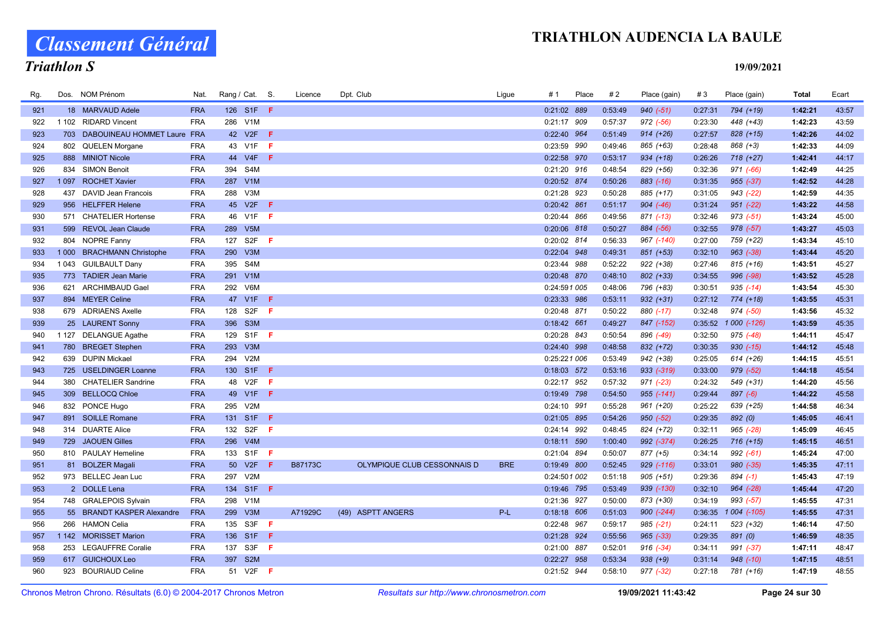Classement Général

# Triathlon S

| Rg. |         | Dos. NOM Prénom                 | Nat.       | Rang / Cat. S. |                  |     | Licence        | Dpt. Club                   | Ligue      | # 1           | Place | #2      | Place (gain)  | #3      | Place (gain)  | Total   | Ecart |
|-----|---------|---------------------------------|------------|----------------|------------------|-----|----------------|-----------------------------|------------|---------------|-------|---------|---------------|---------|---------------|---------|-------|
| 921 |         | 18 MARVAUD Adele                | <b>FRA</b> |                | 126 S1F <b>F</b> |     |                |                             |            | 0:21:02 889   |       | 0:53:49 | $940 (-51)$   | 0:27:31 | 794 (+19)     | 1:42:21 | 43:57 |
| 922 |         | 1 102 RIDARD Vincent            | <b>FRA</b> |                | 286 V1M          |     |                |                             |            | 0:21:17 909   |       | 0:57:37 | $972$ (-56)   | 0:23:30 | 448 (+43)     | 1:42:23 | 43:59 |
| 923 |         | 703 DABOUINEAU HOMMET Laure FRA |            |                | 42 V2F F         |     |                |                             |            | 0:22:40 964   |       | 0:51:49 | $914 (+26)$   | 0:27:57 | 828 (+15)     | 1:42:26 | 44:02 |
| 924 |         | 802 QUELEN Morgane              | <b>FRA</b> |                | 43 V1F F         |     |                |                             |            | 0:23:59 990   |       | 0:49:46 | 865 (+63)     | 0:28:48 | 868 (+3)      | 1:42:33 | 44:09 |
| 925 |         | 888 MINIOT Nicole               | <b>FRA</b> | 44             | $V4F$ F          |     |                |                             |            | 0:22:58 970   |       | 0:53:17 | $934 (+18)$   | 0:26:26 | $718 (+27)$   | 1:42:41 | 44:17 |
| 926 |         | 834 SIMON Benoit                | <b>FRA</b> | 394            | S4M              |     |                |                             |            | 0:21:20 916   |       | 0:48:54 | 829 (+56)     | 0:32:36 | $971 (-66)$   | 1:42:49 | 44:25 |
| 927 |         | 1097 ROCHET Xavier              | <b>FRA</b> |                | 287 V1M          |     |                |                             |            | 0:20:52 874   |       | 0:50:26 | $883$ (-16)   | 0:31:35 | $955 (-37)$   | 1:42:52 | 44:28 |
| 928 |         | 437 DAVID Jean Francois         | <b>FRA</b> | 288            | V3M              |     |                |                             |            | 0:21:28 923   |       | 0:50:28 | 885 (+17)     | 0:31:05 | $943$ (-22)   | 1:42:59 | 44:35 |
| 929 |         | 956 HELFFER Helene              | <b>FRA</b> |                | 45 V2F <b>F</b>  |     |                |                             |            | 0:20:42 861   |       | 0:51:17 | $904 (-46)$   | 0:31:24 | $951 (-22)$   | 1:43:22 | 44:58 |
| 930 |         | 571 CHATELIER Hortense          | <b>FRA</b> |                | 46 V1F F         |     |                |                             |            | 0:20:44 866   |       | 0:49:56 | $871$ $(-13)$ | 0:32:46 | $973 (-51)$   | 1:43:24 | 45:00 |
| 931 |         | 599 REVOL Jean Claude           | <b>FRA</b> |                | 289 V5M          |     |                |                             |            | 0:20:06 818   |       | 0:50:27 | 884 (-56)     | 0:32:55 | $978$ $(-57)$ | 1:43:27 | 45:03 |
| 932 |         | 804 NOPRE Fanny                 | <b>FRA</b> | 127            | S <sub>2F</sub>  | -F. |                |                             |            | 0:20:02 814   |       | 0:56:33 | 967 (-140)    | 0:27:00 | 759 (+22)     | 1:43:34 | 45:10 |
| 933 | 1 0 0 0 | <b>BRACHMANN Christophe</b>     | <b>FRA</b> |                | 290 V3M          |     |                |                             |            | 0:22:04 948   |       | 0:49:31 | 851 (+53)     | 0:32:10 | $963$ $(-38)$ | 1:43:44 | 45:20 |
| 934 |         | 1043 GUILBAULT Dany             | <b>FRA</b> | 395            | S4M              |     |                |                             |            | 0:23:44 988   |       | 0:52:22 | $922 (+38)$   | 0:27:46 | $815 (+16)$   | 1:43:51 | 45:27 |
| 935 |         | 773 TADIER Jean Marie           | <b>FRA</b> |                | 291 V1M          |     |                |                             |            | 0:20:48 870   |       | 0:48:10 | 802 (+33)     | 0:34:55 | 996 (-98)     | 1:43:52 | 45:28 |
| 936 | 621     | ARCHIMBAUD Gael                 | <b>FRA</b> |                | 292 V6M          |     |                |                             |            | 0:24:591 005  |       | 0:48:06 | 796 (+83)     | 0:30:51 | $935 (-14)$   | 1:43:54 | 45:30 |
| 937 |         | 894 MEYER Celine                | <b>FRA</b> |                | 47 V1F F         |     |                |                             |            | 0:23:33 986   |       | 0:53:11 | $932 (+31)$   | 0:27:12 | $774 (+18)$   | 1:43:55 | 45:31 |
| 938 |         | 679 ADRIAENS Axelle             | <b>FRA</b> | 128            | S2F              | F.  |                |                             |            | 0:20:48 871   |       | 0:50:22 | 880 (-17)     | 0:32:48 | 974 (-50)     | 1:43:56 | 45:32 |
| 939 |         | 25 LAURENT Sonny                | <b>FRA</b> |                | 396 S3M          |     |                |                             |            | $0:18:42$ 661 |       | 0:49:27 | 847 (-152)    | 0:35:52 | 1 000 (-126)  | 1:43:59 | 45:35 |
| 940 |         | 1 127 DELANGUE Agathe           | <b>FRA</b> |                | 129 S1F F        |     |                |                             |            | 0:20:28 843   |       | 0:50:54 | 896 (-49)     | 0:32:50 | $975$ $(-48)$ | 1:44:11 | 45:47 |
| 941 |         | 780 BREGET Stephen              | <b>FRA</b> | 293            | V3M              |     |                |                             |            | 0:24:40 998   |       | 0:48:58 | 832 (+72)     | 0:30:35 | $930 (-15)$   | 1:44:12 | 45:48 |
| 942 |         | 639 DUPIN Mickael               | <b>FRA</b> | 294            | V2M              |     |                |                             |            | 0:25:221 006  |       | 0:53:49 | 942 (+38)     | 0:25:05 | 614 (+26)     | 1:44:15 | 45:51 |
| 943 |         | 725 USELDINGER Loanne           | <b>FRA</b> |                | 130 S1F          | ÷   |                |                             |            | 0:18:03 572   |       | 0:53:16 | 933 (-319)    | 0:33:00 | $979 (-52)$   | 1:44:18 | 45:54 |
| 944 |         | 380 CHATELIER Sandrine          | <b>FRA</b> |                | 48 V2F           | F.  |                |                             |            | 0:22:17 952   |       | 0:57:32 | $971 (-23)$   | 0:24:32 | 549 (+31)     | 1:44:20 | 45:56 |
| 945 |         | 309 BELLOCQ Chloe               | <b>FRA</b> |                | 49 V1F F         |     |                |                             |            | 0:19:49 798   |       | 0:54:50 | 955 (-141)    | 0:29:44 | $897 (-6)$    | 1:44:22 | 45:58 |
| 946 |         | 832 PONCE Hugo                  | <b>FRA</b> | 295            | V2M              |     |                |                             |            | 0:24:10 991   |       | 0:55:28 | 961 (+20)     | 0:25:22 | 639 (+25)     | 1:44:58 | 46:34 |
| 947 |         | 891 SOILLE Romane               | <b>FRA</b> |                | 131 S1F F        |     |                |                             |            | 0:21:05 895   |       | 0:54:26 | $950 (-52)$   | 0:29:35 | 892 (0)       | 1:45:05 | 46:41 |
| 948 |         | 314 DUARTE Alice                | <b>FRA</b> |                | 132 S2F          | F   |                |                             |            | 0:24:14 992   |       | 0:48:45 | 824 (+72)     | 0:32:11 | $965$ $(-28)$ | 1:45:09 | 46:45 |
| 949 |         | 729 JAOUEN Gilles               | <b>FRA</b> |                | 296 V4M          |     |                |                             |            | $0:18:11$ 590 |       | 1:00:40 | 992 (-374)    | 0:26:25 | $716 (+15)$   | 1:45:15 | 46:51 |
| 950 |         | 810 PAULAY Hemeline             | <b>FRA</b> |                | 133 S1F <b>F</b> |     |                |                             |            | 0:21:04 894   |       | 0:50:07 | 877 (+5)      | 0:34:14 | $992 (-61)$   | 1:45:24 | 47:00 |
| 951 |         | 81 BOLZER Magali                | <b>FRA</b> |                | 50 V2F           | F   | <b>B87173C</b> | OLYMPIQUE CLUB CESSONNAIS D | <b>BRE</b> | 0:19:49 800   |       | 0:52:45 | 929 (-116)    | 0:33:01 | $980 (-35)$   | 1:45:35 | 47:11 |
| 952 |         | 973 BELLEC Jean Luc             | <b>FRA</b> |                | 297 V2M          |     |                |                             |            | 0:24:501 002  |       | 0:51:18 | $905 (+51)$   | 0:29:36 | $894 (-1)$    | 1:45:43 | 47:19 |
| 953 |         | 2 DOLLE Lena                    | <b>FRA</b> |                | 134 S1F <b>F</b> |     |                |                             |            | 0:19:46 795   |       | 0:53:49 | 939 (-130)    | 0:32:10 | $964 (-28)$   | 1:45:44 | 47:20 |
| 954 |         | 748 GRALEPOIS Sylvain           | <b>FRA</b> | 298            | V1M              |     |                |                             |            | 0:21:36 927   |       | 0:50:00 | 873 (+30)     | 0:34:19 | $993 (-57)$   | 1:45:55 | 47:31 |
| 955 |         | 55 BRANDT KASPER Alexandre      | <b>FRA</b> |                | 299 V3M          |     | A71929C        | (49) ASPTT ANGERS           | $P-L$      | $0:18:18$ 606 |       | 0:51:03 | $900 (-244)$  | 0:36:35 | 1 004 (-105)  | 1:45:55 | 47:31 |
| 956 |         | 266 HAMON Celia                 | <b>FRA</b> |                | 135 S3F          | - F |                |                             |            | 0:22:48 967   |       | 0:59:17 | $985 (-21)$   | 0:24:11 | 523 (+32)     | 1:46:14 | 47:50 |
| 957 |         | 1 142 MORISSET Marion           | <b>FRA</b> |                | 136 S1F F        |     |                |                             |            | 0:21:28 924   |       | 0:55:56 | $965 (-33)$   | 0:29:35 | 891 (0)       | 1:46:59 | 48:35 |
| 958 |         | 253 LEGAUFFRE Coralie           | <b>FRA</b> | 137            | S3F              | -F. |                |                             |            | 0:21:00 887   |       | 0:52:01 | $916 (-34)$   | 0:34:11 | $991 (-37)$   | 1:47:11 | 48:47 |
| 959 |         | 617 GUICHOUX Leo                | <b>FRA</b> |                | 397 S2M          |     |                |                             |            | 0:22:27 958   |       | 0:53:34 | $938 (+9)$    | 0:31:14 | $948$ $(-10)$ | 1:47:15 | 48:51 |
| 960 |         | 923 BOURIAUD Celine             | <b>FRA</b> |                | 51 V2F <b>F</b>  |     |                |                             |            | 0:21:52 944   |       | 0:58:10 | 977 (-32)     | 0:27:18 | 781 (+16)     | 1:47:19 | 48:55 |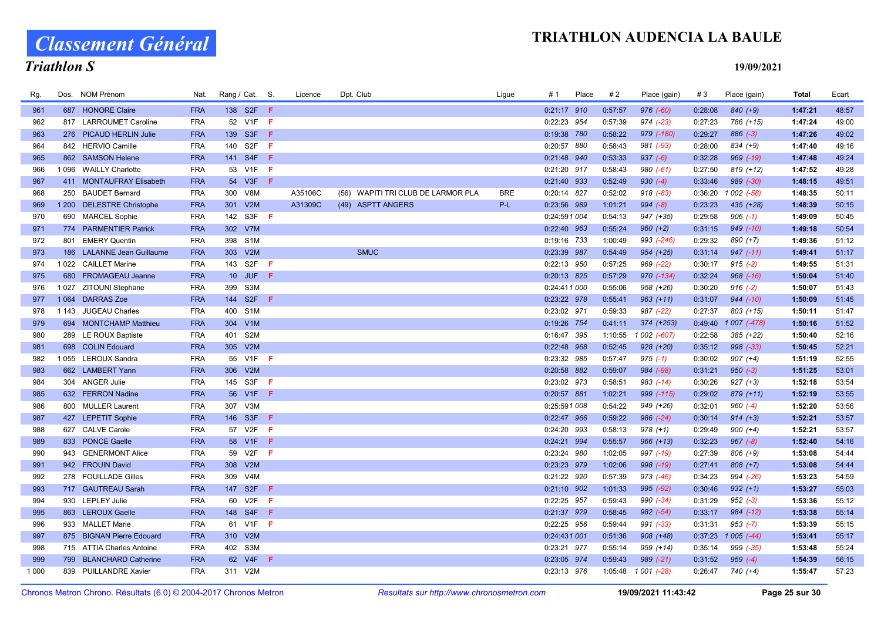# Classement Général

# Triathlon S

| Rg.        |         | Dos. NOM Prénom                         | Nat.                     | Rang / Cat. S.   |            | Licence | Dpt. Club                          | Ligue      | # 1                        | Place | #2                 | Place (gain)             | #3                 | Place (gain)           | Total              | Ecart          |
|------------|---------|-----------------------------------------|--------------------------|------------------|------------|---------|------------------------------------|------------|----------------------------|-------|--------------------|--------------------------|--------------------|------------------------|--------------------|----------------|
| 961        |         | 687 HONORE Claire                       | <b>FRA</b>               | 138 S2F <b>F</b> |            |         |                                    |            | $0:21:17$ 910              |       | 0:57:57            | 976 (-60)                | 0:28:08            | $840 (+9)$             | 1:47:21            | 48:57          |
| 962        |         | 817 LARROUMET Caroline                  | <b>FRA</b>               | 52 V1F F         |            |         |                                    |            | 0:22:23 954                |       | 0:57:39            | 974 (-23)                | 0:27:23            | 786 (+15)              | 1:47:24            | 49:00          |
| 963        |         | 276 PICAUD HERLIN Julie                 | <b>FRA</b>               | 139 S3F          | - F        |         |                                    |            | 0:19:38 780                |       | 0:58:22            | 979 (-180)               | 0:29:27            | $886 (-3)$             | 1:47:26            | 49:02          |
| 964        |         | 842 HERVIO Camille                      | <b>FRA</b>               | 140 S2F          | - F        |         |                                    |            | 0:20:57 880                |       | 0:58:43            | 981 (-93)                | 0:28:00            | 834 (+9)               | 1:47:40            | 49:16          |
| 965        |         | 862 SAMSON Helene                       | <b>FRA</b>               | 141 S4F F        |            |         |                                    |            | 0:21:48 940                |       | 0:53:33            | $937 (-6)$               | 0:32:28            | 969 (-19)              | 1:47:48            | 49:24          |
| 966        |         | 1 096 WAILLY Charlotte                  | <b>FRA</b>               | 53 V1F F         |            |         |                                    |            | 0:21:20 917                |       | 0:58:43            | $980 (-61)$              | 0:27:50            | $819 (+12)$            | 1:47:52            | 49:28          |
| 967        |         | 411 MONTAUFRAY Elisabeth                | <b>FRA</b>               | 54 V3F F         |            |         |                                    |            | 0:21:40 933                |       | 0:52:49            | $930 (-4)$               | 0:33:46            | 989 (-30)              | 1:48:15            | 49:51          |
| 968        | 250     | <b>BAUDET Bernard</b>                   | <b>FRA</b>               | 300 V8M          |            | A35106C | (56) WAPITI TRI CLUB DE LARMOR PLA | <b>BRE</b> | 0:20:14 827                |       | 0:52:02            | $918 (+83)$              | 0:36:20            | 1 002 (-58)            | 1:48:35            | 50:11          |
| 969        |         | 1 200 DELESTRE Christophe               | <b>FRA</b>               | 301 V2M          |            | A31309C | (49) ASPTT ANGERS                  | P-L        | 0:23:56 989                |       | 1:01:21            | $994 (-8)$               | 0:23:23            | 435 (+28)              | 1:48:39            | 50:15          |
| 970        |         | 690 MARCEL Sophie                       | <b>FRA</b>               | 142 S3F <b>F</b> |            |         |                                    |            | 0:24:591 004               |       | 0:54:13            | 947 (+35)                | 0:29:58            | $906$ $(-1)$           | 1:49:09            | 50:45          |
| 971        |         | 774 PARMENTIER Patrick                  | <b>FRA</b>               | 302 V7M          |            |         |                                    |            | 0:22:40 963                |       | 0:55:24            | $960 (+2)$               | 0:31:15            | $949$ $(-10)$          | 1:49:18            | 50:54          |
| 972        |         | 801 EMERY Quentin                       | <b>FRA</b>               | 398 S1M          |            |         |                                    |            | 0:19:16 733                |       | 1:00:49            | 993 (-246)               | 0:29:32            | 890 (+7)               | 1:49:36            | 51:12          |
| 973        |         | 186 LALANNE Jean Guillaume              | <b>FRA</b>               | 303 V2M          |            |         | <b>SMUC</b>                        |            | 0:23:39 987                |       | 0:54:49            | $954 (+25)$              | 0:31:14            | $947 (-11)$            | 1:49:41            | 51:17          |
| 974        |         | 1022 CAILLET Marine                     | <b>FRA</b>               | 143 S2F          | - F        |         |                                    |            | 0:22:13 950                |       | 0:57:25            | 969 (-22)                | 0:30:17            | $915(-2)$              | 1:49:55            | 51:31          |
| 975        | 680     | <b>FROMAGEAU Jeanne</b>                 | <b>FRA</b>               | 10 JUF F         |            |         |                                    |            | 0:20:13 825                |       | 0:57:29            | 970 (-134)               | 0:32:24            | $968$ $(-16)$          | 1:50:04            | 51:40          |
| 976        |         | 1027 ZITOUNI Stephane                   | <b>FRA</b>               | S3M<br>399       |            |         |                                    |            | 0:24:411 000               |       | 0:55:06            | 958 (+26)                | 0:30:20            | $916 (-2)$             | 1:50:07            | 51:43          |
| 977        | 1 0 64  | <b>DARRAS Zoe</b>                       | <b>FRA</b>               | 144 S2F <b>F</b> |            |         |                                    |            | 0:23:22 978                |       | 0:55:41            | $963 (+11)$              | 0:31:07            | $944 (-10)$            | 1:50:09            | 51:45          |
| 978        | 1 1 4 3 | <b>JUGEAU Charles</b>                   | <b>FRA</b>               | 400 S1M          |            |         |                                    |            | 0:23:02 971                |       | 0:59:33            | 987 (-22)                | 0:27:37            | $803 (+15)$            | 1:50:11            | 51:47          |
| 979        |         | 694 MONTCHAMP Matthieu                  | <b>FRA</b>               | 304 V1M          |            |         |                                    |            | 0:19:26 754                |       | 0:41:11            | 374 (+253)               | 0:49:40            | 1 007 (-478)           | 1:50:16            | 51:52          |
| 980        |         | 289 LE ROUX Baptiste                    | <b>FRA</b>               | S2M<br>401       |            |         |                                    |            | 0:16:47 395                |       | 1:10:55            | 1 002 (-607)             | 0:22:58            | 385 (+22)              | 1:50:40            | 52:16          |
| 981        |         | 698 COLIN Edouard                       | <b>FRA</b>               | 305 V2M          |            |         |                                    |            | 0:22:48 968                |       | 0:52:45            | $928 (+20)$              | 0:35:12            | $998 (-33)$            | 1:50:45            | 52:21          |
| 982        |         | 1055 LEROUX Sandra                      | <b>FRA</b>               | 55 V1F F         |            |         |                                    |            | 0:23:32 985                |       | 0:57:47            | $975$ (-1)               | 0:30:02            | $907 (+4)$             | 1:51:19            | 52:55          |
| 983        |         | 662 LAMBERT Yann                        | <b>FRA</b>               | 306 V2M          |            |         |                                    |            | 0:20:58 882                |       | 0:59:07            | 984 (-98)                | 0:31:21            | $950 (-3)$             | 1:51:25            | 53:01          |
| 984        |         | 304 ANGER Julie                         | <b>FRA</b>               | 145 S3F          | - F        |         |                                    |            | 0:23:02 973                |       | 0:58:51            | 983 (-14)                | 0:30:26            | $927 (+3)$             | 1:52:18            | 53:54          |
| 985        |         | 632 FERRON Nadine                       | <b>FRA</b>               | 56 V1F F         |            |         |                                    |            | 0:20:57 881                |       | 1:02:21            | 999 (-115)               | 0:29:02            | 879 (+11)              | 1:52:19            | 53:55          |
| 986        |         | 800 MULLER Laurent                      | <b>FRA</b>               | 307 V3M          |            |         |                                    |            | 0:25:591 008               |       | 0:54:22            | 949 (+26)                | 0:32:01            | $960 (-4)$             | 1:52:20            | 53:56          |
| 987        |         | 427 LEPETIT Sophie                      | <b>FRA</b>               | 146 S3F <b>F</b> | -F         |         |                                    |            | 0:22:47 966                |       | 0:59:22            | 986 (-24)                | 0:30:14            | $914 (+3)$             | 1:52:21            | 53:57          |
| 988        |         | 627 CALVE Carole                        | <b>FRA</b>               | 57 V2F           |            |         |                                    |            | 0:24:20 993                |       | 0:58:13            | $978 (+1)$               | 0:29:49            | $900 (+4)$             | 1:52:21            | 53:57          |
| 989        |         | 833 PONCE Gaelle                        | <b>FRA</b>               | 58 V1F<br>59 V2F | - F<br>- F |         |                                    |            | 0:24:21 994                |       | 0:55:57            | $966 (+13)$              | 0:32:23            | $967 (-8)$             | 1:52:40            | 54:16<br>54:44 |
| 990<br>991 |         | 943 GENERMONT Alice<br>942 FROUIN David | <b>FRA</b><br><b>FRA</b> | 308 V2M          |            |         |                                    |            | 0:23:24 980<br>0:23:23 979 |       | 1:02:05<br>1:02:06 | 997 (-19)<br>$998 (+19)$ | 0:27:39<br>0:27:41 | 806 (+9)<br>$808 (+7)$ | 1:53:08<br>1:53:08 | 54:44          |
| 992        |         | 278 FOUILLADE Gilles                    | <b>FRA</b>               | 309 V4M          |            |         |                                    |            | 0:21:22 920                |       | 0:57:39            | 973 (-46)                | 0:34:23            | 994 (-26)              | 1:53:23            | 54:59          |
| 993        |         | 717 GAUTREAU Sarah                      | <b>FRA</b>               | 147 S2F F        |            |         |                                    |            | $0:21:10$ 902              |       | 1:01:33            | 995 (-92)                | 0:30:46            | $932 (+1)$             | 1:53:27            | 55:03          |
| 994        |         | 930 LEPLEY Julie                        | <b>FRA</b>               | 60 V2F           | −Ē.        |         |                                    |            | 0:22:25 957                |       | 0:59:43            | 990 (-34)                | 0:31:29            | $952 (-3)$             | 1:53:36            | 55:12          |
| 995        |         | 863 LEROUX Gaelle                       | <b>FRA</b>               | 148 S4F F        |            |         |                                    |            | 0:21:37 929                |       | 0:58:45            | $982 (-54)$              | 0:33:17            | 984 (-12)              | 1:53:38            | 55:14          |
| 996        |         | 933 MALLET Marie                        | <b>FRA</b>               | 61 V1F F         |            |         |                                    |            | 0:22:25 956                |       | 0:59:44            | 991 (-33)                | 0:31:31            | $953 (-7)$             | 1:53:39            | 55:15          |
| 997        |         | 875 BIGNAN Pierre Edouard               | <b>FRA</b>               | 310 V2M          |            |         |                                    |            | 0:24:431 001               |       | 0:51:36            | $908 (+48)$              | 0:37:23            | $1005(-44)$            | 1:53:41            | 55:17          |
| 998        |         | 715 ATTIA Charles Antoine               | <b>FRA</b>               | 402 S3M          |            |         |                                    |            | 0:23:21 977                |       | 0:55:14            | 959 (+14)                | 0:35:14            | $999 (-35)$            | 1:53:48            | 55:24          |
| 999        | 799     | <b>BLANCHARD Catherine</b>              | <b>FRA</b>               | 62 V4F           | -F         |         |                                    |            | 0:23:05 974                |       | 0:59:43            | 989 (-21)                | 0:31:52            | $959(-4)$              | 1:54:39            | 56:15          |
| 1 000      |         | 839 PUILLANDRE Xavier                   | <b>FRA</b>               | 311 V2M          |            |         |                                    |            | 0:23:13 976                |       | 1:05:48            | 1 001 (-28)              | 0:26:47            | 740 (+4)               | 1:55:47            | 57:23          |
|            |         |                                         |                          |                  |            |         |                                    |            |                            |       |                    |                          |                    |                        |                    |                |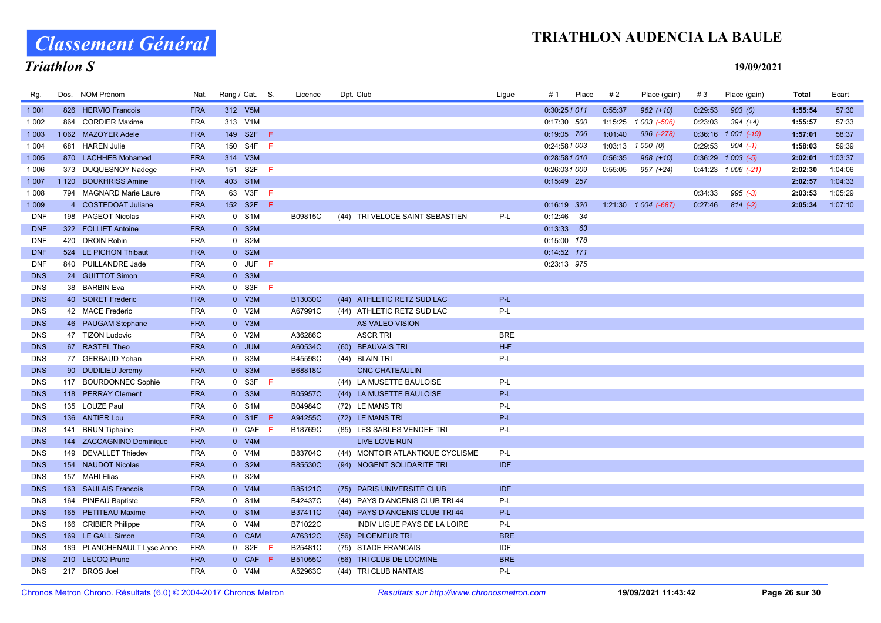Classement Général

### Triathlon S

| Rg.        | Dos. NOM Prénom            | Nat.       | Rang / Cat. S. |                  |     | Licence        | Dpt. Club |                                  | Ligue      | # 1           | Place | #2      | Place (gain)           | #3      | Place (gain)            | Total   | Ecart   |
|------------|----------------------------|------------|----------------|------------------|-----|----------------|-----------|----------------------------------|------------|---------------|-------|---------|------------------------|---------|-------------------------|---------|---------|
| 1 0 0 1    | 826 HERVIO Francois        | <b>FRA</b> |                | 312 V5M          |     |                |           |                                  |            | 0:30:251 011  |       | 0:55:37 | $962 (+10)$            | 0:29:53 | 903(0)                  | 1:55:54 | 57:30   |
| 1 0 0 2    | 864 CORDIER Maxime         | <b>FRA</b> |                | 313 V1M          |     |                |           |                                  |            | 0:17:30 500   |       |         |                        | 0:23:03 | $394 (+4)$              | 1:55:57 | 57:33   |
| 1 0 0 3    | 1062 MAZOYER Adele         | <b>FRA</b> |                | 149 S2F F        |     |                |           |                                  |            | 0:19:05 706   |       | 1:01:40 | 996 (-278)             |         | $0:36:16$ 1 001 (-19)   | 1:57:01 | 58:37   |
| 1 0 0 4    | 681 HAREN Julie            | <b>FRA</b> |                | 150 S4F F        |     |                |           |                                  |            | 0:24:581 003  |       | 1:03:13 | 1 000 (0)              | 0:29:53 | $904 (-1)$              | 1:58:03 | 59:39   |
| 1 0 0 5    | 870 LACHHEB Mohamed        | <b>FRA</b> |                | 314 V3M          |     |                |           |                                  |            | 0:28:581 010  |       | 0:56:35 | $968 (+10)$            |         | $0:36:29$ 1 003 (-5)    | 2:02:01 | 1:03:37 |
| 1 0 0 6    | 373 DUQUESNOY Nadege       | <b>FRA</b> |                | 151 S2F <b>F</b> |     |                |           |                                  |            | 0:26:031 009  |       | 0:55:05 | 957 (+24)              |         | $0:41:23$ 1 006 $(-21)$ | 2:02:30 | 1:04:06 |
| 1 0 0 7    | 1 120 BOUKHRISS Amine      | <b>FRA</b> |                | 403 S1M          |     |                |           |                                  |            | 0:15:49 257   |       |         |                        |         |                         | 2:02:57 | 1:04:33 |
| 1 0 0 8    | 794 MAGNARD Marie Laure    | <b>FRA</b> |                | 63 V3F F         |     |                |           |                                  |            |               |       |         |                        | 0:34:33 | $995 (-3)$              | 2:03:53 | 1:05:29 |
| 1 0 0 9    | 4 COSTEDOAT Juliane        | <b>FRA</b> |                | 152 S2F <b>F</b> |     |                |           |                                  |            | $0:16:19$ 320 |       |         | $1:21:30$ 1 004 (-687) | 0:27:46 | $814(-2)$               | 2:05:34 | 1:07:10 |
| <b>DNF</b> | 198 PAGEOT Nicolas         | <b>FRA</b> |                | 0 S1M            |     | B09815C        |           | (44) TRI VELOCE SAINT SEBASTIEN  | P-L        | $0:12:46$ 34  |       |         |                        |         |                         |         |         |
| <b>DNF</b> | 322 FOLLIET Antoine        | <b>FRA</b> |                | 0 S2M            |     |                |           |                                  |            | $0:13:33$ 63  |       |         |                        |         |                         |         |         |
| <b>DNF</b> | 420 DROIN Robin            | <b>FRA</b> |                | 0 S2M            |     |                |           |                                  |            | 0:15:00 178   |       |         |                        |         |                         |         |         |
| <b>DNF</b> | 524 LE PICHON Thibaut      | <b>FRA</b> |                | 0 S2M            |     |                |           |                                  |            | $0:14:52$ 171 |       |         |                        |         |                         |         |         |
| <b>DNF</b> | 840 PUILLANDRE Jade        | <b>FRA</b> |                | $0$ JUF $F$      |     |                |           |                                  |            | 0:23:13 975   |       |         |                        |         |                         |         |         |
| <b>DNS</b> | 24 GUITTOT Simon           | <b>FRA</b> |                | 0 S3M            |     |                |           |                                  |            |               |       |         |                        |         |                         |         |         |
| <b>DNS</b> | 38 BARBIN Eva              | <b>FRA</b> |                | $0$ S3F F        |     |                |           |                                  |            |               |       |         |                        |         |                         |         |         |
| <b>DNS</b> | 40 SORET Frederic          | <b>FRA</b> |                | 0 V3M            |     | B13030C        |           | (44) ATHLETIC RETZ SUD LAC       | P-L        |               |       |         |                        |         |                         |         |         |
| <b>DNS</b> | 42 MACE Frederic           | <b>FRA</b> |                | 0 V2M            |     | A67991C        |           | (44) ATHLETIC RETZ SUD LAC       | P-L        |               |       |         |                        |         |                         |         |         |
| <b>DNS</b> | 46 PAUGAM Stephane         | <b>FRA</b> |                | 0 V3M            |     |                |           | AS VALEO VISION                  |            |               |       |         |                        |         |                         |         |         |
| <b>DNS</b> | 47 TIZON Ludovic           | <b>FRA</b> |                | 0 V2M            |     | A36286C        |           | <b>ASCR TRI</b>                  | <b>BRE</b> |               |       |         |                        |         |                         |         |         |
| <b>DNS</b> | 67 RASTEL Theo             | <b>FRA</b> |                | 0 JUM            |     | A60534C        |           | (60) BEAUVAIS TRI                | $H-F$      |               |       |         |                        |         |                         |         |         |
| <b>DNS</b> | 77 GERBAUD Yohan           | <b>FRA</b> |                | 0 S3M            |     | B45598C        |           | (44) BLAIN TRI                   | P-L        |               |       |         |                        |         |                         |         |         |
| <b>DNS</b> | 90 DUDILIEU Jeremy         | <b>FRA</b> |                | 0 S3M            |     | B68818C        |           | <b>CNC CHATEAULIN</b>            |            |               |       |         |                        |         |                         |         |         |
| <b>DNS</b> | 117 BOURDONNEC Sophie      | <b>FRA</b> |                | $0$ S3F F        |     |                |           | (44) LA MUSETTE BAULOISE         | P-L        |               |       |         |                        |         |                         |         |         |
| <b>DNS</b> | 118 PERRAY Clement         | <b>FRA</b> |                | 0 S3M            |     | <b>B05957C</b> |           | (44) LA MUSETTE BAULOISE         | P-L        |               |       |         |                        |         |                         |         |         |
| <b>DNS</b> | 135 LOUZE Paul             | <b>FRA</b> |                | 0 S1M            |     | B04984C        |           | (72) LE MANS TRI                 | P-L        |               |       |         |                        |         |                         |         |         |
| <b>DNS</b> | 136 ANTIER Lou             | <b>FRA</b> |                | $0$ S1F F        |     | A94255C        |           | (72) LE MANS TRI                 | P-L        |               |       |         |                        |         |                         |         |         |
| <b>DNS</b> | 141 BRUN Tiphaine          | <b>FRA</b> |                | $0$ CAF F        |     | B18769C        |           | (85) LES SABLES VENDEE TRI       | P-L        |               |       |         |                        |         |                         |         |         |
| <b>DNS</b> | 144 ZACCAGNINO Dominique   | <b>FRA</b> |                | 0 V4M            |     |                |           | LIVE LOVE RUN                    |            |               |       |         |                        |         |                         |         |         |
| <b>DNS</b> | 149 DEVALLET Thiedev       | <b>FRA</b> |                | 0 V4M            |     | B83704C        |           | (44) MONTOIR ATLANTIQUE CYCLISME | P-L        |               |       |         |                        |         |                         |         |         |
| <b>DNS</b> | 154 NAUDOT Nicolas         | <b>FRA</b> |                | 0 S2M            |     | B85530C        |           | (94) NOGENT SOLIDARITE TRI       | <b>IDF</b> |               |       |         |                        |         |                         |         |         |
| <b>DNS</b> | 157 MAHI Elias             | <b>FRA</b> |                | 0 S2M            |     |                |           |                                  |            |               |       |         |                        |         |                         |         |         |
| <b>DNS</b> | 163 SAULAIS Francois       | <b>FRA</b> |                | 0 V4M            |     | B85121C        |           | (75) PARIS UNIVERSITE CLUB       | <b>IDF</b> |               |       |         |                        |         |                         |         |         |
| <b>DNS</b> | 164 PINEAU Baptiste        | <b>FRA</b> |                | 0 S1M            |     | B42437C        |           | (44) PAYS D ANCENIS CLUB TRI 44  | P-L        |               |       |         |                        |         |                         |         |         |
| <b>DNS</b> | 165 PETITEAU Maxime        | <b>FRA</b> |                | 0 S1M            |     | <b>B37411C</b> |           | (44) PAYS D ANCENIS CLUB TRI 44  | P-L        |               |       |         |                        |         |                         |         |         |
| <b>DNS</b> | 166 CRIBIER Philippe       | <b>FRA</b> |                | 0 V4M            |     | B71022C        |           | INDIV LIGUE PAYS DE LA LOIRE     | P-L        |               |       |         |                        |         |                         |         |         |
| <b>DNS</b> | 169 LE GALL Simon          | <b>FRA</b> |                | 0 CAM            |     | A76312C        |           | (56) PLOEMEUR TRI                | <b>BRE</b> |               |       |         |                        |         |                         |         |         |
| <b>DNS</b> | 189 PLANCHENAULT Lyse Anne | <b>FRA</b> |                | 0 S2F            | - F | B25481C        |           | (75) STADE FRANCAIS              | IDF        |               |       |         |                        |         |                         |         |         |
| <b>DNS</b> | 210 LECOQ Prune            | <b>FRA</b> |                | 0 CAF F          |     | B51055C        |           | (56) TRI CLUB DE LOCMINE         | <b>BRE</b> |               |       |         |                        |         |                         |         |         |
| <b>DNS</b> | 217 BROS Joel              | <b>FRA</b> |                | 0 V4M            |     | A52963C        |           | (44) TRI CLUB NANTAIS            | P-L        |               |       |         |                        |         |                         |         |         |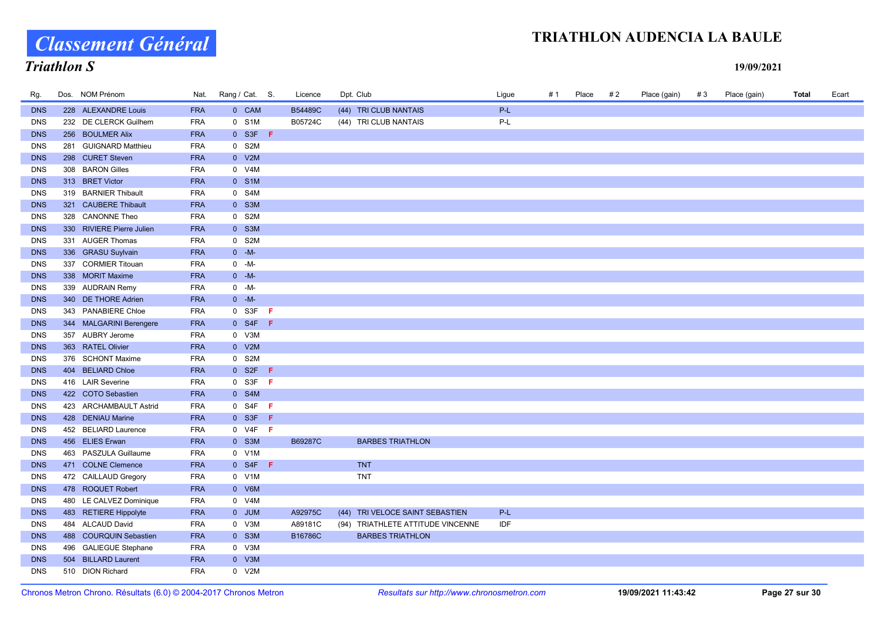# Classement Général

### Triathlon S

| Rg.        | Dos. NOM Prénom           | Nat.       | Rang / Cat. S. |                          | Licence | Dpt. Club                         | Ligue | # 1 | Place | # 2 | Place (gain) | #3 | Place (gain) | Total | Ecart |
|------------|---------------------------|------------|----------------|--------------------------|---------|-----------------------------------|-------|-----|-------|-----|--------------|----|--------------|-------|-------|
| <b>DNS</b> | 228 ALEXANDRE Louis       | <b>FRA</b> |                | 0 CAM                    | B54489C | (44) TRI CLUB NANTAIS             | P-L   |     |       |     |              |    |              |       |       |
| <b>DNS</b> | 232 DE CLERCK Guilhem     | <b>FRA</b> |                | 0 S1M                    | B05724C | (44) TRI CLUB NANTAIS             | $P-L$ |     |       |     |              |    |              |       |       |
| <b>DNS</b> | 256 BOULMER Alix          | <b>FRA</b> |                | $0$ S3F F                |         |                                   |       |     |       |     |              |    |              |       |       |
| <b>DNS</b> | 281 GUIGNARD Matthieu     | <b>FRA</b> |                | 0 S2M                    |         |                                   |       |     |       |     |              |    |              |       |       |
| <b>DNS</b> | 298 CURET Steven          | <b>FRA</b> |                | 0 V2M                    |         |                                   |       |     |       |     |              |    |              |       |       |
| <b>DNS</b> | 308 BARON Gilles          | <b>FRA</b> |                | 0 V4M                    |         |                                   |       |     |       |     |              |    |              |       |       |
| <b>DNS</b> | 313 BRET Victor           | <b>FRA</b> |                | 0 S1M                    |         |                                   |       |     |       |     |              |    |              |       |       |
| <b>DNS</b> | 319 BARNIER Thibault      | <b>FRA</b> |                | 0 S4M                    |         |                                   |       |     |       |     |              |    |              |       |       |
| <b>DNS</b> | 321 CAUBERE Thibault      | <b>FRA</b> |                | 0 S3M                    |         |                                   |       |     |       |     |              |    |              |       |       |
| <b>DNS</b> | 328 CANONNE Theo          | <b>FRA</b> |                | 0 S2M                    |         |                                   |       |     |       |     |              |    |              |       |       |
| <b>DNS</b> | 330 RIVIERE Pierre Julien | <b>FRA</b> |                | 0 S3M                    |         |                                   |       |     |       |     |              |    |              |       |       |
| <b>DNS</b> | 331 AUGER Thomas          | <b>FRA</b> |                | 0 S2M                    |         |                                   |       |     |       |     |              |    |              |       |       |
| <b>DNS</b> | 336 GRASU Suylvain        | <b>FRA</b> |                | $0 - M -$                |         |                                   |       |     |       |     |              |    |              |       |       |
| <b>DNS</b> | 337 CORMIER Titouan       | <b>FRA</b> |                | $0 - M -$                |         |                                   |       |     |       |     |              |    |              |       |       |
| <b>DNS</b> | 338 MORIT Maxime          | <b>FRA</b> |                | $0 - M -$                |         |                                   |       |     |       |     |              |    |              |       |       |
| <b>DNS</b> | 339 AUDRAIN Remy          | <b>FRA</b> |                | $0 - M -$                |         |                                   |       |     |       |     |              |    |              |       |       |
| <b>DNS</b> | 340 DE THORE Adrien       | <b>FRA</b> |                | $0 - M -$                |         |                                   |       |     |       |     |              |    |              |       |       |
| <b>DNS</b> | 343 PANABIERE Chloe       | <b>FRA</b> |                | $0$ S3F F                |         |                                   |       |     |       |     |              |    |              |       |       |
| <b>DNS</b> | 344 MALGARINI Berengere   | <b>FRA</b> |                | $0$ S4F F                |         |                                   |       |     |       |     |              |    |              |       |       |
| <b>DNS</b> | 357 AUBRY Jerome          | <b>FRA</b> |                | 0 V3M                    |         |                                   |       |     |       |     |              |    |              |       |       |
| <b>DNS</b> | 363 RATEL Olivier         | <b>FRA</b> |                | 0 V2M                    |         |                                   |       |     |       |     |              |    |              |       |       |
| <b>DNS</b> | 376 SCHONT Maxime         | <b>FRA</b> |                | 0 S2M                    |         |                                   |       |     |       |     |              |    |              |       |       |
| <b>DNS</b> | 404 BELIARD Chloe         | <b>FRA</b> |                | $0$ S <sub>2</sub> F $F$ |         |                                   |       |     |       |     |              |    |              |       |       |
| <b>DNS</b> | 416 LAIR Severine         | <b>FRA</b> |                | $0$ S3F F                |         |                                   |       |     |       |     |              |    |              |       |       |
| <b>DNS</b> | 422 COTO Sebastien        | <b>FRA</b> |                | 0 S4M                    |         |                                   |       |     |       |     |              |    |              |       |       |
| <b>DNS</b> | 423 ARCHAMBAULT Astrid    | <b>FRA</b> |                | $0$ S4F F                |         |                                   |       |     |       |     |              |    |              |       |       |
| <b>DNS</b> | 428 DENIAU Marine         | <b>FRA</b> |                | $0$ S3F F                |         |                                   |       |     |       |     |              |    |              |       |       |
| <b>DNS</b> | 452 BELIARD Laurence      | <b>FRA</b> |                | $0$ V4F F                |         |                                   |       |     |       |     |              |    |              |       |       |
| <b>DNS</b> | 456 ELIES Erwan           | <b>FRA</b> |                | 0 S3M                    | B69287C | <b>BARBES TRIATHLON</b>           |       |     |       |     |              |    |              |       |       |
| <b>DNS</b> | 463 PASZULA Guillaume     | <b>FRA</b> |                | 0 V1M                    |         |                                   |       |     |       |     |              |    |              |       |       |
| <b>DNS</b> | 471 COLNE Clemence        | <b>FRA</b> |                | $0$ S4F F                |         | <b>TNT</b>                        |       |     |       |     |              |    |              |       |       |
| <b>DNS</b> | 472 CAILLAUD Gregory      | <b>FRA</b> |                | 0 V1M                    |         | <b>TNT</b>                        |       |     |       |     |              |    |              |       |       |
| <b>DNS</b> | 478 ROQUET Robert         | <b>FRA</b> |                | 0 V6M                    |         |                                   |       |     |       |     |              |    |              |       |       |
| <b>DNS</b> | 480 LE CALVEZ Dominique   | <b>FRA</b> |                | 0 V4M                    |         |                                   |       |     |       |     |              |    |              |       |       |
| <b>DNS</b> | 483 RETIERE Hippolyte     | <b>FRA</b> |                | 0 JUM                    | A92975C | (44) TRI VELOCE SAINT SEBASTIEN   | P-L   |     |       |     |              |    |              |       |       |
| <b>DNS</b> | 484 ALCAUD David          | <b>FRA</b> |                | 0 V3M                    | A89181C | (94) TRIATHLETE ATTITUDE VINCENNE | IDF   |     |       |     |              |    |              |       |       |
| <b>DNS</b> | 488 COURQUIN Sebastien    | <b>FRA</b> |                | 0 S3M                    | B16786C | <b>BARBES TRIATHLON</b>           |       |     |       |     |              |    |              |       |       |
| <b>DNS</b> | 496 GALIEGUE Stephane     | <b>FRA</b> |                | 0 V3M                    |         |                                   |       |     |       |     |              |    |              |       |       |
| <b>DNS</b> | 504 BILLARD Laurent       | <b>FRA</b> |                | 0 V3M                    |         |                                   |       |     |       |     |              |    |              |       |       |
| <b>DNS</b> | 510 DION Richard          | <b>FRA</b> |                | 0 V2M                    |         |                                   |       |     |       |     |              |    |              |       |       |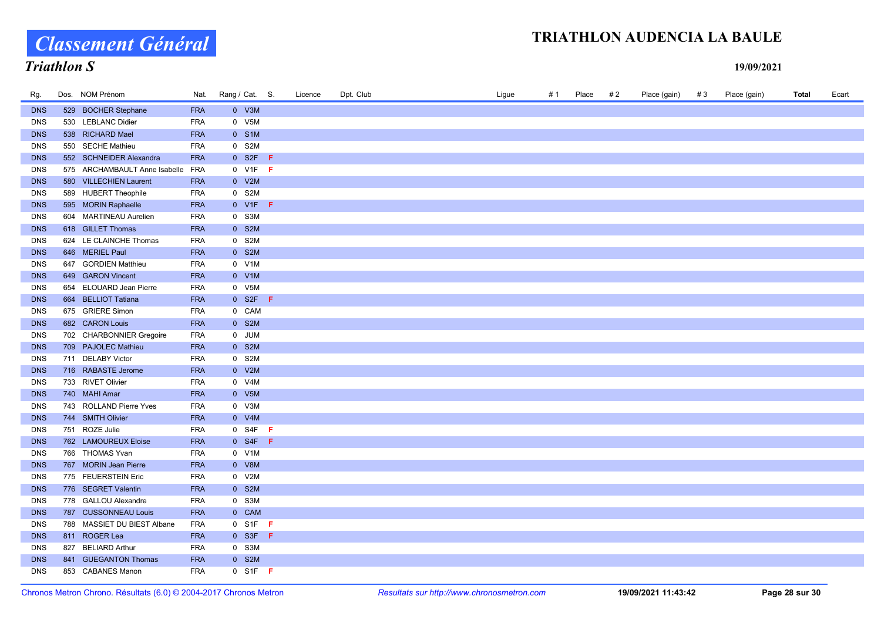# Classement Général

# Triathlon S

| Rg.        | Dos. NOM Prénom               | Nat.       | Rang / Cat. S. |           | Licence | Dpt. Club | Ligue | #1 | Place | #2 | Place (gain) | #3 | Place (gain) | Total | Ecart |
|------------|-------------------------------|------------|----------------|-----------|---------|-----------|-------|----|-------|----|--------------|----|--------------|-------|-------|
| <b>DNS</b> | 529 BOCHER Stephane           | <b>FRA</b> |                | 0 V3M     |         |           |       |    |       |    |              |    |              |       |       |
| <b>DNS</b> | 530 LEBLANC Didier            | <b>FRA</b> |                | 0 V5M     |         |           |       |    |       |    |              |    |              |       |       |
| <b>DNS</b> | 538 RICHARD Mael              | <b>FRA</b> |                | 0 S1M     |         |           |       |    |       |    |              |    |              |       |       |
| <b>DNS</b> | 550 SECHE Mathieu             | <b>FRA</b> |                | 0 S2M     |         |           |       |    |       |    |              |    |              |       |       |
| <b>DNS</b> | 552 SCHNEIDER Alexandra       | <b>FRA</b> |                | $0$ S2F F |         |           |       |    |       |    |              |    |              |       |       |
| <b>DNS</b> | 575 ARCHAMBAULT Anne Isabelle | <b>FRA</b> |                | $0$ V1F F |         |           |       |    |       |    |              |    |              |       |       |
| <b>DNS</b> | 580 VILLECHIEN Laurent        | <b>FRA</b> |                | 0 V2M     |         |           |       |    |       |    |              |    |              |       |       |
| <b>DNS</b> | 589 HUBERT Theophile          | <b>FRA</b> |                | 0 S2M     |         |           |       |    |       |    |              |    |              |       |       |
| <b>DNS</b> | 595 MORIN Raphaelle           | <b>FRA</b> |                | $0$ V1F F |         |           |       |    |       |    |              |    |              |       |       |
| <b>DNS</b> | 604 MARTINEAU Aurelien        | <b>FRA</b> |                | 0 S3M     |         |           |       |    |       |    |              |    |              |       |       |
| <b>DNS</b> | 618 GILLET Thomas             | <b>FRA</b> |                | 0 S2M     |         |           |       |    |       |    |              |    |              |       |       |
| <b>DNS</b> | 624 LE CLAINCHE Thomas        | <b>FRA</b> |                | 0 S2M     |         |           |       |    |       |    |              |    |              |       |       |
| <b>DNS</b> | 646 MERIEL Paul               | <b>FRA</b> |                | 0 S2M     |         |           |       |    |       |    |              |    |              |       |       |
| <b>DNS</b> | 647 GORDIEN Matthieu          | <b>FRA</b> |                | 0 V1M     |         |           |       |    |       |    |              |    |              |       |       |
| <b>DNS</b> | 649 GARON Vincent             | <b>FRA</b> |                | 0 V1M     |         |           |       |    |       |    |              |    |              |       |       |
| <b>DNS</b> | 654 ELOUARD Jean Pierre       | <b>FRA</b> |                | 0 V5M     |         |           |       |    |       |    |              |    |              |       |       |
| <b>DNS</b> | 664 BELLIOT Tatiana           | <b>FRA</b> |                | $0$ S2F F |         |           |       |    |       |    |              |    |              |       |       |
| <b>DNS</b> | 675 GRIERE Simon              | <b>FRA</b> |                | 0 CAM     |         |           |       |    |       |    |              |    |              |       |       |
| <b>DNS</b> | 682 CARON Louis               | <b>FRA</b> |                | 0 S2M     |         |           |       |    |       |    |              |    |              |       |       |
| <b>DNS</b> | 702 CHARBONNIER Gregoire      | <b>FRA</b> |                | 0 JUM     |         |           |       |    |       |    |              |    |              |       |       |
| <b>DNS</b> | 709 PAJOLEC Mathieu           | <b>FRA</b> |                | 0 S2M     |         |           |       |    |       |    |              |    |              |       |       |
| <b>DNS</b> | 711 DELABY Victor             | <b>FRA</b> |                | 0 S2M     |         |           |       |    |       |    |              |    |              |       |       |
| <b>DNS</b> | 716 RABASTE Jerome            | <b>FRA</b> |                | 0 V2M     |         |           |       |    |       |    |              |    |              |       |       |
| <b>DNS</b> | 733 RIVET Olivier             | <b>FRA</b> |                | 0 V4M     |         |           |       |    |       |    |              |    |              |       |       |
| <b>DNS</b> | 740 MAHI Amar                 | <b>FRA</b> |                | 0 V5M     |         |           |       |    |       |    |              |    |              |       |       |
| <b>DNS</b> | 743 ROLLAND Pierre Yves       | <b>FRA</b> |                | 0 V3M     |         |           |       |    |       |    |              |    |              |       |       |
| <b>DNS</b> | 744 SMITH Olivier             | <b>FRA</b> |                | 0 V4M     |         |           |       |    |       |    |              |    |              |       |       |
| <b>DNS</b> | 751 ROZE Julie                | FRA        |                | $0$ S4F F |         |           |       |    |       |    |              |    |              |       |       |
| <b>DNS</b> | 762 LAMOUREUX Eloise          | <b>FRA</b> |                | $0$ S4F F |         |           |       |    |       |    |              |    |              |       |       |
| <b>DNS</b> | 766 THOMAS Yvan               | <b>FRA</b> |                | 0 V1M     |         |           |       |    |       |    |              |    |              |       |       |
| <b>DNS</b> | 767 MORIN Jean Pierre         | <b>FRA</b> |                | 0 V8M     |         |           |       |    |       |    |              |    |              |       |       |
| <b>DNS</b> | 775 FEUERSTEIN Eric           | FRA        |                | 0 V2M     |         |           |       |    |       |    |              |    |              |       |       |
| <b>DNS</b> | 776 SEGRET Valentin           | <b>FRA</b> |                | 0 S2M     |         |           |       |    |       |    |              |    |              |       |       |
| <b>DNS</b> | 778 GALLOU Alexandre          | FRA        |                | 0 S3M     |         |           |       |    |       |    |              |    |              |       |       |
| <b>DNS</b> | 787 CUSSONNEAU Louis          | <b>FRA</b> |                | 0 CAM     |         |           |       |    |       |    |              |    |              |       |       |
| <b>DNS</b> | 788 MASSIET DU BIEST Albane   | <b>FRA</b> |                | $0$ S1F F |         |           |       |    |       |    |              |    |              |       |       |
| <b>DNS</b> | 811 ROGER Lea                 | <b>FRA</b> |                | $0$ S3F F |         |           |       |    |       |    |              |    |              |       |       |
| <b>DNS</b> | 827 BELIARD Arthur            | <b>FRA</b> |                | 0 S3M     |         |           |       |    |       |    |              |    |              |       |       |
| <b>DNS</b> | 841 GUEGANTON Thomas          | <b>FRA</b> |                | 0 S2M     |         |           |       |    |       |    |              |    |              |       |       |
| <b>DNS</b> | 853 CABANES Manon             | <b>FRA</b> |                | $0$ S1F F |         |           |       |    |       |    |              |    |              |       |       |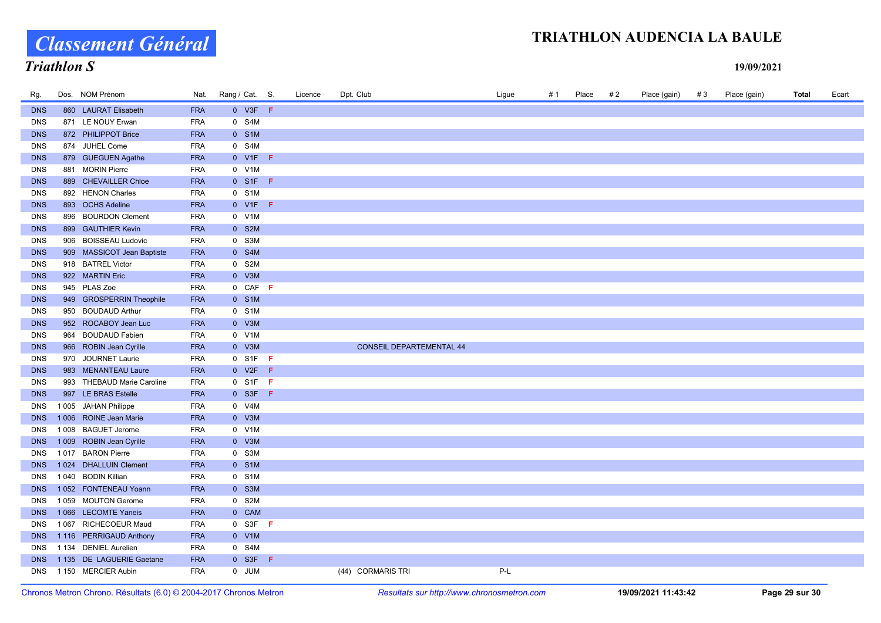Classement Général

# Triathlon S

| Rg.        | Dos. NOM Prénom            | Nat.       | Rang / Cat. S.           | Licence | Dpt. Club                       | Ligue | # 1 | Place | #2 | Place (gain) | #3 | Place (gain) | <b>Total</b> | Ecart |
|------------|----------------------------|------------|--------------------------|---------|---------------------------------|-------|-----|-------|----|--------------|----|--------------|--------------|-------|
| <b>DNS</b> | 860 LAURAT Elisabeth       | <b>FRA</b> | $0$ V3F F                |         |                                 |       |     |       |    |              |    |              |              |       |
| <b>DNS</b> | 871 LE NOUY Erwan          | <b>FRA</b> | 0 S4M                    |         |                                 |       |     |       |    |              |    |              |              |       |
| <b>DNS</b> | 872 PHILIPPOT Brice        | <b>FRA</b> | 0 S1M                    |         |                                 |       |     |       |    |              |    |              |              |       |
| <b>DNS</b> | 874 JUHEL Come             | <b>FRA</b> | 0 S4M                    |         |                                 |       |     |       |    |              |    |              |              |       |
| <b>DNS</b> | 879 GUEGUEN Agathe         | <b>FRA</b> | $0$ V1F F                |         |                                 |       |     |       |    |              |    |              |              |       |
| <b>DNS</b> | 881 MORIN Pierre           | <b>FRA</b> | 0 V1M                    |         |                                 |       |     |       |    |              |    |              |              |       |
| <b>DNS</b> | 889 CHEVAILLER Chloe       | <b>FRA</b> | $0$ S1F F                |         |                                 |       |     |       |    |              |    |              |              |       |
| <b>DNS</b> | 892 HENON Charles          | <b>FRA</b> | 0 S1M                    |         |                                 |       |     |       |    |              |    |              |              |       |
| <b>DNS</b> | 893 OCHS Adeline           | <b>FRA</b> | $0$ V1F F                |         |                                 |       |     |       |    |              |    |              |              |       |
| <b>DNS</b> | 896 BOURDON Clement        | <b>FRA</b> | 0 V1M                    |         |                                 |       |     |       |    |              |    |              |              |       |
| <b>DNS</b> | 899 GAUTHIER Kevin         | <b>FRA</b> | 0 S2M                    |         |                                 |       |     |       |    |              |    |              |              |       |
| <b>DNS</b> | 906 BOISSEAU Ludovic       | <b>FRA</b> | 0 S3M                    |         |                                 |       |     |       |    |              |    |              |              |       |
| <b>DNS</b> | 909 MASSICOT Jean Baptiste | <b>FRA</b> | 0 S4M                    |         |                                 |       |     |       |    |              |    |              |              |       |
| <b>DNS</b> | 918 BATREL Victor          | <b>FRA</b> | 0 S2M                    |         |                                 |       |     |       |    |              |    |              |              |       |
| <b>DNS</b> | 922 MARTIN Eric            | <b>FRA</b> | 0 V3M                    |         |                                 |       |     |       |    |              |    |              |              |       |
| <b>DNS</b> | 945 PLAS Zoe               | <b>FRA</b> | $0$ CAF F                |         |                                 |       |     |       |    |              |    |              |              |       |
| <b>DNS</b> | 949 GROSPERRIN Theophile   | <b>FRA</b> | 0 S1M                    |         |                                 |       |     |       |    |              |    |              |              |       |
| <b>DNS</b> | 950 BOUDAUD Arthur         | <b>FRA</b> | 0 S1M                    |         |                                 |       |     |       |    |              |    |              |              |       |
| <b>DNS</b> | 952 ROCABOY Jean Luc       | <b>FRA</b> | 0 V3M                    |         |                                 |       |     |       |    |              |    |              |              |       |
| <b>DNS</b> | 964 BOUDAUD Fabien         | <b>FRA</b> | 0 V1M                    |         |                                 |       |     |       |    |              |    |              |              |       |
| <b>DNS</b> | 966 ROBIN Jean Cyrille     | <b>FRA</b> | 0 V3M                    |         | <b>CONSEIL DEPARTEMENTAL 44</b> |       |     |       |    |              |    |              |              |       |
| <b>DNS</b> | 970 JOURNET Laurie         | <b>FRA</b> | $0$ S1F F                |         |                                 |       |     |       |    |              |    |              |              |       |
| <b>DNS</b> | 983 MENANTEAU Laure        | <b>FRA</b> | $0$ V <sub>2</sub> F $F$ |         |                                 |       |     |       |    |              |    |              |              |       |
| <b>DNS</b> | 993 THEBAUD Marie Caroline | <b>FRA</b> | $0$ S1F F                |         |                                 |       |     |       |    |              |    |              |              |       |
| <b>DNS</b> | 997 LE BRAS Estelle        | <b>FRA</b> | $0$ S3F F                |         |                                 |       |     |       |    |              |    |              |              |       |
| <b>DNS</b> | 1005 JAHAN Philippe        | <b>FRA</b> | 0 V4M                    |         |                                 |       |     |       |    |              |    |              |              |       |
| <b>DNS</b> | 1006 ROINE Jean Marie      | <b>FRA</b> | 0 V3M                    |         |                                 |       |     |       |    |              |    |              |              |       |
| <b>DNS</b> | 1 008 BAGUET Jerome        | <b>FRA</b> | 0 V1M                    |         |                                 |       |     |       |    |              |    |              |              |       |
| <b>DNS</b> | 1 009 ROBIN Jean Cyrille   | <b>FRA</b> | 0 V3M                    |         |                                 |       |     |       |    |              |    |              |              |       |
| <b>DNS</b> | 1017 BARON Pierre          | <b>FRA</b> | 0 S3M                    |         |                                 |       |     |       |    |              |    |              |              |       |
| <b>DNS</b> | 1024 DHALLUIN Clement      | <b>FRA</b> | 0 S1M                    |         |                                 |       |     |       |    |              |    |              |              |       |
| <b>DNS</b> | 1040 BODIN Killian         | <b>FRA</b> | 0 S1M                    |         |                                 |       |     |       |    |              |    |              |              |       |
| <b>DNS</b> | 1052 FONTENEAU Yoann       | <b>FRA</b> | 0 S3M                    |         |                                 |       |     |       |    |              |    |              |              |       |
| <b>DNS</b> | 1059 MOUTON Gerome         | <b>FRA</b> | 0 S2M                    |         |                                 |       |     |       |    |              |    |              |              |       |
| <b>DNS</b> | 1066 LECOMTE Yaneis        | <b>FRA</b> | 0 CAM                    |         |                                 |       |     |       |    |              |    |              |              |       |
| <b>DNS</b> | 1067 RICHECOEUR Maud       | <b>FRA</b> | $0$ S3F F                |         |                                 |       |     |       |    |              |    |              |              |       |
| <b>DNS</b> | 1116 PERRIGAUD Anthony     | <b>FRA</b> | 0 V1M                    |         |                                 |       |     |       |    |              |    |              |              |       |
| <b>DNS</b> | 1 134 DENIEL Aurelien      | <b>FRA</b> | 0 S4M                    |         |                                 |       |     |       |    |              |    |              |              |       |
| <b>DNS</b> | 1 135 DE LAGUERIE Gaetane  | <b>FRA</b> | $0$ S3F F                |         |                                 |       |     |       |    |              |    |              |              |       |
| <b>DNS</b> | 1 150 MERCIER Aubin        | <b>FRA</b> | 0 JUM                    |         | (44) CORMARIS TRI               | P-L   |     |       |    |              |    |              |              |       |